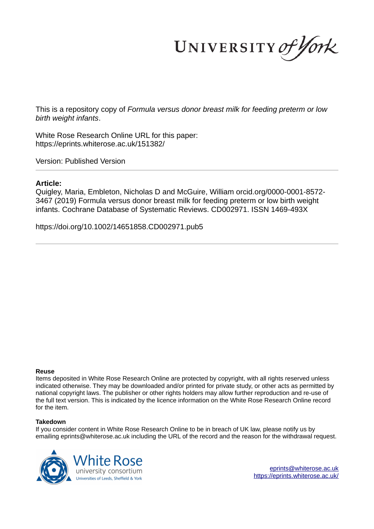UNIVERSITY of York

This is a repository copy of *Formula versus donor breast milk for feeding preterm or low birth weight infants*.

White Rose Research Online URL for this paper: https://eprints.whiterose.ac.uk/151382/

Version: Published Version

# **Article:**

Quigley, Maria, Embleton, Nicholas D and McGuire, William orcid.org/0000-0001-8572- 3467 (2019) Formula versus donor breast milk for feeding preterm or low birth weight infants. Cochrane Database of Systematic Reviews. CD002971. ISSN 1469-493X

https://doi.org/10.1002/14651858.CD002971.pub5

# **Reuse**

Items deposited in White Rose Research Online are protected by copyright, with all rights reserved unless indicated otherwise. They may be downloaded and/or printed for private study, or other acts as permitted by national copyright laws. The publisher or other rights holders may allow further reproduction and re-use of the full text version. This is indicated by the licence information on the White Rose Research Online record for the item.

# **Takedown**

If you consider content in White Rose Research Online to be in breach of UK law, please notify us by emailing eprints@whiterose.ac.uk including the URL of the record and the reason for the withdrawal request.



eprints@whiterose.ac.uk https://eprints.whiterose.ac.uk/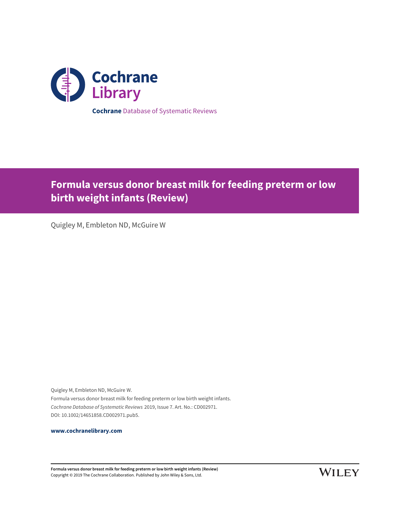

**Formula versus donor breast milk for feeding preterm or low birth weight infants (Review)**

Quigley M, Embleton ND, McGuire W

Quigley M, Embleton ND, McGuire W. Formula versus donor breast milk for feeding preterm or low birth weight infants. Cochrane Database of Systematic Reviews 2019, Issue 7. Art. No.: CD002971. DOI: 10.1002/14651858.CD002971.pub5.

**www.cochranelibrary.com**

**Formula versus donor breast milk for feeding preterm or low birth weight infants (Review)** Copyright © 2019 The Cochrane Collaboration. Published by John Wiley & Sons, Ltd.

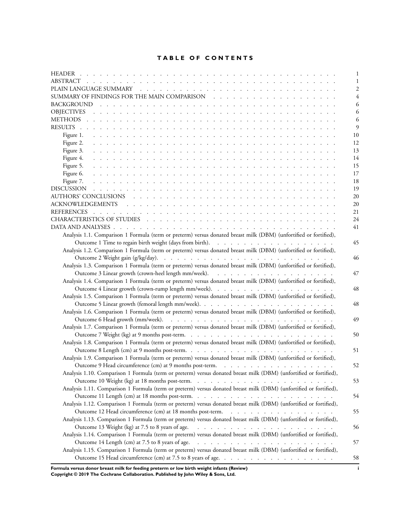# **TABLE OF CONTENTS**

|                                                                                                                            | 1              |
|----------------------------------------------------------------------------------------------------------------------------|----------------|
|                                                                                                                            | 1              |
|                                                                                                                            | $\overline{2}$ |
|                                                                                                                            | 4              |
|                                                                                                                            | 6              |
|                                                                                                                            | 6              |
|                                                                                                                            | 6              |
|                                                                                                                            | $\overline{Q}$ |
| Figure 1.<br>a constitution de la constitución de la constitución de la constitución de la constitución de la constitución | 10             |
|                                                                                                                            | 12             |
| Figure 3.                                                                                                                  | 13             |
| Figure 4.                                                                                                                  | 14             |
| Figure 5.                                                                                                                  | 15             |
| Figure 6.                                                                                                                  | 17             |
| Figure 7.                                                                                                                  | 18             |
|                                                                                                                            | 19             |
|                                                                                                                            | 20             |
|                                                                                                                            | 20             |
|                                                                                                                            | 21             |
|                                                                                                                            | 24             |
|                                                                                                                            | 41             |
| Analysis 1.1. Comparison 1 Formula (term or preterm) versus donated breast milk (DBM) (unfortified or fortified),          |                |
|                                                                                                                            | 45             |
| Analysis 1.2. Comparison 1 Formula (term or preterm) versus donated breast milk (DBM) (unfortified or fortified),          |                |
|                                                                                                                            | 46             |
| Analysis 1.3. Comparison 1 Formula (term or preterm) versus donated breast milk (DBM) (unfortified or fortified),          |                |
|                                                                                                                            | 47             |
| Analysis 1.4. Comparison 1 Formula (term or preterm) versus donated breast milk (DBM) (unfortified or fortified),          |                |
|                                                                                                                            | 48             |
| Analysis 1.5. Comparison 1 Formula (term or preterm) versus donated breast milk (DBM) (unfortified or fortified),          |                |
|                                                                                                                            | 48             |
| Analysis 1.6. Comparison 1 Formula (term or preterm) versus donated breast milk (DBM) (unfortified or fortified),          |                |
|                                                                                                                            | 49             |
|                                                                                                                            |                |
| Analysis 1.7. Comparison 1 Formula (term or preterm) versus donated breast milk (DBM) (unfortified or fortified),          |                |
| Analysis 1.8. Comparison 1 Formula (term or preterm) versus donated breast milk (DBM) (unfortified or fortified),          | 50             |
|                                                                                                                            |                |
|                                                                                                                            | 51             |
| Analysis 1.9. Comparison 1 Formula (term or preterm) versus donated breast milk (DBM) (unfortified or fortified),          |                |
|                                                                                                                            | 52             |
| Analysis 1.10. Comparison 1 Formula (term or preterm) versus donated breast milk (DBM) (unfortified or fortified),         |                |
| Outcome 10 Weight (kg) at 18 months post-term.                                                                             | 53             |
| Analysis 1.11. Comparison 1 Formula (term or preterm) versus donated breast milk (DBM) (unfortified or fortified),         |                |
|                                                                                                                            | 54             |
| Analysis 1.12. Comparison 1 Formula (term or preterm) versus donated breast milk (DBM) (unfortified or fortified),         |                |
| Outcome 12 Head circumference (cm) at 18 months post-term.                                                                 | 55             |
| Analysis 1.13. Comparison 1 Formula (term or preterm) versus donated breast milk (DBM) (unfortified or fortified),         |                |
| Outcome 13 Weight (kg) at 7.5 to 8 years of age.                                                                           | 56             |
| Analysis 1.14. Comparison 1 Formula (term or preterm) versus donated breast milk (DBM) (unfortified or fortified),         |                |
|                                                                                                                            | 57             |
| Analysis 1.15. Comparison 1 Formula (term or preterm) versus donated breast milk (DBM) (unfortified or fortified),         |                |
|                                                                                                                            | 58             |

**Formula versus donor breast milk for feeding preterm or low birth weight infants (Review) i Copyright © 2019 The Cochrane Collaboration. Published by John Wiley & Sons, Ltd.**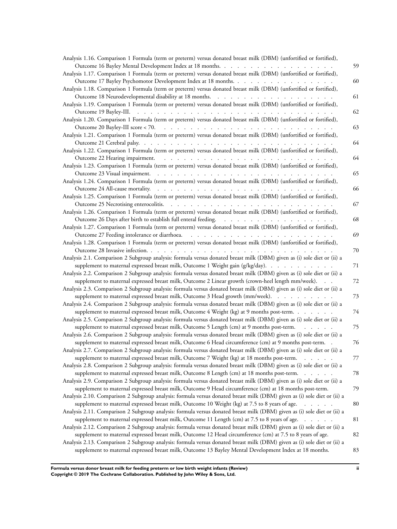| Analysis 1.16. Comparison 1 Formula (term or preterm) versus donated breast milk (DBM) (unfortified or fortified),       |    |
|--------------------------------------------------------------------------------------------------------------------------|----|
|                                                                                                                          | 59 |
| Analysis 1.17. Comparison 1 Formula (term or preterm) versus donated breast milk (DBM) (unfortified or fortified),       |    |
| Outcome 17 Bayley Psychomotor Development Index at 18 months.                                                            | 60 |
| Analysis 1.18. Comparison 1 Formula (term or preterm) versus donated breast milk (DBM) (unfortified or fortified),       |    |
|                                                                                                                          | 61 |
| Analysis 1.19. Comparison 1 Formula (term or preterm) versus donated breast milk (DBM) (unfortified or fortified),       |    |
|                                                                                                                          | 62 |
| Analysis 1.20. Comparison 1 Formula (term or preterm) versus donated breast milk (DBM) (unfortified or fortified),       |    |
|                                                                                                                          | 63 |
| Analysis 1.21. Comparison 1 Formula (term or preterm) versus donated breast milk (DBM) (unfortified or fortified),       |    |
|                                                                                                                          | 64 |
| Analysis 1.22. Comparison 1 Formula (term or preterm) versus donated breast milk (DBM) (unfortified or fortified),       |    |
|                                                                                                                          | 64 |
| Analysis 1.23. Comparison 1 Formula (term or preterm) versus donated breast milk (DBM) (unfortified or fortified),       |    |
|                                                                                                                          | 65 |
| Analysis 1.24. Comparison 1 Formula (term or preterm) versus donated breast milk (DBM) (unfortified or fortified),       |    |
|                                                                                                                          | 66 |
| Analysis 1.25. Comparison 1 Formula (term or preterm) versus donated breast milk (DBM) (unfortified or fortified),       |    |
|                                                                                                                          | 67 |
| Analysis 1.26. Comparison 1 Formula (term or preterm) versus donated breast milk (DBM) (unfortified or fortified),       |    |
|                                                                                                                          | 68 |
| Analysis 1.27. Comparison 1 Formula (term or preterm) versus donated breast milk (DBM) (unfortified or fortified),       |    |
|                                                                                                                          | 69 |
| Analysis 1.28. Comparison 1 Formula (term or preterm) versus donated breast milk (DBM) (unfortified or fortified),       |    |
|                                                                                                                          | 70 |
| Analysis 2.1. Comparison 2 Subgroup analysis: formula versus donated breast milk (DBM) given as (i) sole diet or (ii) a  |    |
| supplement to maternal expressed breast milk, Outcome 1 Weight gain (g/kg/day).                                          | 71 |
| Analysis 2.2. Comparison 2 Subgroup analysis: formula versus donated breast milk (DBM) given as (i) sole diet or (ii) a  |    |
| supplement to maternal expressed breast milk, Outcome 2 Linear growth (crown-heel length mm/week).                       | 72 |
| Analysis 2.3. Comparison 2 Subgroup analysis: formula versus donated breast milk (DBM) given as (i) sole diet or (ii) a  |    |
| supplement to maternal expressed breast milk, Outcome 3 Head growth (mm/week).                                           | 73 |
| Analysis 2.4. Comparison 2 Subgroup analysis: formula versus donated breast milk (DBM) given as (i) sole diet or (ii) a  |    |
| supplement to maternal expressed breast milk, Outcome 4 Weight (kg) at 9 months post-term.                               | 74 |
| Analysis 2.5. Comparison 2 Subgroup analysis: formula versus donated breast milk (DBM) given as (i) sole diet or (ii) a  |    |
| supplement to maternal expressed breast milk, Outcome 5 Length (cm) at 9 months post-term.                               | 75 |
| Analysis 2.6. Comparison 2 Subgroup analysis: formula versus donated breast milk (DBM) given as (i) sole diet or (ii) a  |    |
| supplement to maternal expressed breast milk, Outcome 6 Head circumference (cm) at 9 months post-term. .                 | 76 |
| Analysis 2.7. Comparison 2 Subgroup analysis: formula versus donated breast milk (DBM) given as (i) sole diet or (ii) a  |    |
| supplement to maternal expressed breast milk, Outcome 7 Weight (kg) at 18 months post-term.                              | 77 |
| Analysis 2.8. Comparison 2 Subgroup analysis: formula versus donated breast milk (DBM) given as (i) sole diet or (ii) a  |    |
| supplement to maternal expressed breast milk, Outcome 8 Length (cm) at 18 months post-term.                              | 78 |
| Analysis 2.9. Comparison 2 Subgroup analysis: formula versus donated breast milk (DBM) given as (i) sole diet or (ii) a  |    |
| supplement to maternal expressed breast milk, Outcome 9 Head circumference (cm) at 18 months post-term.                  | 79 |
| Analysis 2.10. Comparison 2 Subgroup analysis: formula versus donated breast milk (DBM) given as (i) sole diet or (ii) a |    |
| supplement to maternal expressed breast milk, Outcome 10 Weight (kg) at 7.5 to 8 years of age.                           | 80 |
| Analysis 2.11. Comparison 2 Subgroup analysis: formula versus donated breast milk (DBM) given as (i) sole diet or (ii) a |    |
| supplement to maternal expressed breast milk, Outcome 11 Length (cm) at 7.5 to 8 years of age.                           | 81 |
| Analysis 2.12. Comparison 2 Subgroup analysis: formula versus donated breast milk (DBM) given as (i) sole diet or (ii) a |    |
| supplement to maternal expressed breast milk, Outcome 12 Head circumference (cm) at 7.5 to 8 years of age.               | 82 |
| Analysis 2.13. Comparison 2 Subgroup analysis: formula versus donated breast milk (DBM) given as (i) sole diet or (ii) a |    |
| supplement to maternal expressed breast milk, Outcome 13 Bayley Mental Development Index at 18 months.                   | 83 |
|                                                                                                                          |    |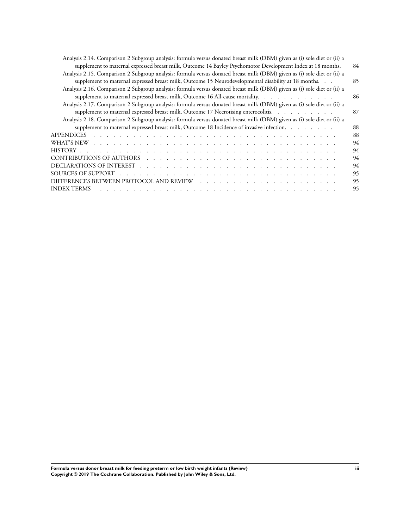| Analysis 2.14. Comparison 2 Subgroup analysis: formula versus donated breast milk (DBM) given as (i) sole diet or (ii) a                                                                                                                      |    |
|-----------------------------------------------------------------------------------------------------------------------------------------------------------------------------------------------------------------------------------------------|----|
| supplement to maternal expressed breast milk, Outcome 14 Bayley Psychomotor Development Index at 18 months.                                                                                                                                   | 84 |
| Analysis 2.15. Comparison 2 Subgroup analysis: formula versus donated breast milk (DBM) given as (i) sole diet or (ii) a                                                                                                                      |    |
| supplement to maternal expressed breast milk, Outcome 15 Neurodevelopmental disability at 18 months.                                                                                                                                          | 85 |
| Analysis 2.16. Comparison 2 Subgroup analysis: formula versus donated breast milk (DBM) given as (i) sole diet or (ii) a                                                                                                                      |    |
| supplement to maternal expressed breast milk, Outcome 16 All-cause mortality.                                                                                                                                                                 | 86 |
| Analysis 2.17. Comparison 2 Subgroup analysis: formula versus donated breast milk (DBM) given as (i) sole diet or (ii) a                                                                                                                      |    |
| supplement to maternal expressed breast milk, Outcome 17 Necrotising enterocolitis.                                                                                                                                                           | 87 |
| Analysis 2.18. Comparison 2 Subgroup analysis: formula versus donated breast milk (DBM) given as (i) sole diet or (ii) a                                                                                                                      |    |
| supplement to maternal expressed breast milk, Outcome 18 Incidence of invasive infection.                                                                                                                                                     | 88 |
| APPENDICES<br>and the contract of the contract of the contract of the contract of the contract of the contract of the contract of the contract of the contract of the contract of the contract of the contract of the contract of the contra  | 88 |
|                                                                                                                                                                                                                                               | 94 |
|                                                                                                                                                                                                                                               | 94 |
|                                                                                                                                                                                                                                               | 94 |
|                                                                                                                                                                                                                                               | 94 |
|                                                                                                                                                                                                                                               | 95 |
|                                                                                                                                                                                                                                               | 95 |
| INDEX TERMS<br>and the contract of the contract of the contract of the contract of the contract of the contract of the contract of the contract of the contract of the contract of the contract of the contract of the contract of the contra | 95 |
|                                                                                                                                                                                                                                               |    |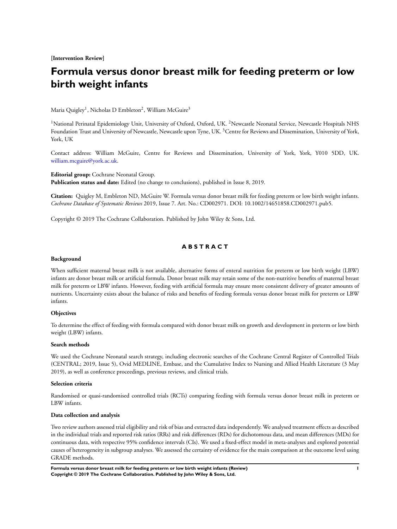**[Intervention Review]**

# **Formula versus donor breast milk for feeding preterm or low birth weight infants**

Maria Quigley<sup>1</sup>, Nicholas D Embleton<sup>2</sup>, William McGuire<sup>3</sup>

<sup>1</sup>National Perinatal Epidemiology Unit, University of Oxford, Oxford, UK. <sup>2</sup>Newcastle Neonatal Service, Newcastle Hospitals NHS Foundation Trust and University of Newcastle, Newcastle upon Tyne, UK. <sup>3</sup>Centre for Reviews and Dissemination, University of York, York, UK

Contact address: William McGuire, Centre for Reviews and Dissemination, University of York, York, Y010 5DD, UK. william.mcguire@york.ac.uk.

**Editorial group:** Cochrane Neonatal Group. **Publication status and date:** Edited (no change to conclusions), published in Issue 8, 2019.

**Citation:** Quigley M, Embleton ND, McGuire W. Formula versus donor breast milk for feeding preterm or low birth weight infants. *Cochrane Database of Systematic Reviews* 2019, Issue 7. Art. No.: CD002971. DOI: 10.1002/14651858.CD002971.pub5.

Copyright © 2019 The Cochrane Collaboration. Published by John Wiley & Sons, Ltd.

### **A B S T R A C T**

#### **Background**

When sufficient maternal breast milk is not available, alternative forms of enteral nutrition for preterm or low birth weight (LBW) infants are donor breast milk or artificial formula. Donor breast milk may retain some of the non-nutritive benefits of maternal breast milk for preterm or LBW infants. However, feeding with artificial formula may ensure more consistent delivery of greater amounts of nutrients. Uncertainty exists about the balance of risks and benefits of feeding formula versus donor breast milk for preterm or LBW infants.

### **Objectives**

To determine the effect of feeding with formula compared with donor breast milk on growth and development in preterm or low birth weight (LBW) infants.

### **Search methods**

We used the Cochrane Neonatal search strategy, including electronic searches of the Cochrane Central Register of Controlled Trials (CENTRAL; 2019, Issue 5), Ovid MEDLINE, Embase, and the Cumulative Index to Nursing and Allied Health Literature (3 May 2019), as well as conference proceedings, previous reviews, and clinical trials.

### **Selection criteria**

Randomised or quasi-randomised controlled trials (RCTs) comparing feeding with formula versus donor breast milk in preterm or LBW infants.

### **Data collection and analysis**

Two review authors assessed trial eligibility and risk of bias and extracted data independently. We analysed treatment effects as described in the individual trials and reported risk ratios (RRs) and risk differences (RDs) for dichotomous data, and mean differences (MDs) for continuous data, with respective 95% confidence intervals (CIs). We used a fixed-effect model in meta-analyses and explored potential causes of heterogeneity in subgroup analyses. We assessed the certainty of evidence for the main comparison at the outcome level using GRADE methods.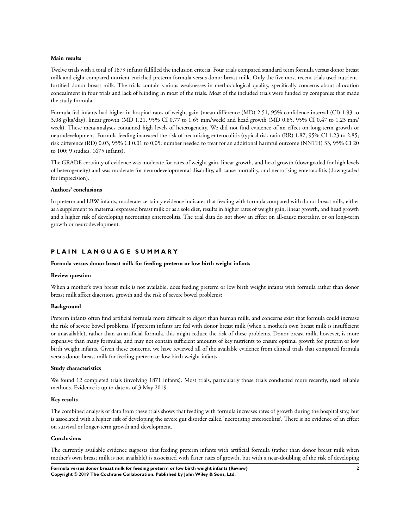### **Main results**

Twelve trials with a total of 1879 infants fulfilled the inclusion criteria. Four trials compared standard term formula versus donor breast milk and eight compared nutrient-enriched preterm formula versus donor breast milk. Only the five most recent trials used nutrientfortified donor breast milk. The trials contain various weaknesses in methodological quality, specifically concerns about allocation concealment in four trials and lack of blinding in most of the trials. Most of the included trials were funded by companies that made the study formula.

Formula-fed infants had higher in-hospital rates of weight gain (mean difference (MD) 2.51, 95% confidence interval (CI) 1.93 to 3.08 g/kg/day), linear growth (MD 1.21, 95% CI 0.77 to 1.65 mm/week) and head growth (MD 0.85, 95% CI 0.47 to 1.23 mm/ week). These meta-analyses contained high levels of heterogeneity. We did not find evidence of an effect on long-term growth or neurodevelopment. Formula feeding increased the risk of necrotising enterocolitis (typical risk ratio (RR) 1.87, 95% CI 1.23 to 2.85; risk difference (RD) 0.03, 95% CI 0.01 to 0.05; number needed to treat for an additional harmful outcome (NNTH) 33, 95% CI 20 to 100; 9 studies, 1675 infants).

The GRADE certainty of evidence was moderate for rates of weight gain, linear growth, and head growth (downgraded for high levels of heterogeneity) and was moderate for neurodevelopmental disability, all-cause mortality, and necrotising enterocolitis (downgraded for imprecision).

#### **Authors' conclusions**

In preterm and LBW infants, moderate-certainty evidence indicates that feeding with formula compared with donor breast milk, either as a supplement to maternal expressed breast milk or as a sole diet, results in higher rates of weight gain, linear growth, and head growth and a higher risk of developing necrotising enterocolitis. The trial data do not show an effect on all-cause mortality, or on long-term growth or neurodevelopment.

### **P L A I N L A N G U A G E S U M M A R Y**

#### **Formula versus donor breast milk for feeding preterm or low birth weight infants**

#### **Review question**

When a mother's own breast milk is not available, does feeding preterm or low birth weight infants with formula rather than donor breast milk affect digestion, growth and the risk of severe bowel problems?

#### **Background**

Preterm infants often find artificial formula more difficult to digest than human milk, and concerns exist that formula could increase the risk of severe bowel problems. If preterm infants are fed with donor breast milk (when a mother's own breast milk is insufficient or unavailable), rather than an artificial formula, this might reduce the risk of these problems. Donor breast milk, however, is more expensive than many formulas, and may not contain sufficient amounts of key nutrients to ensure optimal growth for preterm or low birth weight infants. Given these concerns, we have reviewed all of the available evidence from clinical trials that compared formula versus donor breast milk for feeding preterm or low birth weight infants.

#### **Study characteristics**

We found 12 completed trials (involving 1871 infants). Most trials, particularly those trials conducted more recently, used reliable methods. Evidence is up to date as of 3 May 2019.

#### **Key results**

The combined analysis of data from these trials shows that feeding with formula increases rates of growth during the hospital stay, but is associated with a higher risk of developing the severe gut disorder called 'necrotising enterocolitis'. There is no evidence of an effect on survival or longer-term growth and development.

#### **Conclusions**

The currently available evidence suggests that feeding preterm infants with artificial formula (rather than donor breast milk when mother's own breast milk is not available) is associated with faster rates of growth, but with a near-doubling of the risk of developing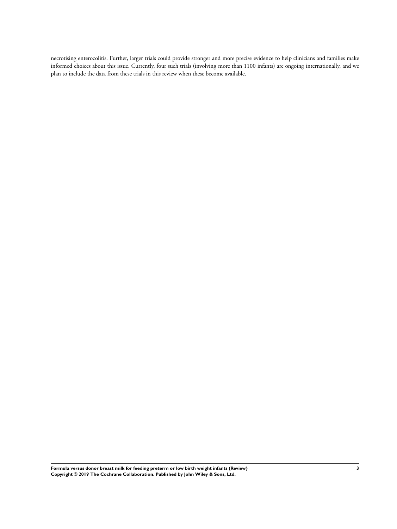necrotising enterocolitis. Further, larger trials could provide stronger and more precise evidence to help clinicians and families make informed choices about this issue. Currently, four such trials (involving more than 1100 infants) are ongoing internationally, and we plan to include the data from these trials in this review when these become available.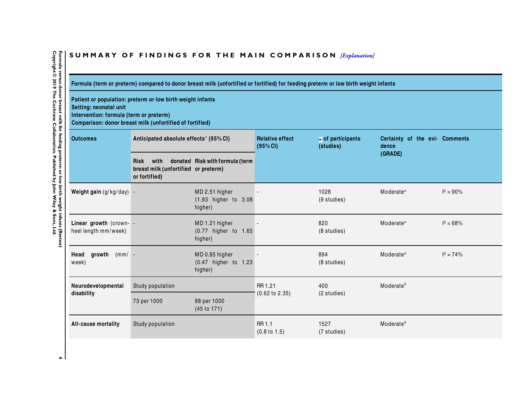# **S U M M A R Y O F F I N D I N G S F O R T H E M A I N C O M P A R I S O N** *[Explanation]*

**Formula (term or preterm) compared to donor breast milk (unfortified or fortified) for feeding preterm or low birth weight infants**

**Patient or population: preterm or low birth weight infants Setting: neonatal unit Intervention: formula (term or preterm) Comparison: donor breast milk (unfortified of fortified)**

| <b>Outcomes</b>                                 | Anticipated absolute effects* (95% CI)                                       |                                                   | <b>Relative effect</b><br>(95% CI) | № of participants<br>(studies) | Certainty of the evi- Comments<br>dence |              |
|-------------------------------------------------|------------------------------------------------------------------------------|---------------------------------------------------|------------------------------------|--------------------------------|-----------------------------------------|--------------|
|                                                 | with<br><b>Risk</b><br>breast milk (unfortified or preterm)<br>or fortified) | donated Risk with formula (term                   |                                    |                                | (GRADE)                                 |              |
| Weight gain (g/kg/day) -                        |                                                                              | MD 2.51 higher<br>(1.93 higher to 3.08<br>higher) |                                    | 1028<br>(9 studies)            | Moderate $a$                            | $I^2 = 90\%$ |
| Linear growth (crown- -<br>heel length mm/week) |                                                                              | MD 1.21 higher<br>(0.77 higher to 1.65<br>higher) |                                    | 820<br>(8 studies)             | Moderate $a$                            | $I^2 = 68\%$ |
| Head<br>growth<br>$(mm/ -$<br>week)             |                                                                              | MD 0.85 higher<br>(0.47 higher to 1.23<br>higher) |                                    | 894<br>$(8 \text{ studies})$   | Moderate $a$                            | $I^2 = 74\%$ |
| Neurodevelopmental                              | Study population                                                             |                                                   | RR 1.21                            | 400                            | Moderate <sup>b</sup>                   |              |
| disability                                      | 73 per 1000                                                                  | 88 per 1000<br>(45 to 171)                        | $(0.62 \text{ to } 2.35)$          | (2 studies)                    |                                         |              |
| All-cause mortality                             | Study population                                                             |                                                   | RR 1.1<br>$(0.8 \text{ to } 1.5)$  | 1527<br>(7 studies)            | Moderate <sup>b</sup>                   |              |

Formula versus donor breast milk for feeding preterm or low birth weight infants (Review)<br>Copyright © 2019 The Cochrane Collaboration. Published by John Wiley & Sons, Ltd. Copyright © 3019 The Cochrane Countern Pylothed by Direct in the Dochrane Cochrane Cochrane Cochres L Formula versus donor breast milk for the digital pretent or building the strip of the strip seview).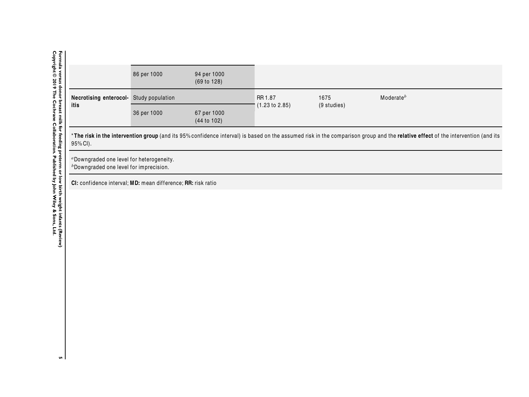|                                         | 86 per 1000 | 94 per 1000<br>(69 to 128) |                           |             |               |
|-----------------------------------------|-------------|----------------------------|---------------------------|-------------|---------------|
| Necrotising enterocol- Study population |             |                            | RR 1.87                   | 1675        | Moderate $^b$ |
| itis                                    | 36 per 1000 | 67 per 1000<br>(44 to 102) | $(1.23 \text{ to } 2.85)$ | (9 studies) |               |

\*The risk in the intervention group (and its 95% confidence interval) is based on the assumed risk in the comparison group and the relative effect of the intervention (and its 95% CI).

<sup>a</sup>Downgraded one level for heterogeneity. bDowngraded one level for imprecision.

**CI:** conf idence interval; **MD:** mean difference; **RR:** risk ratio

Formula versus donor breast milk for feeding preterm or low birth weight infants (Review)<br>Copyright © 2019 The Cochrane Collaboration. Published by John Wiley & Sons, Ltd. Copyright © 3019 The Cochrane Countern Pylothed by Direct in the Dochrane Cochrane Cochrane Cochres L Formula versus donor breast milit, the ediper structure of the prefer to the predit interfact interst ( ${\bf R}$  evider of the versus donor of the structure of the versus donor of  ${\bf R}$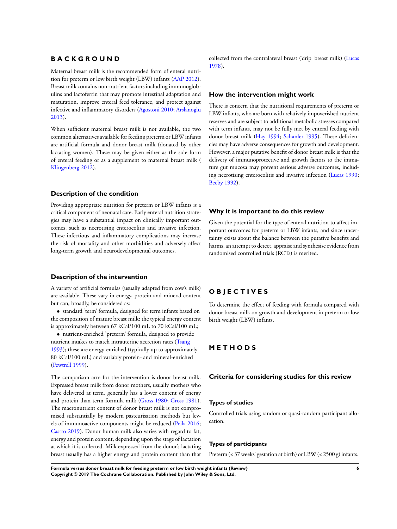# **B A C K G R O U N D**

Maternal breast milk is the recommended form of enteral nutrition for preterm or low birth weight (LBW) infants (AAP 2012). Breast milk contains non-nutrient factors including immunoglobulins and lactoferrin that may promote intestinal adaptation and maturation, improve enteral feed tolerance, and protect against infective and inflammatory disorders (Agostoni 2010; Arslanoglu 2013).

When sufficient maternal breast milk is not available, the two common alternatives available for feeding preterm or LBW infants are artificial formula and donor breast milk (donated by other lactating women). These may be given either as the sole form of enteral feeding or as a supplement to maternal breast milk ( Klingenberg 2012).

### **Description of the condition**

Providing appropriate nutrition for preterm or LBW infants is a critical component of neonatal care. Early enteral nutrition strategies may have a substantial impact on clinically important outcomes, such as necrotising enterocolitis and invasive infection. These infectious and inflammatory complications may increase the risk of mortality and other morbidities and adversely affect long-term growth and neurodevelopmental outcomes.

### **Description of the intervention**

A variety of artificial formulas (usually adapted from cow's milk) are available. These vary in energy, protein and mineral content but can, broadly, be considered as:

• standard 'term' formula, designed for term infants based on the composition of mature breast milk; the typical energy content is approximately between 67 kCal/100 mL to 70 kCal/100 mL;

• nutrient-enriched 'preterm' formula, designed to provide nutrient intakes to match intrauterine accretion rates (Tsang 1993); these are energy-enriched (typically up to approximately 80 kCal/100 mL) and variably protein- and mineral-enriched (Fewtrell 1999).

The comparison arm for the intervention is donor breast milk. Expressed breast milk from donor mothers, usually mothers who have delivered at term, generally has a lower content of energy and protein than term formula milk (Gross 1980; Gross 1981). The macronutrient content of donor breast milk is not compromised substantially by modern pasteurisation methods but levels of immunoactive components might be reduced (Peila 2016; Castro 2019). Donor human milk also varies with regard to fat, energy and protein content, depending upon the stage of lactation at which it is collected. Milk expressed from the donor's lactating breast usually has a higher energy and protein content than that collected from the contralateral breast ('drip' breast milk) (Lucas 1978).

### **How the intervention might work**

There is concern that the nutritional requirements of preterm or LBW infants, who are born with relatively impoverished nutrient reserves and are subject to additional metabolic stresses compared with term infants, may not be fully met by enteral feeding with donor breast milk (Hay 1994; Schanler 1995). These deficiencies may have adverse consequences for growth and development. However, a major putative benefit of donor breast milk is that the delivery of immunoprotective and growth factors to the immature gut mucosa may prevent serious adverse outcomes, including necrotising enterocolitis and invasive infection (Lucas 1990; Beeby 1992).

### **Why it is important to do this review**

Given the potential for the type of enteral nutrition to affect important outcomes for preterm or LBW infants, and since uncertainty exists about the balance between the putative benefits and harms, an attempt to detect, appraise and synthesise evidence from randomised controlled trials (RCTs) is merited.

# **O B J E C T I V E S**

To determine the effect of feeding with formula compared with donor breast milk on growth and development in preterm or low birth weight (LBW) infants.

### **M E T H O D S**

#### **Criteria for considering studies for this review**

#### **Types of studies**

Controlled trials using random or quasi-random participant allocation.

### **Types of participants**

Preterm (< 37 weeks' gestation at birth) or LBW (< 2500 g) infants.

**Formula versus donor breast milk for feeding preterm or low birth weight infants (Review) 6 Copyright © 2019 The Cochrane Collaboration. Published by John Wiley & Sons, Ltd.**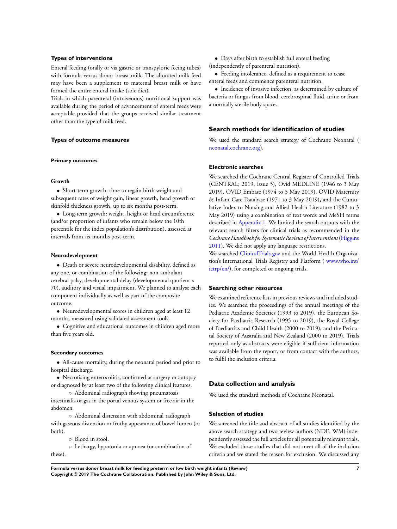### **Types of interventions**

Enteral feeding (orally or via gastric or transpyloric feeing tubes) with formula versus donor breast milk. The allocated milk feed may have been a supplement to maternal breast milk or have formed the entire enteral intake (sole diet).

Trials in which parenteral (intravenous) nutritional support was available during the period of advancement of enteral feeds were acceptable provided that the groups received similar treatment other than the type of milk feed.

#### **Types of outcome measures**

#### **Primary outcomes**

#### **Growth**

• Short-term growth: time to regain birth weight and subsequent rates of weight gain, linear growth, head growth or skinfold thickness growth, up to six months post-term.

• Long-term growth: weight, height or head circumference (and/or proportion of infants who remain below the 10th percentile for the index population's distribution), assessed at intervals from six months post-term.

#### **Neurodevelopment**

• Death or severe neurodevelopmental disability, defined as any one, or combination of the following: non-ambulant cerebral palsy, developmental delay (developmental quotient < 70), auditory and visual impairment. We planned to analyse each component individually as well as part of the composite outcome.

• Neurodevelopmental scores in children aged at least 12 months, measured using validated assessment tools.

• Cognitive and educational outcomes in children aged more than five years old.

#### **Secondary outcomes**

• All-cause mortality, during the neonatal period and prior to hospital discharge.

• Necrotising enterocolitis, confirmed at surgery or autopsy or diagnosed by at least two of the following clinical features.

◦ Abdominal radiograph showing pneumatosis intestinalis or gas in the portal venous system or free air in the abdomen.

◦ Abdominal distension with abdominal radiograph with gaseous distension or frothy appearance of bowel lumen (or both).

◦ Blood in stool.

◦ Lethargy, hypotonia or apnoea (or combination of

these).

• Days after birth to establish full enteral feeding (independently of parenteral nutrition).

• Feeding intolerance, defined as a requirement to cease enteral feeds and commence parenteral nutrition.

• Incidence of invasive infection, as determined by culture of bacteria or fungus from blood, cerebrospinal fluid, urine or from a normally sterile body space.

# **Search methods for identification of studies**

We used the standard search strategy of Cochrane Neonatal ( neonatal.cochrane.org).

#### **Electronic searches**

We searched the Cochrane Central Register of Controlled Trials (CENTRAL; 2019, Issue 5), Ovid MEDLINE (1946 to 3 May 2019), OVID Embase (1974 to 3 May 2019), OVID Maternity & Infant Care Database (1971 to 3 May 2019)**,** and the Cumulative Index to Nursing and Allied Health Literature (1982 to 3 May 2019) using a combination of text words and MeSH terms described in Appendix 1. We limited the search outputs with the relevant search filters for clinical trials as recommended in the *Cochrane Handbook for Systematic Reviews of Interventions* (Higgins 2011). We did not apply any language restrictions.

We searched ClinicalTrials.gov and the World Health Organization's International Trials Registry and Platform ( www.who.int/ ictrp/en/), for completed or ongoing trials.

#### **Searching other resources**

We examined reference lists in previous reviews and included studies. We searched the proceedings of the annual meetings of the Pediatric Academic Societies (1993 to 2019), the European Society for Paediatric Research (1995 to 2019), the Royal College of Paediatrics and Child Health (2000 to 2019), and the Perinatal Society of Australia and New Zealand (2000 to 2019). Trials reported only as abstracts were eligible if sufficient information was available from the report, or from contact with the authors, to fulfil the inclusion criteria.

#### **Data collection and analysis**

We used the standard methods of Cochrane Neonatal.

#### **Selection of studies**

We screened the title and abstract of all studies identified by the above search strategy and two review authors (NDE, WM) independently assessed the full articles for all potentially relevant trials. We excluded those studies that did not meet all of the inclusion criteria and we stated the reason for exclusion. We discussed any

**Formula versus donor breast milk for feeding preterm or low birth weight infants (Review) 7 Copyright © 2019 The Cochrane Collaboration. Published by John Wiley & Sons, Ltd.**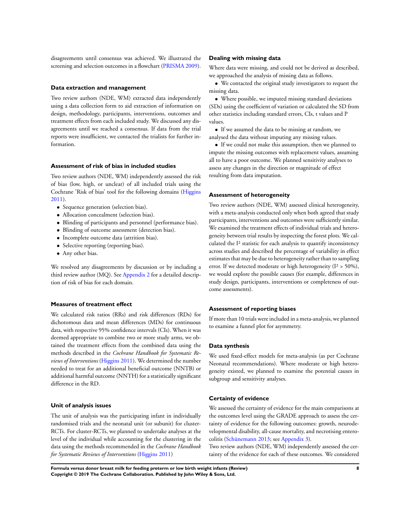disagreements until consensus was achieved. We illustrated the screening and selection outcomes in a flowchart (PRISMA 2009).

#### **Data extraction and management**

Two review authors (NDE, WM) extracted data independently using a data collection form to aid extraction of information on design, methodology, participants, interventions, outcomes and treatment effects from each included study. We discussed any disagreements until we reached a consensus. If data from the trial reports were insufficient, we contacted the trialists for further information.

### **Assessment of risk of bias in included studies**

Two review authors (NDE, WM) independently assessed the risk of bias (low, high, or unclear) of all included trials using the Cochrane 'Risk of bias' tool for the following domains (Higgins 2011).

- Sequence generation (selection bias).
- Allocation concealment (selection bias).
- Blinding of participants and personnel (performance bias).
- Blinding of outcome assessment (detection bias).
- Incomplete outcome data (attrition bias).
- Selective reporting (reporting bias).
- Any other bias.

We resolved any disagreements by discussion or by including a third review author (MQ). See Appendix 2 for a detailed description of risk of bias for each domain.

### **Measures of treatment effect**

We calculated risk ratios (RRs) and risk differences (RDs) for dichotomous data and mean differences (MDs) for continuous data, with respective 95% confidence intervals (CIs). When it was deemed appropriate to combine two or more study arms, we obtained the treatment effects from the combined data using the methods described in the *Cochrane Handbook for Systematic Reviews of Interventions* (Higgins 2011). We determined the number needed to treat for an additional beneficial outcome (NNTB) or additional harmful outcome (NNTH) for a statistically significant difference in the RD.

### **Unit of analysis issues**

The unit of analysis was the participating infant in individually randomised trials and the neonatal unit (or subunit) for cluster-RCTs. For cluster-RCTs, we planned to undertake analyses at the level of the individual while accounting for the clustering in the data using the methods recommended in the *Cochrane Handbook for Systematic Reviews of Interventions* (Higgins 2011)

### **Dealing with missing data**

Where data were missing, and could not be derived as described, we approached the analysis of missing data as follows.

• We contacted the original study investigators to request the missing data.

• Where possible, we imputed missing standard deviations (SDs) using the coefficient of variation or calculated the SD from other statistics including standard errors, CIs, t values and P values.

• If we assumed the data to be missing at random, we analysed the data without imputing any missing values.

• If we could not make this assumption, then we planned to impute the missing outcomes with replacement values, assuming all to have a poor outcome. We planned sensitivity analyses to assess any changes in the direction or magnitude of effect resulting from data imputation.

#### **Assessment of heterogeneity**

Two review authors (NDE, WM) assessed clinical heterogeneity, with a meta-analysis conducted only when both agreed that study participants, interventions and outcomes were sufficiently similar. We examined the treatment effects of individual trials and heterogeneity between trial results by inspecting the forest plots. We calculated the I² statistic for each analysis to quantify inconsistency across studies and described the percentage of variability in effect estimates that may be due to heterogeneity rather than to sampling error. If we detected moderate or high heterogeneity  $(I^2 > 50\%),$ we would explore the possible causes (for example, differences in study design, participants, interventions or completeness of outcome assessments).

### **Assessment of reporting biases**

If more than 10 trials were included in a meta-analysis, we planned to examine a funnel plot for asymmetry.

#### **Data synthesis**

We used fixed-effect models for meta-analysis (as per Cochrane Neonatal recommendations). Where moderate or high heterogeneity existed, we planned to examine the potential causes in subgroup and sensitivity analyses.

#### **Certainty of evidence**

We assessed the certainty of evidence for the main comparisons at the outcomes level using the GRADE approach to assess the certainty of evidence for the following outcomes: growth, neurodevelopmental disability, all-cause mortality, and necrotising enterocolitis (Schünemann 2013; see Appendix 3).

Two review authors (NDE, WM) independently assessed the certainty of the evidence for each of these outcomes. We considered

**Formula versus donor breast milk for feeding preterm or low birth weight infants (Review) 8 Copyright © 2019 The Cochrane Collaboration. Published by John Wiley & Sons, Ltd.**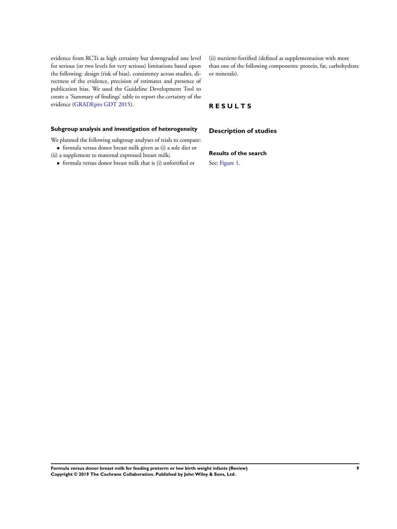evidence from RCTs as high certainty but downgraded one level for serious (or two levels for very serious) limitations based upon the following: design (risk of bias), consistency across studies, directness of the evidence, precision of estimates and presence of publication bias. We used the Guideline Development Tool to create a 'Summary of findings' table to report the certainty of the evidence (GRADEpro GDT 2015).

### **Subgroup analysis and investigation of heterogeneity**

We planned the following subgroup analyses of trials to compare:

- formula versus donor breast milk given as (i) a sole diet or (ii) a supplement to maternal expressed breast milk;
	- formula versus donor breast milk that is (i) unfortified or

(ii) nutrient-fortified (defined as supplementation with more than one of the following components: protein, fat, carbohydrate or minerals).

### **R E S U L T S**

**Description of studies**

# **Results of the search**

See: Figure 1.

**Formula versus donor breast milk for feeding preterm or low birth weight infants (Review) 9 Copyright © 2019 The Cochrane Collaboration. Published by John Wiley & Sons, Ltd.**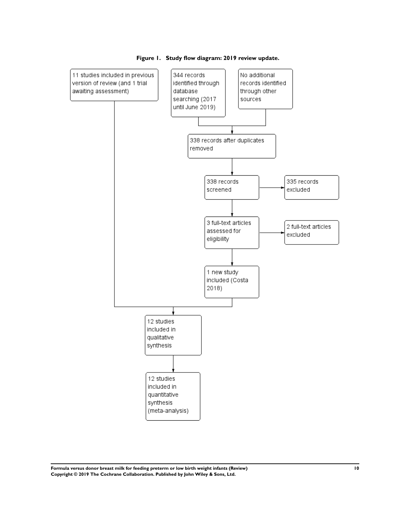



**Formula versus donor breast milk for feeding preterm or low birth weight infants (Review) 10 Copyright © 2019 The Cochrane Collaboration. Published by John Wiley & Sons, Ltd.**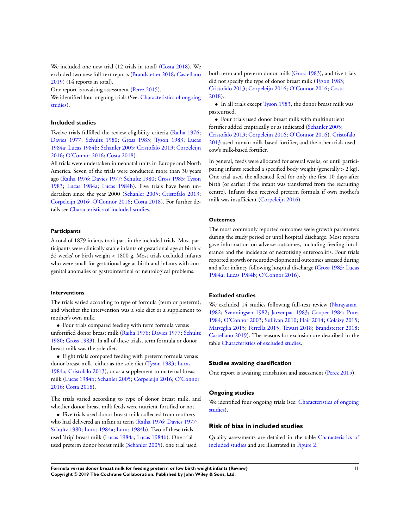We included one new trial (12 trials in total) (Costa 2018). We excluded two new full-text reports (Brandstetter 2018; Castellano 2019) (14 reports in total).

One report is awaiting assessment (Perez 2015).

We identified four ongoing trials (See: Characteristics of ongoing studies).

#### **Included studies**

Twelve trials fulfilled the review eligibility criteria (Raiha 1976; Davies 1977; Schultz 1980; Gross 1983; Tyson 1983; Lucas 1984a; Lucas 1984b; Schanler 2005; Cristofalo 2013; Corpeleijn 2016; O'Connor 2016; Costa 2018).

All trials were undertaken in neonatal units in Europe and North America. Seven of the trials were conducted more than 30 years ago (Raiha 1976; Davies 1977; Schultz 1980; Gross 1983; Tyson 1983; Lucas 1984a; Lucas 1984b). Five trials have been undertaken since the year 2000 (Schanler 2005; Cristofalo 2013; Corpeleijn 2016; O'Connor 2016; Costa 2018). For further details see Characteristics of included studies.

#### **Participants**

A total of 1879 infants took part in the included trials. Most participants were clinically stable infants of gestational age at birth < 32 weeks' or birth weight < 1800 g. Most trials excluded infants who were small for gestational age at birth and infants with congenital anomalies or gastrointestinal or neurological problems.

#### **Interventions**

The trials varied according to type of formula (term or preterm), and whether the intervention was a sole diet or a supplement to mother's own milk.

• Four trials compared feeding with term formula versus unfortified donor breast milk (Raiha 1976; Davies 1977; Schultz 1980; Gross 1983). In all of these trials, term formula or donor breast milk was the sole diet.

• Eight trials compared feeding with preterm formula versus donor breast milk, either as the sole diet (Tyson 1983; Lucas 1984a; Cristofalo 2013), or as a supplement to maternal breast milk (Lucas 1984b; Schanler 2005; Corpeleijn 2016; O'Connor 2016; Costa 2018).

The trials varied according to type of donor breast milk, and whether donor breast milk feeds were nutrient-fortified or not.

• Five trials used donor breast milk collected from mothers who had delivered an infant at term (Raiha 1976; Davies 1977; Schultz 1980; Lucas 1984a; Lucas 1984b). Two of these trials used 'drip' breast milk (Lucas 1984a; Lucas 1984b). One trial used preterm donor breast milk (Schanler 2005), one trial used

both term and preterm donor milk (Gross 1983), and five trials did not specify the type of donor breast milk (Tyson 1983; Cristofalo 2013; Corpeleijn 2016; O'Connor 2016; Costa 2018).

• In all trials except Tyson 1983, the donor breast milk was pasteurised.

• Four trials used donor breast milk with multinutrient fortifier added empirically or as indicated (Schanler 2005; Cristofalo 2013; Corpeleijn 2016; O'Connor 2016). Cristofalo 2013 used human milk-based fortifier, and the other trials used cow's milk-based fortifier.

In general, feeds were allocated for several weeks, or until participating infants reached a specified body weight (generally > 2 kg). One trial used the allocated feed for only the first 10 days after birth (or earlier if the infant was transferred from the recruiting centre). Infants then received preterm formula if own mother's milk was insufficient (Corpeleijn 2016).

#### **Outcomes**

The most commonly reported outcomes were growth parameters during the study period or until hospital discharge. Most reports gave information on adverse outcomes, including feeding intolerance and the incidence of necrotising enterocolitis. Four trials reported growth or neurodevelopmental outcomes assessed during and after infancy following hospital discharge (Gross 1983; Lucas 1984a; Lucas 1984b; O'Connor 2016).

#### **Excluded studies**

We excluded 14 studies following full-text review (Narayanan 1982; Svenningsen 1982; Jarvenpaa 1983; Cooper 1984; Putet 1984; O'Connor 2003; Sullivan 2010; Hair 2014; Colaizy 2015; Marseglia 2015; Perrella 2015; Tewari 2018; Brandstetter 2018; Castellano 2019). The reasons for exclusion are described in the table Characteristics of excluded studies.

### **Studies awaiting classification**

One report is awaiting translation and assessment (Perez 2015).

### **Ongoing studies**

We identified four ongoing trials (see: Characteristics of ongoing studies).

### **Risk of bias in included studies**

Quality assessments are detailed in the table Characteristics of included studies and are illustrated in Figure 2.

**Formula versus donor breast milk for feeding preterm or low birth weight infants (Review) 11 Copyright © 2019 The Cochrane Collaboration. Published by John Wiley & Sons, Ltd.**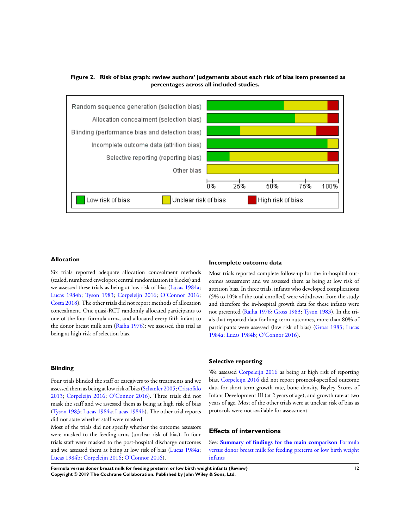**Figure 2. Risk of bias graph: review authors' judgements about each risk of bias item presented as percentages across all included studies.**



### **Allocation**

Six trials reported adequate allocation concealment methods (sealed, numbered envelopes; central randomisation in blocks) and we assessed these trials as being at low risk of bias (Lucas 1984a; Lucas 1984b; Tyson 1983; Corpeleijn 2016; O'Connor 2016; Costa 2018). The other trials did not report methods of allocation concealment. One quasi-RCT randomly allocated participants to one of the four formula arms, and allocated every fifth infant to the donor breast milk arm (Raiha 1976); we assessed this trial as being at high risk of selection bias.

#### **Blinding**

Four trials blinded the staff or caregivers to the treatments and we assessed them as being at low risk of bias (Schanler 2005; Cristofalo 2013; Corpeleijn 2016; O'Connor 2016). Three trials did not mask the staff and we assessed them as being at high risk of bias (Tyson 1983; Lucas 1984a; Lucas 1984b). The other trial reports did not state whether staff were masked.

Most of the trials did not specify whether the outcome assessors were masked to the feeding arms (unclear risk of bias). In four trials staff were masked to the post-hospital discharge outcomes and we assessed them as being at low risk of bias (Lucas 1984a; Lucas 1984b; Corpeleijn 2016; O'Connor 2016).

#### **Incomplete outcome data**

Most trials reported complete follow-up for the in-hospital outcomes assessment and we assessed them as being at low risk of attrition bias. In three trials, infants who developed complications (5% to 10% of the total enrolled) were withdrawn from the study and therefore the in-hospital growth data for these infants were not presented (Raiha 1976; Gross 1983; Tyson 1983). In the trials that reported data for long-term outcomes, more than 80% of participants were assessed (low risk of bias) (Gross 1983; Lucas 1984a; Lucas 1984b; O'Connor 2016).

#### **Selective reporting**

We assessed Corpeleijn 2016 as being at high risk of reporting bias. Corpeleijn 2016 did not report protocol-specified outcome data for short-term growth rate, bone density, Bayley Scores of Infant Development III (at 2 years of age), and growth rate at two years of age. Most of the other trials were at unclear risk of bias as protocols were not available for assessment.

### **Effects of interventions**

See: **Summary of findings for the main comparison** Formula versus donor breast milk for feeding preterm or low birth weight infants

**Formula versus donor breast milk for feeding preterm or low birth weight infants (Review) 12 Copyright © 2019 The Cochrane Collaboration. Published by John Wiley & Sons, Ltd.**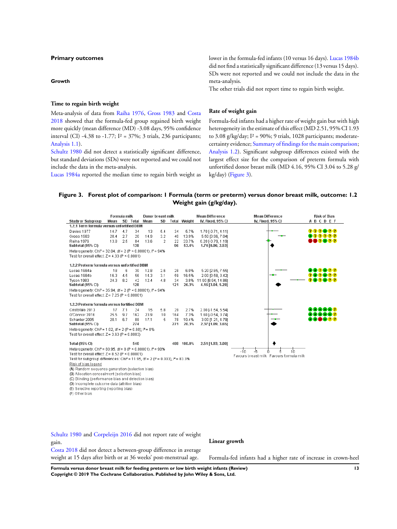#### **Primary outcomes**

#### **Growth**

**Time to regain birth weight**

Meta-analysis of data from Raiha 1976, Gross 1983 and Costa 2018 showed that the formula-fed group regained birth weight more quickly (mean difference (MD) -3.08 days, 95% confidence interval (CI) -4.38 to -1.77;  $I^2 = 37\%$ ; 3 trials, 236 participants; Analysis 1.1).

Schultz 1980 did not detect a statistically significant difference, but standard deviations (SDs) were not reported and we could not include the data in the meta-analysis.

Lucas 1984a reported the median time to regain birth weight as

lower in the formula-fed infants (10 versus 16 days). Lucas 1984b did not find a statistically significant difference (13 versus 15 days). SDs were not reported and we could not include the data in the meta-analysis.

The other trials did not report time to regain birth weight.

#### **Rate of weight gain**

Formula-fed infants had a higher rate of weight gain but with high heterogeneity in the estimate of this effect (MD 2.51, 95% CI 1.93 to 3.08 g/kg/day;  $I^2 = 90\%$ ; 9 trials, 1028 participants; moderatecertainty evidence; Summary of findings for the main comparison; Analysis 1.2). Significant subgroup differences existed with the largest effect size for the comparison of preterm formula with unfortified donor breast milk (MD 4.16, 95% CI 3.04 to 5.28 g/ kg/day) (Figure 3).

### **Figure 3. Forest plot of comparison: 1 Formula (term or preterm) versus donor breast milk, outcome: 1.2 Weight gain (g/kg/day).**



(C) Blinding (performance bias and detection bias)

(D) Incomplete outcome data (attrition bias)

(E) Selective reporting (reporting bias)

(F) Other bias

Schultz 1980 and Corpeleijn 2016 did not report rate of weight gain.

**Linear growth**

Costa 2018 did not detect a between-group difference in average weight at 15 days after birth or at 36 weeks' post-menstrual age.

Formula-fed infants had a higher rate of increase in crown-heel

**Formula versus donor breast milk for feeding preterm or low birth weight infants (Review) 13 Copyright © 2019 The Cochrane Collaboration. Published by John Wiley & Sons, Ltd.**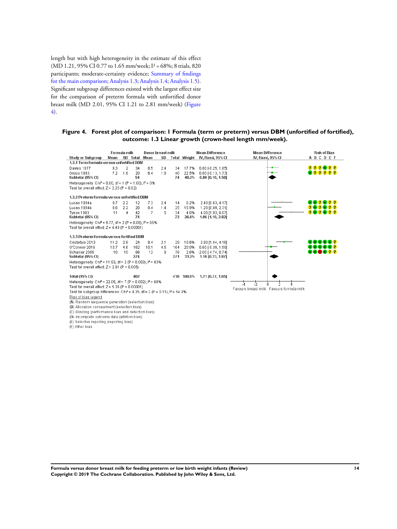length but with high heterogeneity in the estimate of this effect (MD 1.21, 95% CI 0.77 to 1.65 mm/week; I<sup>2</sup> = 68%; 8 trials, 820 participants; moderate-certainty evidence; Summary of findings for the main comparison; Analysis 1.3; Analysis 1.4; Analysis 1.5). Significant subgroup differences existed with the largest effect size for the comparison of preterm formula with unfortified donor breast milk (MD 2.01, 95% CI 1.21 to 2.81 mm/week) (Figure 4).

(E) Selective reporting (reporting bias)<br>(F) Other bias

### **Figure 4. Forest plot of comparison: 1 Formula (term or preterm) versus DBM (unfortified of fortified), outcome: 1.3 Linear growth (crown-heel length mm/week).**

|                                                                                               |      | Formula milk   |          | Donor breast milk |     |     |                     | <b>Mean Difference</b>    | <b>Mean Difference</b> | <b>Risk of Bias</b> |
|-----------------------------------------------------------------------------------------------|------|----------------|----------|-------------------|-----|-----|---------------------|---------------------------|------------------------|---------------------|
| <b>Study or Subgroup</b>                                                                      | Mean |                | SD Total | Mean              | SD  |     | <b>Total Weight</b> | IV. Fixed, 95% CI         | IV, Fixed, 95% CI      | ABCDEF              |
| 1.3.1 Term formula versus unfortified DBM                                                     |      |                |          |                   |     |     |                     |                           |                        |                     |
| Davies 1977                                                                                   | 9.3  | $\overline{2}$ | 34       | 8.5               | 2.4 | 34  | 17.7%               | $0.80$ [-0.25, 1.85]      |                        | 000000              |
| Gross 1983                                                                                    | 7.2  | 1.8            | 20       | 6.4               | 1.6 | 40  | 22.5%               | 0.80 [-0.13, 1.73]        |                        | 000000              |
| Subtotal (95% CI)                                                                             |      |                | 54       |                   |     | 74  | 40.2%               | $0.80$ [0.10, 1.50]       |                        |                     |
| Heterogeneity: Chi <sup>2</sup> = 0.00, df = 1 (P = 1.00): $P = 0\%$                          |      |                |          |                   |     |     |                     |                           |                        |                     |
| Test for overall effect: $Z = 2.25$ (P = 0.02)                                                |      |                |          |                   |     |     |                     |                           |                        |                     |
| 1.3.2 Preterm formula versus unfortified DBM                                                  |      |                |          |                   |     |     |                     |                           |                        |                     |
| Lucas 1984a                                                                                   | 9.7  | 2.2            | 12       | 7.3               | 2.4 | 14  | 6.2%                | 2.40 [0.63, 4.17]         |                        | - 2 - 2 2           |
| Lucas 1984b                                                                                   | 9.6  | 2.2            | 20       | 8.4               | 1.4 | 25  | 15.9%               | 1.20 [0.09, 2.31]         |                        |                     |
| Tyson 1983                                                                                    | 11   | 4              | 42       | 7                 | 5   | 34  | 4.6%                | 4.00 [1.93, 6.07]         |                        |                     |
| Subtotal (95% CI)                                                                             |      |                | 74       |                   |     | 73  | 26.6%               | 1.96 [1.10, 2.82]         |                        |                     |
| Heterogeneity: Chi <sup>2</sup> = 5.77, df = 2 (P = 0.06); i <sup>2</sup> = 65%               |      |                |          |                   |     |     |                     |                           |                        |                     |
| Test for overall effect: $Z = 4.49$ (P < 0.00001)                                             |      |                |          |                   |     |     |                     |                           |                        |                     |
| 1.3.3 Preterm formula versus fortified DBM                                                    |      |                |          |                   |     |     |                     |                           |                        |                     |
| Cristofalo 2013                                                                               | 11.2 | 2.8            | 24       | 8.4               | 2.1 | 29  | 10.6%               | 2.80 [1.44, 4.16]         |                        |                     |
| O'Connor 2016                                                                                 | 10.7 | 4.6            | 162      | 10.1              | 4.5 | 164 | 20.0%               | $0.60$ $[-0.39, 1.59]$    |                        |                     |
| Schanler 2005                                                                                 | 10   | 10             | 88       | 12                | 8   | 78  | 2.6%                | $-2.00$ [ $-4.74$ , 0.74] |                        | DO 22               |
| Subtotal (95% CI)                                                                             |      |                | 274      |                   |     | 271 | 33.2%               | 1.10 [0.33, 1.87]         |                        |                     |
| Heterogeneity: Chi <sup>2</sup> = 11.93, df = 2 (P = 0.003); i <sup>2</sup> = 83%             |      |                |          |                   |     |     |                     |                           |                        |                     |
| Test for overall effect: $Z = 2.81$ (P = 0.005)                                               |      |                |          |                   |     |     |                     |                           |                        |                     |
| <b>Total (95% CI)</b>                                                                         |      |                | 402      |                   |     |     | 418 100.0%          | 1.21 [0.77, 1.65]         |                        |                     |
| Heterogeneity: Chi <sup>2</sup> = 22.05, df = 7 (P = 0.002); i <sup>2</sup> = 68%             |      |                |          |                   |     |     |                     |                           | -5                     |                     |
| Test for overall effect: $Z = 5.36$ (P < 0.00001)<br>Favours breast milk Favours formula milk |      |                |          |                   |     |     |                     |                           |                        |                     |
| Test for subgroup differences: Chi <sup>2</sup> = 4.35, df = 2 (P = 0.11), $P = 54.0\%$       |      |                |          |                   |     |     |                     |                           |                        |                     |
| Risk of bias legend                                                                           |      |                |          |                   |     |     |                     |                           |                        |                     |
| (A) Random sequence generation (selection bias)                                               |      |                |          |                   |     |     |                     |                           |                        |                     |
| (B) Allocation concealment (selection bias)                                                   |      |                |          |                   |     |     |                     |                           |                        |                     |
| (C) Blinding (performance bias and detection bias)                                            |      |                |          |                   |     |     |                     |                           |                        |                     |
| (D) Incomplete outcome data (attrition bias)                                                  |      |                |          |                   |     |     |                     |                           |                        |                     |

**Formula versus donor breast milk for feeding preterm or low birth weight infants (Review) 14 Copyright © 2019 The Cochrane Collaboration. Published by John Wiley & Sons, Ltd.**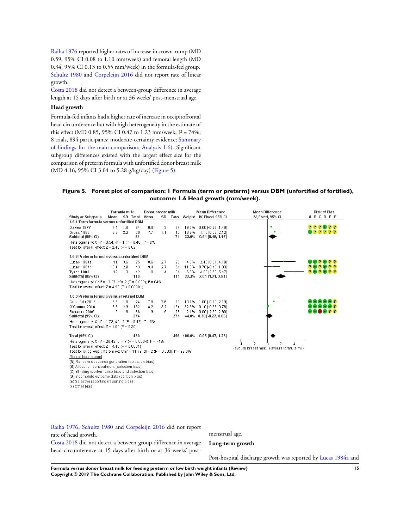Raiha 1976 reported higher rates of increase in crown-rump (MD 0.59, 95% CI 0.08 to 1.10 mm/week) and femoral length (MD 0.34, 95% CI 0.13 to 0.55 mm/week) in the formula-fed group. Schultz 1980 and Corpeleijn 2016 did not report rate of linear growth.

Costa 2018 did not detect a between-group difference in average length at 15 days after birth or at 36 weeks' post-menstrual age.

### **Head growth**

Formula-fed infants had a higher rate of increase in occipitofrontal head circumference but with high heterogeneity in the estimate of this effect (MD 0.85, 95% CI 0.47 to 1.23 mm/week; I² = 74%; 8 trials, 894 participants; moderate-certainty evidence; Summary of findings for the main comparison; Analysis 1.6). Significant subgroup differences existed with the largest effect size for the comparison of preterm formula with unfortified donor breast milk (MD 4.16, 95% CI 3.04 to 5.28 g/kg/day) (Figure 5).

### **Figure 5. Forest plot of comparison: 1 Formula (term or preterm) versus DBM (unfortified of fortified), outcome: 1.6 Head growth (mm/week).**

|                                                                                                                                               |      | Formula milk   |           | Donor breast milk |     |           |                | <b>Mean Difference</b>                   | <b>Mean Difference</b>                   | <b>Risk of Bias</b> |
|-----------------------------------------------------------------------------------------------------------------------------------------------|------|----------------|-----------|-------------------|-----|-----------|----------------|------------------------------------------|------------------------------------------|---------------------|
| <b>Study or Subgroup</b>                                                                                                                      | Mean |                | SD Total  | Mean              | SD  |           |                | Total Weight IV, Fixed, 95% CI           | IV. Fixed, 95% CI                        | ABCDEF              |
| 1.6.1 Term formula versus unfortified DBM                                                                                                     |      |                |           |                   |     |           |                |                                          |                                          |                     |
| Davies 1977                                                                                                                                   | 7.4  | 1.6            | 34        | 6.8               | 2   | 34        | 19.3%          | $0.60$ [-0.26, 1.46]                     |                                          | 222022              |
| Gross 1983<br>Subtotal (95% CI)                                                                                                               | 8.8  | 2.2            | 20<br>54  | 7.7               | 1.1 | 40<br>74  | 13.7%<br>33.0% | 1.10 [0.08, 2.12]<br>$0.81$ [0.15, 1.47] |                                          | 22222               |
| Heterogeneity: Chi <sup>2</sup> = 0.54, df = 1 (P = 0.46); $I^2$ = 0%                                                                         |      |                |           |                   |     |           |                |                                          |                                          |                     |
| Test for overall effect: $Z = 2.40$ (P = 0.02)                                                                                                |      |                |           |                   |     |           |                |                                          |                                          |                     |
|                                                                                                                                               |      |                |           |                   |     |           |                |                                          |                                          |                     |
| 1.6.2 Preterm formula versus unfortified DBM                                                                                                  |      |                |           |                   |     |           |                |                                          |                                          |                     |
| Lucas 1984a                                                                                                                                   | 11   | 3.6            | 25        | 8.6               | 2.7 | 23        | 4.5%           | 2.40 [0.61, 4.19]                        |                                          |                     |
| Lucas 1984b                                                                                                                                   | 10.1 | 2.9            | 43        | 9.4               | 2.7 | 54        | 11.3%          | $0.70$ [-0.43, 1.83]                     |                                          |                     |
| <b>Tyson 1983</b><br>Subtotal (95% CI)                                                                                                        | 12   | $\overline{2}$ | 42<br>110 | 8                 | 4   | 34<br>111 | 6.6%<br>22.3%  | 4.00 [2.53, 5.47]<br>2.01 [1.21, 2.81]   |                                          |                     |
|                                                                                                                                               |      |                |           |                   |     |           |                |                                          |                                          |                     |
| Heterogeneity: Chi <sup>2</sup> = 12.37, df = 2 (P = 0.002); l <sup>2</sup> = 84%<br>Test for overall effect; $Z = 4.93$ (P < 0.00001)        |      |                |           |                   |     |           |                |                                          |                                          |                     |
|                                                                                                                                               |      |                |           |                   |     |           |                |                                          |                                          |                     |
| 1.6.3 Preterm formula versus fortified DBM                                                                                                    |      |                |           |                   |     |           |                |                                          |                                          |                     |
| Cristofalo 2013                                                                                                                               | 8.8  | 1.8            | 24        | 7.8               | 2.6 | 29        | 10.1%          | 1.00 [-0.19, 2.19]                       |                                          |                     |
| O'Connor 2016                                                                                                                                 | 8.3  | 2.9            | 162       | 8.2               | 3.2 | 164       | 32.5%          | 0.10F10.56, 0.761                        |                                          |                     |
| Schanler 2005                                                                                                                                 | g.   | 8              | 88        | g                 | g   | 78        | 2.1%           | $0.00$ F $2.60$ , $2.601$                |                                          |                     |
| Subtotal (95% CI)                                                                                                                             |      |                | 274       |                   |     | 271       |                | 44.8% 0.30 [-0.27, 0.86]                 |                                          |                     |
| Heterogeneity: Chi <sup>2</sup> = 1.73, df = 2 (P = 0.42); $P = 0\%$                                                                          |      |                |           |                   |     |           |                |                                          |                                          |                     |
| Test for overall effect: $Z = 1.04$ (P = 0.30)                                                                                                |      |                |           |                   |     |           |                |                                          |                                          |                     |
|                                                                                                                                               |      |                | 438       |                   |     |           |                |                                          |                                          |                     |
| <b>Total (95% CI)</b>                                                                                                                         |      |                |           |                   |     |           | 456 100.0%     | $0.85$ [0.47, 1.23]                      |                                          |                     |
| Heterogeneity: Chi <sup>2</sup> = 26.42, df = 7 (P = 0.0004); $P = 74\%$                                                                      |      |                |           |                   |     |           |                |                                          |                                          |                     |
| Test for overall effect: $Z = 4.40$ (P < 0.0001)<br>Test for subgroup differences: Chi <sup>2</sup> = 11.78, df = 2 (P = 0.003), $P = 83.0\%$ |      |                |           |                   |     |           |                |                                          | Favours breast milk Favours formula milk |                     |
|                                                                                                                                               |      |                |           |                   |     |           |                |                                          |                                          |                     |
| Risk of bias legend                                                                                                                           |      |                |           |                   |     |           |                |                                          |                                          |                     |
| (A) Random sequence generation (selection bias)                                                                                               |      |                |           |                   |     |           |                |                                          |                                          |                     |
| (B) Allocation concealment (selection bias)<br>(C) Blinding (performance bias and detection bias)                                             |      |                |           |                   |     |           |                |                                          |                                          |                     |
| (D) Incomplete outcome data (attrition bias)                                                                                                  |      |                |           |                   |     |           |                |                                          |                                          |                     |
| (E) Selective reporting (reporting bias)                                                                                                      |      |                |           |                   |     |           |                |                                          |                                          |                     |
| (F) Other bias                                                                                                                                |      |                |           |                   |     |           |                |                                          |                                          |                     |
|                                                                                                                                               |      |                |           |                   |     |           |                |                                          |                                          |                     |

Raiha 1976, Schultz 1980 and Corpeleijn 2016 did not report rate of head growth. Costa 2018 did not detect a between-group difference in average head circumference at 15 days after birth or at 36 weeks' post-

menstrual age.

**Long-term growth**

Post-hospital discharge growth was reported by Lucas 1984a and

**Formula versus donor breast milk for feeding preterm or low birth weight infants (Review) 15 Copyright © 2019 The Cochrane Collaboration. Published by John Wiley & Sons, Ltd.**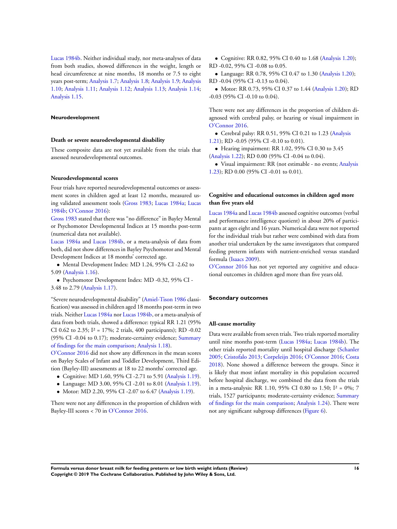Lucas 1984b. Neither individual study, nor meta-analyses of data from both studies, showed differences in the weight, length or head circumference at nine months, 18 months or 7.5 to eight years post-term; Analysis 1.7; Analysis 1.8; Analysis 1.9; Analysis 1.10; Analysis 1.11; Analysis 1.12; Analysis 1.13; Analysis 1.14; Analysis 1.15.

#### **Neurodevelopment**

#### **Death or severe neurodevelopmental disability**

These composite data are not yet available from the trials that assessed neurodevelopmental outcomes.

#### **Neurodevelopmental scores**

Four trials have reported neurodevelopmental outcomes or assessment scores in children aged at least 12 months, measured using validated assessment tools (Gross 1983; Lucas 1984a; Lucas 1984b; O'Connor 2016):

Gross 1983 stated that there was "no difference" in Bayley Mental or Psychomotor Developmental Indices at 15 months post-term (numerical data not available).

Lucas 1984a and Lucas 1984b, or a meta-analysis of data from both, did not show differences in Bayley Psychomotor and Mental Development Indices at 18 months' corrected age.

• Mental Development Index: MD 1.24, 95% CI -2.62 to 5.09 (Analysis 1.16).

• Psychomotor Development Index: MD -0.32, 95% CI - 3.48 to 2.79 (Analysis 1.17).

"Severe neurodevelopmental disability" (Amiel-Tison 1986 classification) was assessed in children aged 18 months post-term in two trials. Neither Lucas 1984a nor Lucas 1984b, or a meta-analysis of data from both trials, showed a difference: typical RR 1.21 (95% CI 0.62 to 2.35; I² = 17%; 2 trials, 400 participants); RD -0.02 (95% CI -0.04 to 0.17); moderate-certainty evidence; Summary of findings for the main comparison; Analysis 1.18).

O'Connor 2016 did not show any differences in the mean scores on Bayley Scales of Infant and Toddler Development, Third Edition (Bayley-III) assessments at 18 to 22 months' corrected age.

- Cognitive: MD 1.60, 95% CI -2.71 to 5.91 (Analysis 1.19).
- Language: MD 3.00, 95% CI -2.01 to 8.01 (Analysis 1.19).
- Motor: MD 2.20, 95% CI -2.07 to 6.47 (Analysis 1.19).

There were not any differences in the proportion of children with Bayley-III scores < 70 in O'Connor 2016.

• Cognitive: RR 0.82, 95% CI 0.40 to 1.68 (Analysis 1.20); RD -0.02, 95% CI -0.08 to 0.05.

• Language: RR 0.78, 95% CI 0.47 to 1.30 (Analysis 1.20); RD -0.04 (95% CI -0.13 to 0.04).

• Motor: RR 0.73, 95% CI 0.37 to 1.44 (Analysis 1.20); RD -0.03 (95% CI -0.10 to 0.04).

There were not any differences in the proportion of children diagnosed with cerebral palsy, or hearing or visual impairment in O'Connor 2016.

• Cerebral palsy: RR 0.51, 95% CI 0.21 to 1.23 (Analysis 1.21); RD -0.05 (95% CI -0.10 to 0.01).

• Hearing impairment: RR 1.02, 95% CI 0.30 to 3.45 (Analysis 1.22); RD 0.00 (95% CI -0.04 to 0.04).

• Visual impairment: RR (not estimable - no events; Analysis 1.23); RD 0.00 (95% CI -0.01 to 0.01).

### **Cognitive and educational outcomes in children aged more than five years old**

Lucas 1984a and Lucas 1984b assessed cognitive outcomes (verbal and performance intelligence quotient) in about 20% of participants at ages eight and 16 years. Numerical data were not reported for the individual trials but rather were combined with data from another trial undertaken by the same investigators that compared feeding preterm infants with nutrient-enriched versus standard formula (Isaacs 2009).

O'Connor 2016 has not yet reported any cognitive and educational outcomes in children aged more than five years old.

### **Secondary outcomes**

#### **All-cause mortality**

Data were available from seven trials. Two trials reported mortality until nine months post-term (Lucas 1984a; Lucas 1984b). The other trials reported mortality until hospital discharge (Schanler 2005; Cristofalo 2013; Corpeleijn 2016; O'Connor 2016; Costa 2018). None showed a difference between the groups. Since it is likely that most infant mortality in this population occurred before hospital discharge, we combined the data from the trials in a meta-analysis: RR 1.10, 95% CI 0.80 to 1.50;  $I^2 = 0\%$ ; 7 trials, 1527 participants; moderate-certainty evidence; Summary of findings for the main comparison; Analysis 1.24). There were not any significant subgroup differences (Figure 6).

**Formula versus donor breast milk for feeding preterm or low birth weight infants (Review) 16 Copyright © 2019 The Cochrane Collaboration. Published by John Wiley & Sons, Ltd.**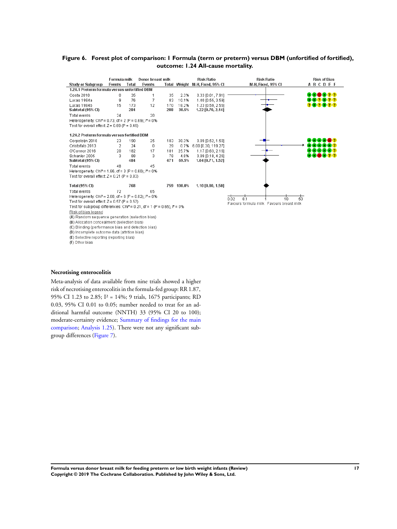### **Figure 6. Forest plot of comparison: 1 Formula (term or preterm) versus DBM (unfortified of fortified), outcome: 1.24 All-cause mortality.**

|                                                                      | Formula milk                                                                         |       | Donor breast milk |     |            | <b>Risk Ratio</b>               | <b>Risk Ratio</b>                        | <b>Risk of Bias</b> |  |
|----------------------------------------------------------------------|--------------------------------------------------------------------------------------|-------|-------------------|-----|------------|---------------------------------|------------------------------------------|---------------------|--|
| <b>Study or Subgroup</b>                                             | Events                                                                               | Total | Events            |     |            | Total Weight M-H, Fixed, 95% CI | M-H, Fixed, 95% CI                       | <b>ABCDEF</b>       |  |
| 1.24.1 Preterm formula versus unfortified DBM                        |                                                                                      |       |                   |     |            |                                 |                                          |                     |  |
| Costa 2018                                                           | 0                                                                                    | 35    |                   | 35  | 2.3%       | $0.33$ [0.01, 7.91]             |                                          | 22<br>+1+1          |  |
| Lucas 1984a                                                          | 9                                                                                    | 76    | 7                 | 83  | 10.1%      | 1.40 [0.55, 3.59]               |                                          | 212                 |  |
| Lucas 1984b                                                          | 15                                                                                   | 173   | 12                | 170 | 18.2%      | 1.23 [0.59, 2.55]               |                                          | <b>202022</b>       |  |
| Subtotal (95% CI)                                                    |                                                                                      | 284   |                   | 288 | 30.5%      | 1.22 [0.70, 2.14]               |                                          |                     |  |
| Total events                                                         | 24                                                                                   |       | 20                |     |            |                                 |                                          |                     |  |
| Heterogeneity: Chi <sup>2</sup> = 0.73, df = 2 (P = 0.69); $P = 0$ % |                                                                                      |       |                   |     |            |                                 |                                          |                     |  |
| Test for overall effect: $Z = 0.69$ (P = 0.49)                       |                                                                                      |       |                   |     |            |                                 |                                          |                     |  |
| 1.24.2 Preterm formula versus fortified DBM                          |                                                                                      |       |                   |     |            |                                 |                                          |                     |  |
| Corpeleijn 2016                                                      | 23                                                                                   | 190   | 25                | 183 | 38.3%      | $0.89$ [0.52, 1.50]             |                                          | $-1 - 1 - 1$        |  |
| Cristofalo 2013                                                      | $\overline{2}$                                                                       | 24    | 0                 | 29  | 0.7%       | 6.00 [0.30, 119.27]             |                                          |                     |  |
| O'Connor 2016                                                        | 20                                                                                   | 182   | 17                | 181 | 25.7%      | 1.17 [0.63, 2.16]               |                                          |                     |  |
| Schanler 2005                                                        | 3                                                                                    | 88    | 3                 | 78  | 4.8%       | $0.89$ [0.18, 4.26]             |                                          | 20022               |  |
| Subtotal (95% CI)                                                    |                                                                                      | 484   |                   | 471 | 69.5%      | 1.04 [0.71, 1.52]               |                                          |                     |  |
| Total events                                                         | 48                                                                                   |       | 45                |     |            |                                 |                                          |                     |  |
| Heterogeneity: Chi <sup>2</sup> = 1.86, df = 3 (P = 0.60); $P = 0\%$ |                                                                                      |       |                   |     |            |                                 |                                          |                     |  |
| Test for overall effect: $Z = 0.21$ (P = 0.83)                       |                                                                                      |       |                   |     |            |                                 |                                          |                     |  |
| <b>Total (95% CI)</b>                                                |                                                                                      | 768   |                   |     | 759 100.0% | 1.10 [0.80, 1.50]               |                                          |                     |  |
| Total events                                                         | 72                                                                                   |       | 65                |     |            |                                 |                                          |                     |  |
| Heterogeneity: Chi <sup>2</sup> = 2.88, df = 6 (P = 0.82); $P = 0\%$ |                                                                                      |       |                   |     |            |                                 | 50<br>0'1<br>n no<br>1'n                 |                     |  |
| Test for overall effect: $Z = 0.57$ (P = 0.57)                       |                                                                                      |       |                   |     |            |                                 | Favours formula milk Favours breast milk |                     |  |
|                                                                      | Test for subgroup differences: Chi <sup>2</sup> = 0.21, df = 1 (P = 0.65), $P = 0\%$ |       |                   |     |            |                                 |                                          |                     |  |
|                                                                      | Risk of bias legend                                                                  |       |                   |     |            |                                 |                                          |                     |  |
|                                                                      | (A) Random sequence generation (selection bias)                                      |       |                   |     |            |                                 |                                          |                     |  |
| (B) Allocation concealment (selection bias)                          |                                                                                      |       |                   |     |            |                                 |                                          |                     |  |
| (C) Blinding (performance bias and detection bias)                   |                                                                                      |       |                   |     |            |                                 |                                          |                     |  |
| (D) Incomplete outcome data (attrition bias)                         |                                                                                      |       |                   |     |            |                                 |                                          |                     |  |

### **Necrotising enterocolitis**

(F) Other bias

(E) Selective reporting (reporting bias)

Meta-analysis of data available from nine trials showed a higher risk of necrotising enterocolitis in the formula-fed group: RR 1.87, 95% CI 1.23 to 2.85; I² = 14%; 9 trials, 1675 participants; RD 0.03, 95% CI 0.01 to 0.05; number needed to treat for an additional harmful outcome (NNTH) 33 (95% CI 20 to 100); moderate-certainty evidence; Summary of findings for the main comparison; Analysis 1.25). There were not any significant subgroup differences (Figure 7).

**Formula versus donor breast milk for feeding preterm or low birth weight infants (Review) 17 Copyright © 2019 The Cochrane Collaboration. Published by John Wiley & Sons, Ltd.**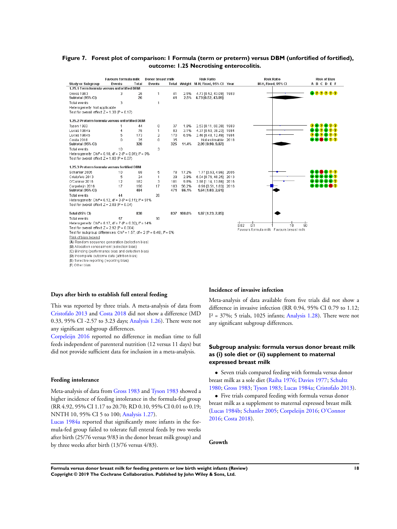### **Figure 7. Forest plot of comparison: 1 Formula (term or preterm) versus DBM (unfortified of fortified), outcome: 1.25 Necrotising enterocolitis.**

|                                                                                        | Favours formula milk<br>Events |            | Donor breast milk |            |                | <b>Risk Ratio</b>                             |      | <b>Risk Ratio</b>                        | <b>Risk of Bias</b> |
|----------------------------------------------------------------------------------------|--------------------------------|------------|-------------------|------------|----------------|-----------------------------------------------|------|------------------------------------------|---------------------|
| <b>Study or Subgroup</b><br>1.25.1 Term formula versus unfortified DBM                 |                                | Total      | Events            |            |                | Total Weight M-H, Fixed, 95% Cl Year          |      | M-H, Fixed, 95% CI                       | ABCDEF              |
| Gross 1983<br>Subtotal (95% CI)                                                        | 3                              | 26<br>26   | 1                 | 41<br>41   | 2.5%<br>2.5%   | 4.73 [0.52, 43.09] 1983<br>4.73 [0.52, 43.09] |      |                                          | 000000              |
| Total events                                                                           | 3                              |            | 1                 |            |                |                                               |      |                                          |                     |
| Heterogeneity: Not applicable                                                          |                                |            |                   |            |                |                                               |      |                                          |                     |
| Test for overall effect: $Z = 1.38$ (P = 0.17)                                         |                                |            |                   |            |                |                                               |      |                                          |                     |
| 1.25.2 Preterm formula versus unfortified DBM                                          |                                |            |                   |            |                |                                               |      |                                          |                     |
| Tyson 1983                                                                             | 1                              | 44         | 0                 | 37         | 1.8%           | 2.53 [0.11, 60.39] 1983                       |      |                                          | 2020<br>212         |
| Lucas 1984a                                                                            | 4                              | 76         | 1                 | 83         | 3.1%           | 4.37 [0.50, 38.23] 1984                       |      |                                          |                     |
| Lucas 1984b                                                                            | 5                              | 173        | 2                 | 170        | 6.5%           | 2.46 [0.48, 12.49] 1984                       |      |                                          |                     |
| Costa 2018<br>Subtotal (95% CI)                                                        | 0                              | 35<br>328  | 0                 | 35<br>325  | 11.4%          | Not estimable 2018<br>2.99 [0.90, 9.87]       |      |                                          | 80 D 22             |
| Total events                                                                           | 10                             |            | 3                 |            |                |                                               |      |                                          |                     |
| Heterogeneity: Chi <sup>2</sup> = 0.18, df = 2 (P = 0.91); $P = 0%$                    |                                |            |                   |            |                |                                               |      |                                          |                     |
| Test for overall effect: $Z = 1.80$ (P = 0.07)                                         |                                |            |                   |            |                |                                               |      |                                          |                     |
| 1.25.3 Preterm formula versus fortified DBM                                            |                                |            |                   |            |                |                                               |      |                                          |                     |
| Schanler 2005                                                                          | 10                             | 88         | 5                 | 78         | 17.2%          | 1.77 [0.63, 4.96] 2005                        |      |                                          | .                   |
| Cristofalo 2013                                                                        | 5                              | 24         | 1                 | 29         | 2.9%           | 6.04 [0.76, 48.25]                            | 2013 |                                          |                     |
| O'Connor 2016                                                                          | 12                             | 182        | 3                 | 181        | 9.8%           | 3.98 [1.14, 13.86] 2016                       |      |                                          |                     |
| Corpeleiin 2016<br>Subtotal (95% CI)                                                   | 17                             | 190<br>484 | 17                | 183<br>471 | 56.2%<br>86.1% | 0.96 (0.51, 1.83) 2016<br>1.64 [1.03, 2.61]   |      |                                          |                     |
| Total events                                                                           | 44                             |            | 26                |            |                |                                               |      |                                          |                     |
| Heterogeneity: Chi <sup>2</sup> = 6.12, df = 3 (P = 0.11); i <sup>2</sup> = 51%        |                                |            |                   |            |                |                                               |      |                                          |                     |
| Test for overall effect: $Z = 2.09$ (P = 0.04)                                         |                                |            |                   |            |                |                                               |      |                                          |                     |
| <b>Total (95% CI)</b>                                                                  |                                | 838        |                   |            | 837 100.0%     | 1.87 [1.23, 2.85]                             |      |                                          |                     |
| <b>Total events</b>                                                                    | 57                             |            | 30                |            |                |                                               |      |                                          |                     |
| Heterogeneity: Chi <sup>2</sup> = 8.17, df = 7 (P = 0.32); i <sup>2</sup> = 14%        |                                |            |                   |            |                |                                               |      |                                          |                     |
| Test for overall effect: $Z = 2.92$ (P = 0.004)                                        |                                |            |                   |            |                |                                               |      | $\frac{1}{0.02}$<br>0.1<br>10            | 50                  |
| Test for subgroup differences: Chi <sup>2</sup> = 1.57, df = 2 (P = 0.46), $I^2 = 0\%$ |                                |            |                   |            |                |                                               |      | Favours formula milk Favours breast milk |                     |
| Risk of bias legend                                                                    |                                |            |                   |            |                |                                               |      |                                          |                     |
| (A) Random sequence generation (selection bias)                                        |                                |            |                   |            |                |                                               |      |                                          |                     |
| (B) Allocation concealment (selection bias)                                            |                                |            |                   |            |                |                                               |      |                                          |                     |
| (C) Blinding (performance bias and detection bias)                                     |                                |            |                   |            |                |                                               |      |                                          |                     |
| (D) Incomplete outcome data (attrition bias)                                           |                                |            |                   |            |                |                                               |      |                                          |                     |
| (E) Selective reporting (reporting bias)                                               |                                |            |                   |            |                |                                               |      |                                          |                     |
| (F) Other bias                                                                         |                                |            |                   |            |                |                                               |      |                                          |                     |

### **Days after birth to establish full enteral feeding**

This was reported by three trials. A meta-analysis of data from Cristofalo 2013 and Costa 2018 did not show a difference (MD 0.33, 95% CI -2.57 to 3.23 days; Analysis 1.26). There were not any significant subgroup differences.

Corpeleijn 2016 reported no difference in median time to full feeds independent of parenteral nutrition (12 versus 11 days) but did not provide sufficient data for inclusion in a meta-analysis.

#### **Feeding intolerance**

Meta-analysis of data from Gross 1983 and Tyson 1983 showed a higher incidence of feeding intolerance in the formula-fed group (RR 4.92, 95% CI 1.17 to 20.70; RD 0.10, 95% CI 0.01 to 0.19; NNTH 10, 95% CI 5 to 100; Analysis 1.27).

Lucas 1984a reported that significantly more infants in the formula-fed group failed to tolerate full enteral feeds by two weeks after birth (25/76 versus 9/83 in the donor breast milk group) and by three weeks after birth (13/76 versus 4/83).

### **Incidence of invasive infection**

Meta-analysis of data available from five trials did not show a difference in invasive infection (RR 0.94, 95% CI 0.79 to 1.12;  $I^2 = 37\%$ ; 5 trials, 1025 infants; Analysis 1.28). There were not any significant subgroup differences.

### **Subgroup analysis: formula versus donor breast milk as (i) sole diet or (ii) supplement to maternal expressed breast milk**

• Seven trials compared feeding with formula versus donor breast milk as a sole diet (Raiha 1976; Davies 1977; Schultz 1980; Gross 1983; Tyson 1983; Lucas 1984a; Cristofalo 2013).

• Five trials compared feeding with formula versus donor breast milk as a supplement to maternal expressed breast milk (Lucas 1984b; Schanler 2005; Corpeleijn 2016; O'Connor 2016; Costa 2018).

#### **Growth**

**Formula versus donor breast milk for feeding preterm or low birth weight infants (Review) 18 Copyright © 2019 The Cochrane Collaboration. Published by John Wiley & Sons, Ltd.**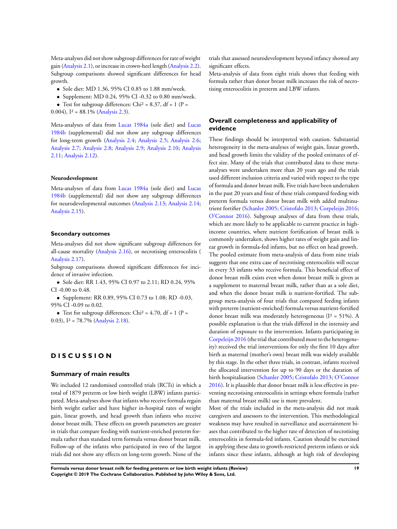Meta-analyses did not show subgroup differences for rate of weight gain (Analysis 2.1), or increase in crown-heel length (Analysis 2.2). Subgroup comparisons showed significant differences for head growth.

- Sole diet: MD 1.36, 95% CI 0.85 to 1.88 mm/week.
- Supplement: MD 0.24, 95% CI -0.32 to 0.80 mm/week.
- Test for subgroup differences: Chi<sup>2</sup> = 8.37, df = 1 (P =

0.004),  $I^2 = 88.1\%$  (Analysis 2.3).

Meta-analyses of data from Lucas 1984a (sole diet) and Lucas 1984b (supplemental) did not show any subgroup differences for long-term growth (Analysis 2.4; Analysis 2.5; Analysis 2.6; Analysis 2.7; Analysis 2.8; Analysis 2.9; Analysis 2.10; Analysis 2.11; Analysis 2.12).

#### **Neurodevelopment**

Meta-analyses of data from Lucas 1984a (sole diet) and Lucas 1984b (supplemental) did not show any subgroup differences for neurodevelopmental outcomes (Analysis 2.13; Analysis 2.14; Analysis 2.15).

#### **Secondary outcomes**

Meta-analyses did not show significant subgroup differences for all-cause mortality (Analysis 2.16), or necrotising enterocolitis ( Analysis 2.17).

Subgroup comparisons showed significant differences for incidence of invasive infection.

• Sole diet: RR 1.43, 95% CI 0.97 to 2.11; RD 0.24, 95% CI -0.00 to 0.48.

• Supplement: RR 0.89, 95% CI 0.73 to 1.08; RD -0.03, 95% CI -0.09 to 0.02.

• Test for subgroup differences: Chi<sup>2</sup> = 4.70, df = 1 (P = 0.03), I² = 78.7% (Analysis 2.18).

# **D I S C U S S I O N**

### **Summary of main results**

We included 12 randomised controlled trials (RCTs) in which a total of 1879 preterm or low birth weight (LBW) infants participated. Meta-analyses show that infants who receive formula regain birth weight earlier and have higher in-hospital rates of weight gain, linear growth, and head growth than infants who receive donor breast milk. These effects on growth parameters are greater in trials that compare feeding with nutrient-enriched preterm formula rather than standard term formula versus donor breast milk. Follow-up of the infants who participated in two of the largest trials did not show any effects on long-term growth. None of the trials that assessed neurodevelopment beyond infancy showed any significant effects.

Meta-analysis of data from eight trials shows that feeding with formula rather than donor breast milk increases the risk of necrotising enterocolitis in preterm and LBW infants.

### **Overall completeness and applicability of evidence**

These findings should be interpreted with caution. Substantial heterogeneity in the meta-analyses of weight gain, linear growth, and head growth limits the validity of the pooled estimates of effect size. Many of the trials that contributed data to these metaanalyses were undertaken more than 20 years ago and the trials used different inclusion criteria and varied with respect to the type of formula and donor breast milk. Five trials have been undertaken in the past 20 years and four of these trials compared feeding with preterm formula versus donor breast milk with added multinutrient fortifier (Schanler 2005; Cristofalo 2013; Corpeleijn 2016; O'Connor 2016). Subgroup analyses of data from these trials, which are more likely to be applicable to current practice in highincome countries, where nutrient fortification of breast milk is commonly undertaken, shows higher rates of weight gain and linear growth in formula-fed infants, but no effect on head growth. The pooled estimate from meta-analysis of data from nine trials suggests that one extra case of necrotising enterocolitis will occur in every 33 infants who receive formula. This beneficial effect of donor breast milk exists even when donor breast milk is given as a supplement to maternal breast milk, rather than as a sole diet, and when the donor breast milk is nutrient-fortified. The subgroup meta-analysis of four trials that compared feeding infants with preterm (nutrient-enriched) formula versus nutrient-fortified donor breast milk was moderately heterogeneous ( $I^2 = 51\%$ ). A possible explanation is that the trials differed in the intensity and duration of exposure to the intervention. Infants participating in Corpeleijn 2016 (the trial that contributed most to the heterogeneity) received the trial interventions for only the first 10 days after birth as maternal (mother's own) breast milk was widely available by this stage. In the other three trials, in contrast, infants received the allocated intervention for up to 90 days or the duration of birth hospitalisation (Schanler 2005; Cristofalo 2013; O'Connor 2016). It is plausible that donor breast milk is less effective in preventing necrotising enterocolitis in settings where formula (rather than maternal breast milk) use is more prevalent.

Most of the trials included in the meta-analysis did not mask caregivers and assessors to the intervention. This methodological weakness may have resulted in surveillance and ascertainment biases that contributed to the higher rate of detection of necrotising enterocolitis in formula-fed infants. Caution should be exercised in applying these data to growth-restricted preterm infants or sick infants since these infants, although at high risk of developing

**Formula versus donor breast milk for feeding preterm or low birth weight infants (Review) 19 Copyright © 2019 The Cochrane Collaboration. Published by John Wiley & Sons, Ltd.**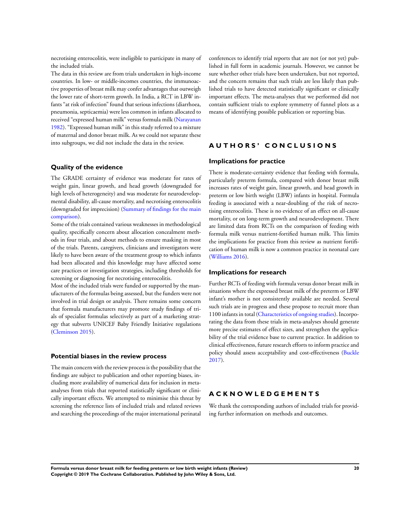necrotising enterocolitis, were ineligible to participate in many of the included trials.

The data in this review are from trials undertaken in high-income countries. In low- or middle-incomes countries, the immunoactive properties of breast milk may confer advantages that outweigh the lower rate of short-term growth. In India, a RCT in LBW infants "at risk of infection" found that serious infections (diarrhoea, pneumonia, septicaemia) were less common in infants allocated to received "expressed human milk" versus formula milk (Narayanan 1982). "Expressed human milk" in this study referred to a mixture of maternal and donor breast milk. As we could not separate these into subgroups, we did not include the data in the review.

### **Quality of the evidence**

The GRADE certainty of evidence was moderate for rates of weight gain, linear growth, and head growth (downgraded for high levels of heterogeneity) and was moderate for neurodevelopmental disability, all-cause mortality, and necrotising enterocolitis (downgraded for imprecision) (Summary of findings for the main comparison).

Some of the trials contained various weaknesses in methodological quality, specifically concern about allocation concealment methods in four trials, and about methods to ensure masking in most of the trials. Parents, caregivers, clinicians and investigators were likely to have been aware of the treatment group to which infants had been allocated and this knowledge may have affected some care practices or investigation strategies, including thresholds for screening or diagnosing for necrotising enterocolitis.

Most of the included trials were funded or supported by the manufacturers of the formulas being assessed, but the funders were not involved in trial design or analysis. There remains some concern that formula manufacturers may promote study findings of trials of specialist formulas selectively as part of a marketing strategy that subverts UNICEF Baby Friendly Initiative regulations (Cleminson 2015).

### **Potential biases in the review process**

The main concern with the review process is the possibility that the findings are subject to publication and other reporting biases, including more availability of numerical data for inclusion in metaanalyses from trials that reported statistically significant or clinically important effects. We attempted to minimise this threat by screening the reference lists of included trials and related reviews and searching the proceedings of the major international perinatal conferences to identify trial reports that are not (or not yet) published in full form in academic journals. However, we cannot be sure whether other trials have been undertaken, but not reported, and the concern remains that such trials are less likely than published trials to have detected statistically significant or clinically important effects. The meta-analyses that we performed did not contain sufficient trials to explore symmetry of funnel plots as a means of identifying possible publication or reporting bias.

# **A U T H O R S ' C O N C L U S I O N S**

### **Implications for practice**

There is moderate-certainty evidence that feeding with formula, particularly preterm formula, compared with donor breast milk increases rates of weight gain, linear growth, and head growth in preterm or low birth weight (LBW) infants in hospital. Formula feeding is associated with a near-doubling of the risk of necrotising enterocolitis. These is no evidence of an effect on all-cause mortality, or on long-term growth and neurodevelopment. There are limited data from RCTs on the comparison of feeding with formula milk versus nutrient-fortified human milk. This limits the implications for practice from this review as nutrient fortification of human milk is now a common practice in neonatal care (Williams 2016).

### **Implications for research**

Further RCTs of feeding with formula versus donor breast milk in situations where the expressed breast milk of the preterm or LBW infant's mother is not consistently available are needed. Several such trials are in progress and these propose to recruit more than 1100 infants in total (Characteristics of ongoing studies). Incorporating the data from these trials in meta-analyses should generate more precise estimates of effect sizes, and strengthen the applicability of the trial evidence base to current practice. In addition to clinical effectiveness, future research efforts to inform practice and policy should assess acceptability and cost-effectiveness (Buckle 2017).

# **A C K N O W L E D G E M E N T S**

We thank the corresponding authors of included trials for providing further information on methods and outcomes.

**Formula versus donor breast milk for feeding preterm or low birth weight infants (Review) 20 Copyright © 2019 The Cochrane Collaboration. Published by John Wiley & Sons, Ltd.**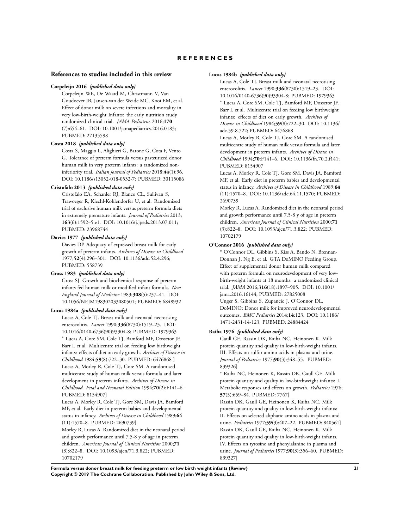### **R E F E R E N C E S**

#### **References to studies included in this review**

#### **Corpeleijn 2016** *{published data only}*

Corpeleijn WE, De Waard M, Christmann V, Van Goudoever JB, Jansen-van der Weide MC, Kooi EM, et al. Effect of donor milk on severe infections and mortality in very low-birth-weight Infants: the early nutrition study randomized clinical trial. *JAMA Pediatrics* 2016;**170** (7):654–61. DOI: 10.1001/jamapediatrics.2016.0183; PUBMED: 27135598

#### **Costa 2018** *{published data only}*

Costa S, Maggio L, Alighieri G, Barone G, Cota F, Vento G. Tolerance of preterm formula versus pasteurized donor human milk in very preterm infants: a randomized noninferiority trial. *Italian Journal of Pediatrics* 2018;**44**(1):96. DOI: 10.1186/s13052-018-0532-7; PUBMED: 30115086

#### **Cristofalo 2013** *{published data only}*

Cristofalo EA, Schanler RJ, Blanco CL, Sullivan S, Trawoeger R, Kiechl-Kohlendorfer U, et al. Randomized trial of exclusive human milk versus preterm formula diets in extremely premature infants. *Journal of Pediatrics* 2013; **163**(6):1592–5.e1. DOI: 10.1016/j.jpeds.2013.07.011; PUBMED: 23968744

#### **Davies 1977** *{published data only}*

Davies DP. Adequacy of expressed breast milk for early growth of preterm infants. *Archives of Disease in Childhood* 1977;**52**(4):296–301. DOI: 10.1136/adc.52.4.296; PUBMED: 558739

#### **Gross 1983** *{published data only}*

Gross SJ. Growth and biochemical response of preterm infants fed human milk or modified infant formula. *New England Journal of Medicine* 1983;**308**(5):237–41. DOI: 10.1056/NEJM198302033080501; PUBMED: 6848932

#### **Lucas 1984a** *{published data only}*

Lucas A, Cole TJ. Breast milk and neonatal necrotising enterocolitis. *Lancet* 1990;**336**(8730):1519–23. DOI: 10.1016/0140-6736(90)93304-8; PUBMED: 1979363 <sup>∗</sup> Lucas A, Gore SM, Cole TJ, Bamford MF, Dossetor JF, Barr I, et al. Multicentre trial on feeding low birthweight infants: effects of diet on early growth. *Archives of Disease in Childhood* 1984;**59**(8):722–30. PUBMED: 6476868 ] Lucas A, Morley R, Cole TJ, Gore SM. A randomised multicentre study of human milk versus formula and later development in preterm infants. *Archives of Disease in Childhood. Fetal and Neonatal Edition* 1994;**70**(2):F141–6. PUBMED: 8154907]

Lucas A, Morley R, Cole TJ, Gore SM, Davis JA, Bamford MF, et al. Early diet in preterm babies and developmental status in infancy. *Archives of Disease in Childhood* 1989;**64** (11):1570–8. PUBMED: 2690739]

Morley R, Lucas A. Randomized diet in the neonatal period and growth performance until 7.5-8 y of age in preterm children. *American Journal of Clinical Nutrition* 2000;**71** (3):822–8. DOI: 10.1093/ajcn/71.3.822; PUBMED: 10702179

#### **Lucas 1984b** *{published data only}*

Lucas A, Cole TJ. Breast milk and neonatal necrotising enterocolitis. *Lancet* 1990;**336**(8730):1519–23. DOI: 10.1016/0140-6736(90)93304-8; PUBMED: 1979363 <sup>∗</sup> Lucas A, Gore SM, Cole TJ, Bamford MF, Dossetor JF, Barr I, et al. Multicentre trial on feeding low birthweight infants: effects of diet on early growth. *Archives of Disease in Childhood* 1984;**59**(8):722–30. DOI: 10.1136/ adc.59.8.722; PUBMED: 6476868

Lucas A, Morley R, Cole TJ, Gore SM. A randomised multicentre study of human milk versus formula and later development in preterm infants. *Archives of Disease in Childhood* 1994;**70**:F141–6. DOI: 10.1136/fn.70.2.f141; PUBMED: 8154907

Lucas A, Morley R, Cole TJ, Gore SM, Davis JA, Bamford MF, et al. Early diet in preterm babies and developmental status in infancy. *Archives of Disease in Childhood* 1989;**64** (11):1570–8. DOI: 10.1136/adc.64.11.1570; PUBMED: 2690739

Morley R, Lucas A. Randomized diet in the neonatal period and growth performance until 7.5-8 y of age in preterm children. *American Journal of Clinical Nutrition* 2000;**71** (3):822–8. DOI: 10.1093/ajcn/71.3.822; PUBMED: 10702179

#### **O'Connor 2016** *{published data only}*

<sup>∗</sup> O'Connor DL, Gibbins S, Kiss A, Bando N, Brennan-Donnan J, Ng E, et al. GTA DoMINO Feeding Group. Effect of supplemental donor human milk compared with preterm formula on neurodevelopment of very lowbirth-weight infants at 18 months: a randomized clinical trial. *JAMA* 2016;**316**(18):1897–905. DOI: 10.1001/ jama.2016.16144; PUBMED: 27825008 Unger S, Gibbins S, Zupancic J, O'Connor DL.

DoMINO: Donor milk for improved neurodevelopmental outcomes. *BMC Pediatrics* 2014;**14**:123. DOI: 10.1186/ 1471-2431-14-123; PUBMED: 24884424

### **Raiha 1976** *{published data only}*

Gaull GE, Rassin DK, Raiha NC, Heinonen K. Milk protein quantity and quality in low-birth-weight infants. III. Effects on sulfur amino acids in plasma and urine. *Journal of Pediatrics* 1977;**90**(3):348–55. PUBMED: 839326]

<sup>∗</sup> Raiha NC, Heinonen K, Rassin DK, Gaull GE. Milk protein quantity and quality in low-birthweight infants: I. Metabolic responses and effects on growth. *Pediatrics* 1976; **57**(5):659–84. PUBMED: 7767]

Rassin DK, Gaull GE, Heinonen K, Raiha NC. Milk protein quantity and quality in low-birth-weight infants: II. Effects on selected aliphatic amino acids in plasma and urine. *Pediatrics* 1977;**59**(3):407–22. PUBMED: 840561] Rassin DK, Gaull GE, Raiha NC, Heinonen K. Milk protein quantity and quality in low-birth-weight infants. IV. Effects on tyrosine and phenylalanine in plasma and urine. *Journal of Pediatrics* 1977;**90**(3):356–60. PUBMED: 839327]

**Formula versus donor breast milk for feeding preterm or low birth weight infants (Review) 21 Copyright © 2019 The Cochrane Collaboration. Published by John Wiley & Sons, Ltd.**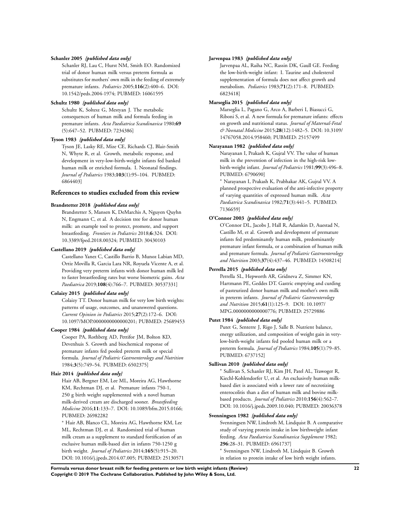#### **Schanler 2005** *{published data only}*

Schanler RJ, Lau C, Hurst NM, Smith EO. Randomized trial of donor human milk versus preterm formula as substitutes for mothers' own milk in the feeding of extremely premature infants. *Pediatrics* 2005;**116**(2):400–6. DOI: 10.1542/peds.2004-1974; PUBMED: 16061595

#### **Schultz 1980** *{published data only}*

Schultz K, Soltesz G, Mestyan J. The metabolic consequences of human milk and formula feeding in premature infants. *Acta Paediatrica Scandinavica* 1980;**69** (5):647–52. PUBMED: 7234386]

#### **Tyson 1983** *{published data only}*

Tyson JE, Lasky RE, Mize CE, Richards CJ, Blair-Smith N, Whyte R, et al. Growth, metabolic response, and development in very-low-birth-weight infants fed banked human milk or enriched formula. I. Neonatal findings. *Journal of Pediatrics* 1983;**103**(1):95–104. PUBMED: 6864403]

#### **References to studies excluded from this review**

#### **Brandstetter 2018** *{published data only}*

Brandstetter S, Mansen K, DeMarchis A, Nguyen Quyhn N, Engmann C, et al. A decision tree for donor human milk: an example tool to protect, promote, and support breastfeeding. *Frontiers in Pediatrics* 2018;**6**:324. DOI: 10.3389/fped.2018.00324; PUBMED: 30430103

#### **Castellano 2019** *{published data only}*

Castellano Yanez C, Castillo Barrio B, Munoz Labian MD, Ortiz Movilla R, Garcia Lara NR, Royuela Vicente A, et al. Providing very preterm infants with donor human milk led to faster breastfeeding rates but worse biometric gains. *Acta Paediatrica* 2019;**108**(4):766–7. PUBMED: 30537331]

### **Colaizy 2015** *{published data only}*

Colaizy TT. Donor human milk for very low birth weights: patterns of usage, outcomes, and unanswered questions. *Current Opinion in Pediatrics* 2015;**27**(2):172–6. DOI: 10.1097/MOP.0000000000000201; PUBMED: 25689453

#### **Cooper 1984** *{published data only}*

Cooper PA, Rothberg AD, Pettifor JM, Bolton KD, Devenhuis S. Growth and biochemical response of premature infants fed pooled preterm milk or special formula. *Journal of Pediatric Gastroenterology and Nutrition* 1984;**3**(5):749–54. PUBMED: 6502375]

### **Hair 2014** *{published data only}*

Hair AB, Bergner EM, Lee ML, Moreira AG, Hawthorne KM, Rechtman DJ, et al. Premature infants 750-1, 250 g birth weight supplemented with a novel human milk-derived cream are discharged sooner. *Breastfeeding Medicine* 2016;**11**:133–7. DOI: 10.1089/bfm.2015.0166; PUBMED: 26982282

<sup>∗</sup> Hair AB, Blanco CL, Moreira AG, Hawthorne KM, Lee ML, Rechtman DJ, et al. Randomized trial of human milk cream as a supplement to standard fortification of an exclusive human milk-based diet in infants 750-1250 g birth weight. *Journal of Pediatrics* 2014;**165**(5):915–20. DOI: 10.1016/j.jpeds.2014.07.005; PUBMED: 25130571

#### **Jarvenpaa 1983** *{published data only}*

Jarvenpaa AL, Raiha NC, Rassin DK, Gaull GE. Feeding the low-birth-weight infant: I. Taurine and cholesterol supplementation of formula does not affect growth and metabolism. *Pediatrics* 1983;**71**(2):171–8. PUBMED: 6823418]

#### **Marseglia 2015** *{published data only}*

Marseglia L, Pagano G, Arco A, Barberi I, Biasucci G, Riboni S, et al. A new formula for premature infants: effects on growth and nutritional status. *Journal of Maternal-Fetal & Neonatal Medicine* 2015;**28**(12):1482–5. DOI: 10.3109/ 14767058.2014.958460; PUBMED: 25157499

#### **Narayanan 1982** *{published data only}*

Narayanan I, Prakash K, Gujral VV. The value of human milk in the prevention of infection in the high-risk lowbirth-weight infant. *Journal of Pediatrics* 1981;**99**(3):496–8. PUBMED: 6790690]

<sup>∗</sup> Narayanan I, Prakash K, Prabhakar AK, Gujral VV. A planned prospective evaluation of the anti-infective property of varying quantities of expressed human milk. *Acta Paediatrica Scandinavica* 1982;**71**(3):441–5. PUBMED: 7136659]

#### **O'Connor 2003** *{published data only}*

O'Connor DL, Jacobs J, Hall R, Adamkin D, Auestad N, Castillo M, et al. Growth and development of premature infants fed predominantly human milk, predominantly premature infant formula, or a combination of human milk and premature formula. *Journal of Pediatric Gastroenterology and Nutrition* 2003;**37**(4):437–46. PUBMED: 14508214]

### **Perrella 2015** *{published data only}*

Perrella SL, Hepworth AR, Gridneva Z, Simmer KN, Hartmann PE, Geddes DT. Gastric emptying and curding of pasteurized donor human milk and mother's own milk in preterm infants. *Journal of Pediatric Gastroenterology and Nutrition* 2015;**61**(1):125–9. DOI: 10.1097/ MPG.0000000000000776; PUBMED: 25729886

### **Putet 1984** *{published data only}*

Putet G, Senterre J, Rigo J, Salle B. Nutrient balance, energy utilization, and composition of weight gain in verylow-birth-weight infants fed pooled human milk or a preterm formula. *Journal of Pediatrics* 1984;**105**(1):79–85. PUBMED: 6737152]

#### **Sullivan 2010** *{published data only}*

<sup>∗</sup> Sullivan S, Schanler RJ, Kim JH, Patel AL, Trawoger R, Kiechl-Kohlendorfer U, et al. An exclusively human milkbased diet is associated with a lower rate of necrotizing enterocolitis than a diet of human milk and bovine milkbased products. *Journal of Pediatrics* 2010;**156**(4):562–7. DOI: 10.1016/j.jpeds.2009.10.040; PUBMED: 20036378

### **Svenningsen 1982** *{published data only}*

Svenningsen NW, Lindroth M, Lindquist B. A comparative study of varying protein intake in low birthweight infant feeding. *Acta Paediatrica Scandinavica Supplement* 1982; **296**:28–31. PUBMED: 6961737]

<sup>∗</sup> Svenningsen NW, Lindroth M, Lindquist B. Growth in relation to protein intake of low birth weight infants.

**Formula versus donor breast milk for feeding preterm or low birth weight infants (Review) 22 Copyright © 2019 The Cochrane Collaboration. Published by John Wiley & Sons, Ltd.**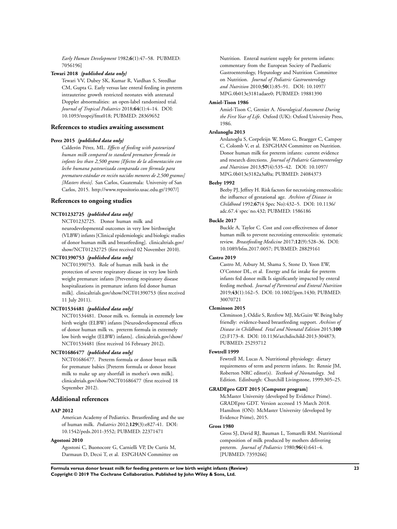*Early Human Development* 1982;**6**(1):47–58. PUBMED: 7056196]

#### **Tewari 2018** *{published data only}*

Tewari VV, Dubey SK, Kumar R, Vardhan S, Sreedhar CM, Gupta G. Early versus late enteral feeding in preterm intrauterine growth restricted neonates with antenatal Doppler abnormalities: an open-label randomized trial. *Journal of Tropical Pediatrics* 2018;**64**(1):4–14. DOI: 10.1093/tropej/fmx018; PUBMED: 28369652

### **References to studies awaiting assessment**

#### **Perez 2015** *{published data only}*

Calderón Pérez, ML. *Effects of feeding with pasteurized human milk compared to standard premature formula in infants less than 2,500 grams [Efectos de la alimentación con leche humana pasteurizada comparada con fórmula para prematuro estándar en recién nacidos menores de 2,500 gramos] [Masters thesis]*. San Carlos, Guatemala: University of San Carlos, 2015. http://www.repositorio.usac.edu.gt/1907/]

### **References to ongoing studies**

#### **NCT01232725** *{published data only}*

NCT01232725. Donor human milk and neurodevelopmental outcomes in very low birthweight (VLBW) infants [Clinical epidemiologic and biologic studies of donor human milk and breastfeeding]. clinicaltrials.gov/ show/NCT01232725 (first received 02 November 2010).

#### **NCT01390753** *{published data only}*

NCT01390753. Role of human milk bank in the protection of severe respiratory disease in very low birth weight premature infants [Preventing respiratory disease hospitalizations in premature infants fed donor human milk]. clinicaltrials.gov/show/NCT01390753 (first received 11 July 2011).

#### **NCT01534481** *{published data only}*

NCT01534481. Donor milk vs. formula in extremely low birth weight (ELBW) infants [Neurodevelopmental effects of donor human milk vs. preterm formula in extremely low birth weight (ELBW) infants]. clinicaltrials.gov/show/ NCT01534481 (first received 16 February 2012).

#### **NCT01686477** *{published data only}*

NCT01686477. Preterm formula or donor breast milk for premature babies [Preterm formula or donor breast milk to make up any shortfall in mother's own milk]. clinicaltrials.gov/show/NCT01686477 (first received 18 September 2012).

### **Additional references**

#### **AAP 2012**

American Academy of Pediatrics. Breastfeeding and the use of human milk. *Pediatrics* 2012;**129**(3):e827-41. DOI: 10.1542/peds.2011-3552; PUBMED: 22371471

### **Agostoni 2010**

Agostoni C, Buonocore G, Carnielli VP, De Curtis M, Darmaun D, Decsi T, et al. ESPGHAN Committee on Nutrition. Enteral nutrient supply for preterm infants: commentary from the European Society of Paediatric Gastroenterology, Hepatology and Nutrition Committee on Nutrition. *Journal of Pediatric Gastroenterology and Nutrition* 2010;**50**(1):85–91. DOI: 10.1097/ MPG.0b013e3181adaee0; PUBMED: 19881390

#### **Amiel-Tison 1986**

Amiel-Tison C, Grenier A. *Neurological Assessment During the First Year of Life*. Oxford (UK): Oxford University Press, 1986.

#### **Arslanoglu 2013**

Arslanoglu S, Corpeleijn W, Moro G, Braegger C, Campoy C, Colomb V, et al. ESPGHAN Committee on Nutrition. Donor human milk for preterm infants: current evidence and research directions. *Journal of Pediatric Gastroenterology and Nutrition* 2013;**57**(4):535–42. DOI: 10.1097/ MPG.0b013e3182a3af0a; PUBMED: 24084373

#### **Beeby 1992**

Beeby PJ, Jeffrey H. Risk factors for necrotising enterocolitis: the influence of gestational age. *Archives of Disease in Childhood* 1992;**67**(4 Spec No):432–5. DOI: 10.1136/ adc.67.4˙spec˙no.432; PUBMED: 1586186

#### **Buckle 2017**

Buckle A, Taylor C. Cost and cost-effectiveness of donor human milk to prevent necrotizing enterocolitis: systematic review. *Breastfeeding Medicine* 2017;**12**(9):528–36. DOI: 10.1089/bfm.2017.0057; PUBMED: 28829161

#### **Castro 2019**

Castro M, Asbury M, Shama S, Stone D, Yoon EW, O'Connor DL, et al. Energy and fat intake for preterm infants fed donor milk Is significantly impacted by enteral feeding method. *Journal of Parenteral and Enteral Nutrition* 2019;**43**(1):162–5. DOI: 10.1002/jpen.1430; PUBMED: 30070721

#### **Cleminson 2015**

Cleminson J, Oddie S, Renfrew MJ, McGuire W. Being baby friendly: evidence-based breastfeeding support. *Archives of Disease in Childhood. Fetal and Neonatal Edition* 2015;**100** (2):F173–8. DOI: 10.1136/archdischild-2013-304873; PUBMED: 25293712

#### **Fewtrell 1999**

Fewtrell M, Lucas A. Nutritional physiology: dietary requirements of term and preterm infants. In: Rennie JM, Roberton NRC editor(s). *Textbook of Neonatology*. 3rd Edition. Edinburgh: Churchill Livingstone, 1999:305–25.

#### **GRADEpro GDT 2015 [Computer program]**

McMaster University (developed by Evidence Prime). GRADEpro GDT. Version accessed 15 March 2018. Hamilton (ON): McMaster University (developed by Evidence Prime), 2015.

### **Gross 1980**

Gross SJ, David RJ, Bauman L, Tomarelli RM. Nutritional composition of milk produced by mothers delivering preterm. *Journal of Pediatrics* 1980;**96**(4):641–4. [PUBMED: 7359266]

**Formula versus donor breast milk for feeding preterm or low birth weight infants (Review) 23 Copyright © 2019 The Cochrane Collaboration. Published by John Wiley & Sons, Ltd.**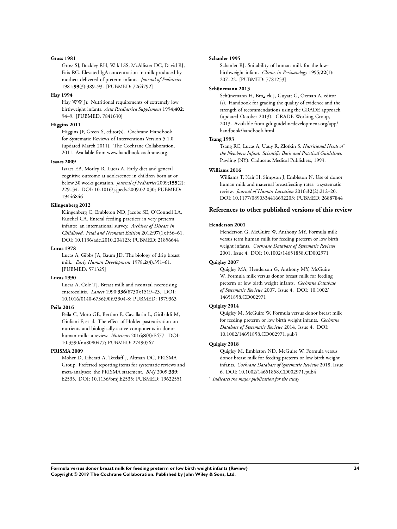#### **Gross 1981**

Gross SJ, Buckley RH, Wakil SS, McAllister DC, David RJ, Faix RG. Elevated IgA concentration in milk produced by mothers delivered of preterm infants. *Journal of Pediatrics* 1981;**99**(3):389–93. [PUBMED: 7264792]

#### **Hay 1994**

Hay WW Jr. Nutritional requirements of extremely low birthweight infants. *Acta Paediatrica Supplement* 1994;**402**: 94–9. [PUBMED: 7841630]

### **Higgins 2011**

Higgins JP, Green S, editor(s). Cochrane Handbook for Systematic Reviews of Interventions Version 5.1.0 (updated March 2011). The Cochrane Collaboration, 2011. Available from www.handbook.cochrane.org.

#### **Isaacs 2009**

Isaacs EB, Morley R, Lucas A. Early diet and general cognitive outcome at adolescence in children born at or below 30 weeks gestation. *Journal of Pediatrics* 2009;**155**(2): 229–34. DOI: 10.1016/j.jpeds.2009.02.030; PUBMED: 19446846

#### **Klingenberg 2012**

Klingenberg C, Embleton ND, Jacobs SE, O'Connell LA, Kuschel CA. Enteral feeding practices in very preterm infants: an international survey. *Archives of Disease in Childhood. Fetal and Neonatal Edition* 2012;**97**(1):F56–61. DOI: 10.1136/adc.2010.204123; PUBMED: 21856644

#### **Lucas 1978**

Lucas A, Gibbs JA, Baum JD. The biology of drip breast milk. *Early Human Development* 1978;**2**(4):351–61. [PUBMED: 571325]

#### **Lucas 1990**

Lucas A, Cole TJ. Breast milk and neonatal necrotising enterocolitis. *Lancet* 1990;**336**(8730):1519–23. DOI: 10.1016/0140-6736(90)93304-8; PUBMED: 1979363

#### **Peila 2016**

Peila C, Moro GE, Bertino E, Cavallarin L, Giribaldi M, Giuliani F, et al. The effect of Holder pasteurization on nutrients and biologically-active components in donor human milk: a review. *Nutrients* 2016;**8**(8):E477. DOI: 10.3390/nu8080477; PUBMED: 27490567

#### **PRISMA 2009**

Moher D, Liberati A, Tetzlaff J, Altman DG, PRISMA Group. Preferred reporting items for systematic reviews and meta-analyses: the PRISMA statement. *BMJ* 2009;**339**: b2535. DOI: 10.1136/bmj.b2535; PUBMED: 19622551

#### **Schanler 1995**

Schanler RJ. Suitability of human milk for the lowbirthweight infant. *Clinics in Perinatology* 1995;**22**(1): 207–22. [PUBMED: 7781253]

#### **Schünemann 2013**

Schünemann H, Broz ek J, Guyatt G, Oxman A, editor (s). Handbook for grading the quality of evidence and the strength of recommendations using the GRADE approach (updated October 2013). GRADE Working Group, 2013. Available from gdt.guidelinedevelopment.org/app/ handbook/handbook.html.

#### **Tsang 1993**

Tsang RC, Lucas A, Uauy R, Zlotkin S. *Nutritional Needs of the Newborn Infant: Scientific Basis and Practical Guidelines*. Pawling (NY): Caduceus Medical Publishers, 1993.

#### **Williams 2016**

Williams T, Nair H, Simpson J, Embleton N. Use of donor human milk and maternal breastfeeding rates: a systematic review. *Journal of Human Lactation* 2016;**32**(2):212–20. DOI: 10.1177/0890334416632203; PUBMED: 26887844

### **References to other published versions of this review**

#### **Henderson 2001**

Henderson G, McGuire W, Anthony MY. Formula milk versus term human milk for feeding preterm or low birth weight infants. *Cochrane Database of Systematic Reviews* 2001, Issue 4. DOI: 10.1002/14651858.CD002971

### **Quigley 2007**

Quigley MA, Henderson G, Anthony MY, McGuire W. Formula milk versus donor breast milk for feeding preterm or low birth weight infants. *Cochrane Database of Systematic Reviews* 2007, Issue 4. DOI: 10.1002/ 14651858.CD002971

### **Quigley 2014**

Quigley M, McGuire W. Formula versus donor breast milk for feeding preterm or low birth weight infants. *Cochrane Database of Systematic Reviews* 2014, Issue 4. DOI: 10.1002/14651858.CD002971.pub3

#### **Quigley 2018**

Quigley M, Embleton ND, McGuire W. Formula versus donor breast milk for feeding preterm or low birth weight infants. *Cochrane Database of Systematic Reviews* 2018, Issue 6. DOI: 10.1002/14651858.CD002971.pub4

∗ *Indicates the major publication for the study*

**Formula versus donor breast milk for feeding preterm or low birth weight infants (Review) 24 Copyright © 2019 The Cochrane Collaboration. Published by John Wiley & Sons, Ltd.**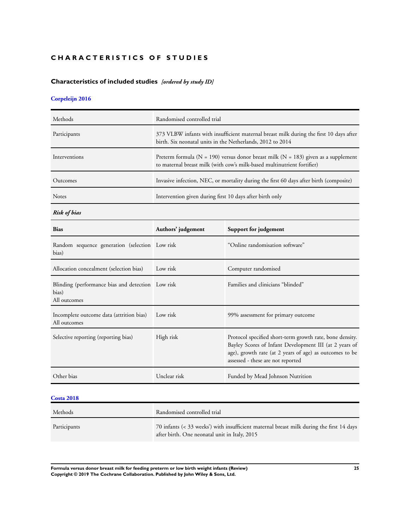# **CHARACTERISTICS OF STUDIES**

# **Characteristics of included studies** *[ordered by study ID]*

# **Corpeleijn 2016**

| Methods       | Randomised controlled trial                                                                                                                                           |
|---------------|-----------------------------------------------------------------------------------------------------------------------------------------------------------------------|
| Participants  | 373 VLBW infants with insufficient maternal breast milk during the first 10 days after<br>birth. Six neonatal units in the Netherlands, 2012 to 2014                  |
| Interventions | Preterm formula ( $N = 190$ ) versus donor breast milk ( $N = 183$ ) given as a supplement<br>to maternal breast milk (with cow's milk-based multinutrient fortifier) |
| Outcomes      | Invasive infection, NEC, or mortality during the first 60 days after birth (composite)                                                                                |
| <b>Notes</b>  | Intervention given during first 10 days after birth only                                                                                                              |

*Risk of bias*

| <b>Bias</b>                                                                | Authors' judgement | Support for judgement                                                                                                                                                                                              |
|----------------------------------------------------------------------------|--------------------|--------------------------------------------------------------------------------------------------------------------------------------------------------------------------------------------------------------------|
| Random sequence generation (selection Low risk<br>bias)                    |                    | "Online randomisation software"                                                                                                                                                                                    |
| Allocation concealment (selection bias)                                    | Low risk           | Computer randomised                                                                                                                                                                                                |
| Blinding (performance bias and detection Low risk<br>bias)<br>All outcomes |                    | Families and clinicians "blinded"                                                                                                                                                                                  |
| Incomplete outcome data (attrition bias)<br>All outcomes                   | Low risk           | 99% assessment for primary outcome                                                                                                                                                                                 |
| Selective reporting (reporting bias)                                       | High risk          | Protocol specified short-term growth rate, bone density.<br>Bayley Scores of Infant Development III (at 2 years of<br>age), growth rate (at 2 years of age) as outcomes to be<br>assessed - these are not reported |
| Other bias                                                                 | Unclear risk       | Funded by Mead Johnson Nutrition                                                                                                                                                                                   |

### **Costa 2018**

| Methods      | Randomised controlled trial                                                                                                               |
|--------------|-------------------------------------------------------------------------------------------------------------------------------------------|
| Participants | 70 infants (< 33 weeks') with insufficient maternal breast milk during the first 14 days<br>after birth. One neonatal unit in Italy, 2015 |

**Formula versus donor breast milk for feeding preterm or low birth weight infants (Review) 25 Copyright © 2019 The Cochrane Collaboration. Published by John Wiley & Sons, Ltd.**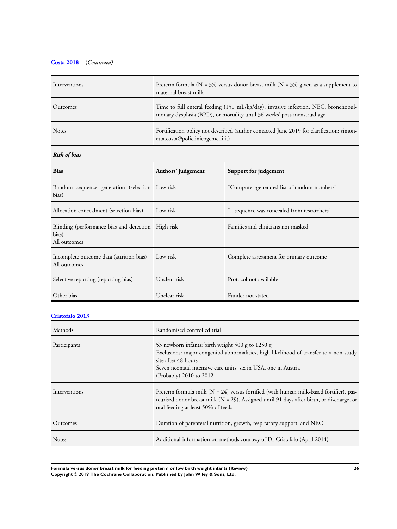# **Costa 2018** (*Continued)*

| Interventions | Preterm formula ( $N = 35$ ) versus donor breast milk ( $N = 35$ ) given as a supplement to<br>maternal breast milk                                           |
|---------------|---------------------------------------------------------------------------------------------------------------------------------------------------------------|
| Outcomes      | Time to full enteral feeding (150 mL/kg/day), invasive infection, NEC, bronchopul-<br>monary dysplasia (BPD), or mortality until 36 weeks' post-menstrual age |
| <b>Notes</b>  | Fortification policy not described (author contacted June 2019 for clarification: simon-<br>etta.costa@policlinicogemelli.it)                                 |

# *Risk of bias*

| <b>Bias</b>                                                                 | Authors' judgement | Support for judgement                       |
|-----------------------------------------------------------------------------|--------------------|---------------------------------------------|
| Random sequence generation (selection Low risk<br>bias)                     |                    | "Computer-generated list of random numbers" |
| Allocation concealment (selection bias)                                     | Low risk           | "sequence was concealed from researchers"   |
| Blinding (performance bias and detection High risk<br>bias)<br>All outcomes |                    | Families and clinicians not masked          |
| Incomplete outcome data (attrition bias)<br>All outcomes                    | Low risk           | Complete assessment for primary outcome     |
| Selective reporting (reporting bias)                                        | Unclear risk       | Protocol not available                      |
| Other bias                                                                  | Unclear risk       | Funder not stated                           |

# **Cristofalo 2013**

| Methods       | Randomised controlled trial                                                                                                                                                                                                                                     |  |
|---------------|-----------------------------------------------------------------------------------------------------------------------------------------------------------------------------------------------------------------------------------------------------------------|--|
| Participants  | 53 newborn infants: birth weight 500 g to 1250 g<br>Exclusions: major congenital abnormalities, high likelihood of transfer to a non-study<br>site after 48 hours<br>Seven neonatal intensive care units: six in USA, one in Austria<br>(Probably) 2010 to 2012 |  |
| Interventions | Preterm formula milk ( $N = 24$ ) versus fortified (with human milk-based fortifier), pas-<br>teurised donor breast milk ( $N = 29$ ). Assigned until 91 days after birth, or discharge, or<br>oral feeding at least 50% of feeds                               |  |
| Outcomes      | Duration of parenteral nutrition, growth, respiratory support, and NEC                                                                                                                                                                                          |  |
| <b>Notes</b>  | Additional information on methods courtesy of Dr Cristafalo (April 2014)                                                                                                                                                                                        |  |

**Formula versus donor breast milk for feeding preterm or low birth weight infants (Review) 26 Copyright © 2019 The Cochrane Collaboration. Published by John Wiley & Sons, Ltd.**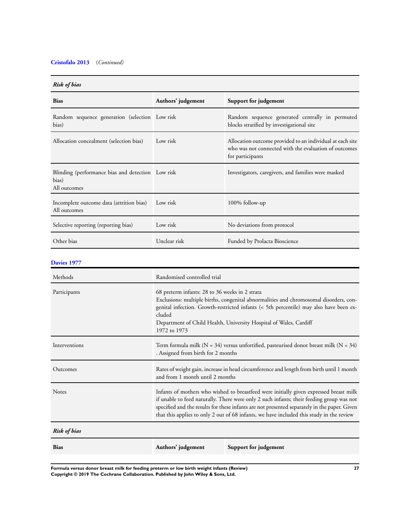# **Cristofalo 2013** (*Continued)*

### *Risk of bias*

| <b>Bias</b>                                                                | Authors' judgement | Support for judgement                                                                                                                  |  |
|----------------------------------------------------------------------------|--------------------|----------------------------------------------------------------------------------------------------------------------------------------|--|
| Random sequence generation (selection Low risk<br>bias)                    |                    | Random sequence generated centrally in permuted<br>blocks stratified by investigational site                                           |  |
| Allocation concealment (selection bias)                                    | Low risk           | Allocation outcome provided to an individual at each site<br>who was not connected with the evaluation of outcomes<br>for participants |  |
| Blinding (performance bias and detection Low risk<br>bias)<br>All outcomes |                    | Investigators, caregivers, and families were masked                                                                                    |  |
| Incomplete outcome data (attrition bias)<br>All outcomes                   | Low risk           | 100% follow-up                                                                                                                         |  |
| Selective reporting (reporting bias)                                       | Low risk           | No deviations from protocol                                                                                                            |  |
| Other bias                                                                 | Unclear risk       | Funded by Prolacta Bioscience                                                                                                          |  |

### **Davies 1977**

| Methods             | Randomised controlled trial                                                                                                                                                                                                                                                                                                                                                    |                       |
|---------------------|--------------------------------------------------------------------------------------------------------------------------------------------------------------------------------------------------------------------------------------------------------------------------------------------------------------------------------------------------------------------------------|-----------------------|
| Participants        | 68 preterm infants: 28 to 36 weeks in 2 strata<br>Exclusions: multiple births, congenital abnormalities and chromosomal disorders, con-<br>genital infection. Growth-restricted infants (< 5th percentile) may also have been ex-<br>cluded<br>Department of Child Health, University Hospital of Wales, Cardiff<br>1972 to 1973                                               |                       |
| Interventions       | Term formula milk ( $N = 34$ ) versus unfortified, pasteurised donor breast milk ( $N = 34$ )<br>. Assigned from birth for 2 months                                                                                                                                                                                                                                            |                       |
| Outcomes            | Rates of weight gain, increase in head circumference and length from birth until 1 month<br>and from 1 month until 2 months                                                                                                                                                                                                                                                    |                       |
| <b>Notes</b>        | Infants of mothers who wished to breastfeed were initially given expressed breast milk<br>if unable to feed naturally. There were only 2 such infants; their feeding group was not<br>specified and the results for these infants are not presented separately in the paper. Given<br>that this applies to only 2 out of 68 infants, we have included this study in the review |                       |
| <b>Risk of bias</b> |                                                                                                                                                                                                                                                                                                                                                                                |                       |
| <b>Bias</b>         | Authors' judgement                                                                                                                                                                                                                                                                                                                                                             | Support for judgement |

**Formula versus donor breast milk for feeding preterm or low birth weight infants (Review) 27 Copyright © 2019 The Cochrane Collaboration. Published by John Wiley & Sons, Ltd.**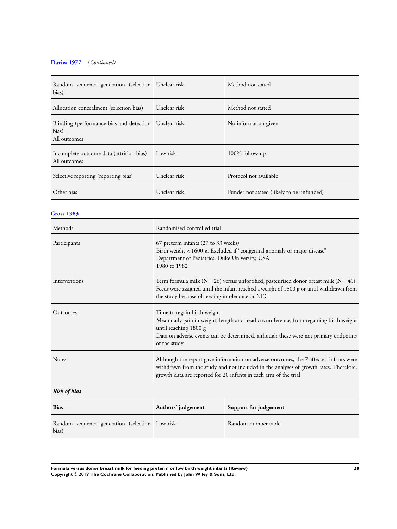# **Davies 1977** (*Continued)*

| Random sequence generation (selection Unclear risk<br>bias)                    |              | Method not stated                         |
|--------------------------------------------------------------------------------|--------------|-------------------------------------------|
| Allocation concealment (selection bias)                                        | Unclear risk | Method not stated                         |
| Blinding (performance bias and detection Unclear risk<br>bias)<br>All outcomes |              | No information given                      |
| Incomplete outcome data (attrition bias)<br>All outcomes                       | Low risk     | 100% follow-up                            |
| Selective reporting (reporting bias)                                           | Unclear risk | Protocol not available                    |
| Other bias                                                                     | Unclear risk | Funder not stated (likely to be unfunded) |

### **Gross 1983**

| Randomised controlled trial                                                                                                                                                                                                                          |
|------------------------------------------------------------------------------------------------------------------------------------------------------------------------------------------------------------------------------------------------------|
| 67 preterm infants (27 to 33 weeks)<br>Birth weight < 1600 g. Excluded if "congenital anomaly or major disease"<br>Department of Pediatrics, Duke University, USA<br>1980 to 1982                                                                    |
| Term formula milk ( $N = 26$ ) versus unfortified, pasteurised donor breast milk ( $N = 41$ ).<br>Feeds were assigned until the infant reached a weight of 1800 g or until withdrawn from<br>the study because of feeding intolerance or NEC         |
| Time to regain birth weight<br>Mean daily gain in weight, length and head circumference, from regaining birth weight<br>until reaching 1800 g<br>Data on adverse events can be determined, although these were not primary endpoints<br>of the study |
| Although the report gave information on adverse outcomes, the 7 affected infants were<br>withdrawn from the study and not included in the analyses of growth rates. Therefore,<br>growth data are reported for 20 infants in each arm of the trial   |
|                                                                                                                                                                                                                                                      |

# *Risk of bias*

| <b>Bias</b>                                             | Authors' judgement | Support for judgement |
|---------------------------------------------------------|--------------------|-----------------------|
| Random sequence generation (selection Low risk<br>bias) |                    | Random number table   |

**Formula versus donor breast milk for feeding preterm or low birth weight infants (Review) 28 Copyright © 2019 The Cochrane Collaboration. Published by John Wiley & Sons, Ltd.**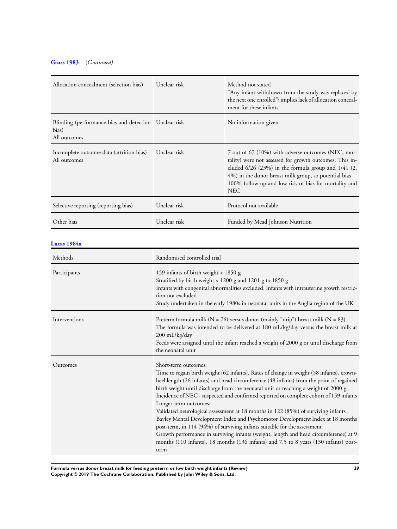# **Gross 1983** (*Continued)*

| Allocation concealment (selection bias)                                          | Unclear risk | Method not stated<br>"Any infant withdrawn from the study was replaced by<br>the next one enrolled"; implies lack of allocation conceal-<br>ment for these infants                                                                                                                                 |
|----------------------------------------------------------------------------------|--------------|----------------------------------------------------------------------------------------------------------------------------------------------------------------------------------------------------------------------------------------------------------------------------------------------------|
| Blinding (performance bias and detection   Unclear risk<br>bias)<br>All outcomes |              | No information given                                                                                                                                                                                                                                                                               |
| Incomplete outcome data (attrition bias)<br>All outcomes                         | Unclear risk | 7 out of 67 (10%) with adverse outcomes (NEC, mor-<br>tality) were not assessed for growth outcomes. This in-<br>cluded $6/26$ (23%) in the formula group and $1/41$ (2.<br>4%) in the donor breast milk group, so potential bias<br>100% follow-up and low risk of bias for mortality and<br>NEC. |
| Selective reporting (reporting bias)                                             | Unclear risk | Protocol not available                                                                                                                                                                                                                                                                             |
| Other bias                                                                       | Unclear risk | Funded by Mead Johnson Nutrition                                                                                                                                                                                                                                                                   |

### **Lucas 1984a**

| Methods       | Randomised controlled trial                                                                                                                                                                                                                                                                                                                                                                                                                                                                                                                                                                                                                                                                                                                                                                                                                                   |  |
|---------------|---------------------------------------------------------------------------------------------------------------------------------------------------------------------------------------------------------------------------------------------------------------------------------------------------------------------------------------------------------------------------------------------------------------------------------------------------------------------------------------------------------------------------------------------------------------------------------------------------------------------------------------------------------------------------------------------------------------------------------------------------------------------------------------------------------------------------------------------------------------|--|
| Participants  | 159 infants of birth weight < 1850 g<br>Stratified by birth weight < 1200 g and 1201 g to 1850 g<br>Infants with congenital abnormalities excluded. Infants with intrauterine growth restric-<br>tion not excluded<br>Study undertaken in the early 1980s in neonatal units in the Anglia region of the UK                                                                                                                                                                                                                                                                                                                                                                                                                                                                                                                                                    |  |
| Interventions | Preterm formula milk ( $N = 76$ ) versus donor (mainly "drip") breast milk ( $N = 83$ )<br>The formula was intended to be delivered at 180 mL/kg/day versus the breast milk at<br>200 mL/kg/day<br>Feeds were assigned until the infant reached a weight of 2000 g or until discharge from<br>the neonatal unit                                                                                                                                                                                                                                                                                                                                                                                                                                                                                                                                               |  |
| Outcomes      | Short-term outcomes:<br>Time to regain birth weight (62 infants). Rates of change in weight (58 infants), crown-<br>heel length (26 infants) and head circumference (48 infants) from the point of regained<br>birth weight until discharge from the neonatal unit or reaching a weight of 2000 g<br>Incidence of NEC - suspected and confirmed reported on complete cohort of 159 infants<br>Longer-term outcomes:<br>Validated neurological assessment at 18 months in 122 (85%) of surviving infants<br>Bayley Mental Development Index and Psychomotor Development Index at 18 months<br>post-term, in 114 (94%) of surviving infants suitable for the assessment<br>Growth performance in surviving infants (weight, length and head circumference) at 9<br>months (110 infants), 18 months (136 infants) and 7.5 to 8 years (130 infants) post-<br>term |  |

**Formula versus donor breast milk for feeding preterm or low birth weight infants (Review) 29 Copyright © 2019 The Cochrane Collaboration. Published by John Wiley & Sons, Ltd.**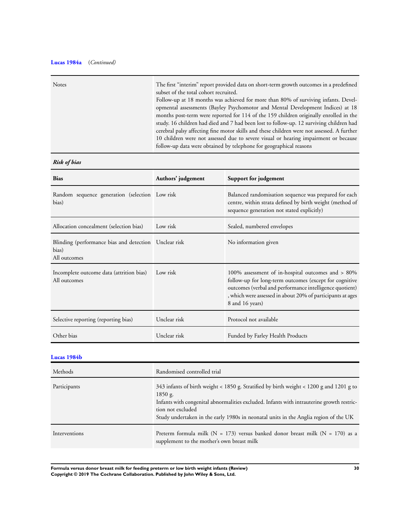# **Lucas 1984a** (*Continued)*

| <b>Notes</b> | The first "interim" report provided data on short-term growth outcomes in a predefined<br>subset of the total cohort recruited.<br>Follow-up at 18 months was achieved for more than 80% of surviving infants. Devel-                                              |
|--------------|--------------------------------------------------------------------------------------------------------------------------------------------------------------------------------------------------------------------------------------------------------------------|
|              | opmental assessments (Bayley Psychomotor and Mental Development Indices) at 18<br>months post-term were reported for 114 of the 159 children originally enrolled in the<br>study. 16 children had died and 7 had been lost to follow-up. 12 surviving children had |
|              | cerebral palsy affecting fine motor skills and these children were not assessed. A further<br>10 children were not assessed due to severe visual or hearing impairment or because<br>follow-up data were obtained by telephone for geographical reasons            |

# *Risk of bias*

| <b>Bias</b>                                                                      | Authors' judgement | Support for judgement                                                                                                                                                                                                                                      |
|----------------------------------------------------------------------------------|--------------------|------------------------------------------------------------------------------------------------------------------------------------------------------------------------------------------------------------------------------------------------------------|
| Random sequence generation (selection Low risk<br>bias)                          |                    | Balanced randomisation sequence was prepared for each<br>centre, within strata defined by birth weight (method of<br>sequence generation not stated explicitly)                                                                                            |
| Allocation concealment (selection bias)                                          | Low risk           | Sealed, numbered envelopes                                                                                                                                                                                                                                 |
| Blinding (performance bias and detection   Unclear risk<br>bias)<br>All outcomes |                    | No information given                                                                                                                                                                                                                                       |
| Incomplete outcome data (attrition bias)<br>All outcomes                         | Low risk           | 100% assessment of in-hospital outcomes and $> 80\%$<br>follow-up for long-term outcomes (except for cognitive<br>outcomes (verbal and performance intelligence quotient)<br>, which were assessed in about 20% of participants at ages<br>8 and 16 years) |
| Selective reporting (reporting bias)                                             | Unclear risk       | Protocol not available                                                                                                                                                                                                                                     |
| Other bias                                                                       | Unclear risk       | Funded by Farley Health Products                                                                                                                                                                                                                           |

# **Lucas 1984b**

| Methods       | Randomised controlled trial                                                                                                                                                                                                                                                                                  |  |
|---------------|--------------------------------------------------------------------------------------------------------------------------------------------------------------------------------------------------------------------------------------------------------------------------------------------------------------|--|
| Participants  | 343 infants of birth weight < 1850 g. Stratified by birth weight < 1200 g and 1201 g to<br>1850 g.<br>Infants with congenital abnormalities excluded. Infants with intrauterine growth restric-<br>tion not excluded<br>Study undertaken in the early 1980s in neonatal units in the Anglia region of the UK |  |
| Interventions | Preterm formula milk ( $N = 173$ ) versus banked donor breast milk ( $N = 170$ ) as a<br>supplement to the mother's own breast milk                                                                                                                                                                          |  |

**Formula versus donor breast milk for feeding preterm or low birth weight infants (Review) 30 Copyright © 2019 The Cochrane Collaboration. Published by John Wiley & Sons, Ltd.**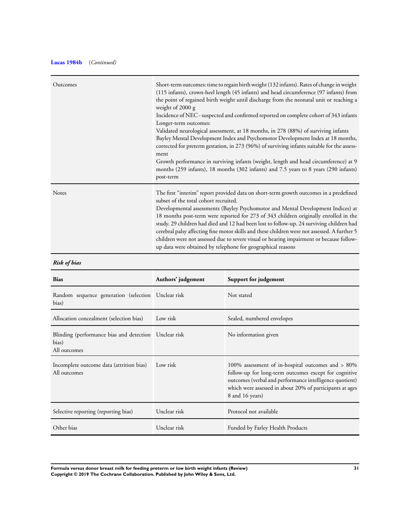# **Lucas 1984b** (*Continued)*

| Outcomes | Short-term outcomes: time to regain birth weight (132 infants). Rates of change in weight<br>(115 infants), crown-heel length (45 infants) and head circumference (97 infants) from<br>the point of regained birth weight until discharge from the neonatal unit or reaching a<br>weight of 2000 g<br>Incidence of NEC - suspected and confirmed reported on complete cohort of 343 infants<br>Longer-term outcomes:<br>Validated neurological assessment, at 18 months, in 278 (88%) of surviving infants<br>Bayley Mental Development Index and Psychomotor Development Index at 18 months,<br>corrected for preterm gestation, in 273 (96%) of surviving infants suitable for the assess-<br>ment<br>Growth performance in surviving infants (weight, length and head circumference) at 9<br>months (259 infants), 18 months (302 infants) and 7.5 years to 8 years (290 infants)<br>post-term |
|----------|---------------------------------------------------------------------------------------------------------------------------------------------------------------------------------------------------------------------------------------------------------------------------------------------------------------------------------------------------------------------------------------------------------------------------------------------------------------------------------------------------------------------------------------------------------------------------------------------------------------------------------------------------------------------------------------------------------------------------------------------------------------------------------------------------------------------------------------------------------------------------------------------------|
| Notes    | The first "interim" report provided data on short-term growth outcomes in a predefined<br>subset of the total cohort recruited.<br>Developmental assessments (Bayley Psychomotor and Mental Development Indices) at<br>18 months post-term were reported for 273 of 343 children originally enrolled in the<br>study. 29 children had died and 12 had been lost to follow-up. 24 surviving children had<br>cerebral palsy affecting fine motor skills and these children were not assessed. A further 5<br>children were not assessed due to severe visual or hearing impairment or because follow-<br>up data were obtained by telephone for geographical reasons                                                                                                                                                                                                                                |

# *Risk of bias*

| <b>Bias</b>                                                                      | Authors' judgement | Support for judgement                                                                                                                                                                                                                                |
|----------------------------------------------------------------------------------|--------------------|------------------------------------------------------------------------------------------------------------------------------------------------------------------------------------------------------------------------------------------------------|
| Random sequence generation (selection Unclear risk<br>bias)                      |                    | Not stated                                                                                                                                                                                                                                           |
| Allocation concealment (selection bias)                                          | Low risk           | Sealed, numbered envelopes                                                                                                                                                                                                                           |
| Blinding (performance bias and detection   Unclear risk<br>bias)<br>All outcomes |                    | No information given                                                                                                                                                                                                                                 |
| Incomplete outcome data (attrition bias)<br>All outcomes                         | Low risk           | 100% assessment of in-hospital outcomes and > 80%<br>follow-up for long-term outcomes except for cognitive<br>outcomes (verbal and performance intelligence quotient)<br>which were assessed in about 20% of participants at ages<br>8 and 16 years) |
| Selective reporting (reporting bias)                                             | Unclear risk       | Protocol not available                                                                                                                                                                                                                               |
| Other bias                                                                       | Unclear risk       | Funded by Farley Health Products                                                                                                                                                                                                                     |

**Formula versus donor breast milk for feeding preterm or low birth weight infants (Review) 31 Copyright © 2019 The Cochrane Collaboration. Published by John Wiley & Sons, Ltd.**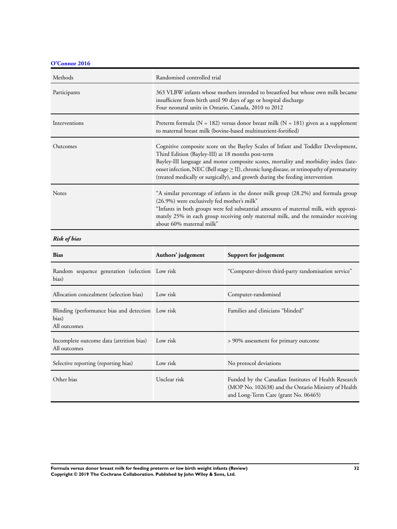**O'Connor 2016**

| Methods       | Randomised controlled trial                                                                                                                                                                                                                                                                                                                                                                                         |
|---------------|---------------------------------------------------------------------------------------------------------------------------------------------------------------------------------------------------------------------------------------------------------------------------------------------------------------------------------------------------------------------------------------------------------------------|
| Participants  | 363 VLBW infants whose mothers intended to breastfeed but whose own milk became<br>insufficient from birth until 90 days of age or hospital discharge<br>Four neonatal units in Ontario, Canada, 2010 to 2012                                                                                                                                                                                                       |
| Interventions | Preterm formula ( $N = 182$ ) versus donor breast milk ( $N = 181$ ) given as a supplement<br>to maternal breast milk (bovine-based multinutrient-fortified)                                                                                                                                                                                                                                                        |
| Outcomes      | Cognitive composite score on the Bayley Scales of Infant and Toddler Development,<br>Third Edition (Bayley-III) at 18 months post-term<br>Bayley-III language and motor composite scores, mortality and morbidity index (late-<br>onset infection, NEC (Bell stage $\geq$ II), chronic lung disease, or retinopathy of prematurity<br>(treated medically or surgically), and growth during the feeding intervention |
| <b>Notes</b>  | "A similar percentage of infants in the donor milk group (28.2%) and formula group<br>(26.9%) were exclusively fed mother's milk"<br>"Infants in both groups were fed substantial amounts of maternal milk, with approxi-<br>mately 25% in each group receiving only maternal milk, and the remainder receiving<br>about 60% maternal milk"                                                                         |

# *Risk of bias*

| <b>Bias</b>                                                                | Authors' judgement | Support for judgement                                                                                                                               |
|----------------------------------------------------------------------------|--------------------|-----------------------------------------------------------------------------------------------------------------------------------------------------|
| Random sequence generation (selection Low risk<br>bias)                    |                    | "Computer-driven third-party randomisation service"                                                                                                 |
| Allocation concealment (selection bias)                                    | Low risk           | Computer-randomised                                                                                                                                 |
| Blinding (performance bias and detection Low risk<br>bias)<br>All outcomes |                    | Families and clinicians "blinded"                                                                                                                   |
| Incomplete outcome data (attrition bias)<br>All outcomes                   | Low risk           | > 90% assessment for primary outcome                                                                                                                |
| Selective reporting (reporting bias)                                       | Low risk           | No protocol deviations                                                                                                                              |
| Other bias                                                                 | Unclear risk       | Funded by the Canadian Institutes of Health Research<br>(MOP No. 102638) and the Ontario Ministry of Health<br>and Long-Term Care (grant No. 06465) |

**Formula versus donor breast milk for feeding preterm or low birth weight infants (Review) 32 Copyright © 2019 The Cochrane Collaboration. Published by John Wiley & Sons, Ltd.**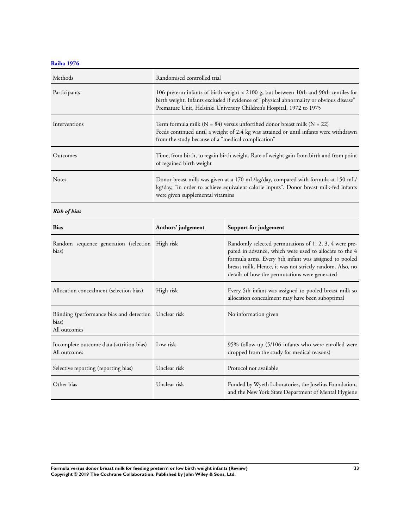**Raiha 1976**

| Methods         | Randomised controlled trial                                                                                                                                                                                                                              |
|-----------------|----------------------------------------------------------------------------------------------------------------------------------------------------------------------------------------------------------------------------------------------------------|
| Participants    | 106 preterm infants of birth weight < 2100 g, but between 10th and 90th centiles for<br>birth weight. Infants excluded if evidence of "physical abnormality or obvious disease"<br>Premature Unit, Helsinki University Children's Hospital, 1972 to 1975 |
| Interventions   | Term formula milk ( $N = 84$ ) versus unfortified donor breast milk ( $N = 22$ )<br>Feeds continued until a weight of 2.4 kg was attained or until infants were withdrawn<br>from the study because of a "medical complication"                          |
| <b>Outcomes</b> | Time, from birth, to regain birth weight. Rate of weight gain from birth and from point<br>of regained birth weight                                                                                                                                      |
| <b>Notes</b>    | Donor breast milk was given at a 170 mL/kg/day, compared with formula at 150 mL/<br>kg/day, "in order to achieve equivalent calorie inputs". Donor breast milk-fed infants<br>were given supplemental vitamins                                           |

*Risk of bias*

| <b>Bias</b>                                                                      | Authors' judgement | Support for judgement                                                                                                                                                                                                                                                                   |
|----------------------------------------------------------------------------------|--------------------|-----------------------------------------------------------------------------------------------------------------------------------------------------------------------------------------------------------------------------------------------------------------------------------------|
| Random sequence generation (selection High risk<br>bias)                         |                    | Randomly selected permutations of 1, 2, 3, 4 were pre-<br>pared in advance, which were used to allocate to the 4<br>formula arms. Every 5th infant was assigned to pooled<br>breast milk. Hence, it was not strictly random. Also, no<br>details of how the permutations were generated |
| Allocation concealment (selection bias)                                          | High risk          | Every 5th infant was assigned to pooled breast milk so<br>allocation concealment may have been suboptimal                                                                                                                                                                               |
| Blinding (performance bias and detection   Unclear risk<br>bias)<br>All outcomes |                    | No information given                                                                                                                                                                                                                                                                    |
| Incomplete outcome data (attrition bias)<br>All outcomes                         | Low risk           | 95% follow-up (5/106 infants who were enrolled were<br>dropped from the study for medical reasons)                                                                                                                                                                                      |
| Selective reporting (reporting bias)                                             | Unclear risk       | Protocol not available                                                                                                                                                                                                                                                                  |
| Other bias                                                                       | Unclear risk       | Funded by Wyeth Laboratories, the Juselius Foundation,<br>and the New York State Department of Mental Hygiene                                                                                                                                                                           |

**Formula versus donor breast milk for feeding preterm or low birth weight infants (Review) 33 Copyright © 2019 The Cochrane Collaboration. Published by John Wiley & Sons, Ltd.**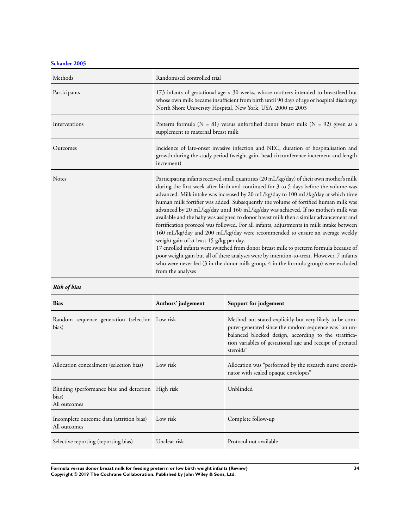**Schanler 2005**

| Methods       | Randomised controlled trial                                                                                                                                                                                                                                                                                                                                                                                                                                                                                                                                                                                                                                                                                                                                                                                                                                                                                                                                                                                                                                                  |
|---------------|------------------------------------------------------------------------------------------------------------------------------------------------------------------------------------------------------------------------------------------------------------------------------------------------------------------------------------------------------------------------------------------------------------------------------------------------------------------------------------------------------------------------------------------------------------------------------------------------------------------------------------------------------------------------------------------------------------------------------------------------------------------------------------------------------------------------------------------------------------------------------------------------------------------------------------------------------------------------------------------------------------------------------------------------------------------------------|
| Participants  | 173 infants of gestational age < 30 weeks, whose mothers intended to breastfeed but<br>whose own milk became insufficient from birth until 90 days of age or hospital discharge<br>North Shore University Hospital, New York, USA, 2000 to 2003                                                                                                                                                                                                                                                                                                                                                                                                                                                                                                                                                                                                                                                                                                                                                                                                                              |
| Interventions | Preterm formula ( $N = 81$ ) versus unfortified donor breast milk ( $N = 92$ ) given as a<br>supplement to maternal breast milk                                                                                                                                                                                                                                                                                                                                                                                                                                                                                                                                                                                                                                                                                                                                                                                                                                                                                                                                              |
| Outcomes      | Incidence of late-onset invasive infection and NEC, duration of hospitalisation and<br>growth during the study period (weight gain, head circumference increment and length<br>increment)                                                                                                                                                                                                                                                                                                                                                                                                                                                                                                                                                                                                                                                                                                                                                                                                                                                                                    |
| Notes         | Participating infants received small quantities (20 mL/kg/day) of their own mother's milk<br>during the first week after birth and continued for 3 to 5 days before the volume was<br>advanced. Milk intake was increased by 20 mL/kg/day to 100 mL/kg/day at which time<br>human milk fortifier was added. Subsequently the volume of fortified human milk was<br>advanced by 20 mL/kg/day until 160 mL/kg/day was achieved. If no mother's milk was<br>available and the baby was assigned to donor breast milk then a similar advancement and<br>fortification protocol was followed. For all infants, adjustments in milk intake between<br>160 mL/kg/day and 200 mL/kg/day were recommended to ensure an average weekly<br>weight gain of at least 15 g/kg per day.<br>17 enrolled infants were switched from donor breast milk to preterm formula because of<br>poor weight gain but all of these analyses were by intention-to-treat. However, 7 infants<br>who were never fed (3 in the donor milk group, 4 in the formula group) were excluded<br>from the analyses |

# *Risk of bias*

| <b>Bias</b>                                                                 | Authors' judgement | Support for judgement                                                                                                                                                                                                                               |
|-----------------------------------------------------------------------------|--------------------|-----------------------------------------------------------------------------------------------------------------------------------------------------------------------------------------------------------------------------------------------------|
| Random sequence generation (selection Low risk<br>bias)                     |                    | Method not stated explicitly but very likely to be com-<br>puter-generated since the random sequence was "an un-<br>balanced blocked design, according to the stratifica-<br>tion variables of gestational age and receipt of prenatal<br>steroids" |
| Allocation concealment (selection bias)                                     | Low risk           | Allocation was "performed by the research nurse coordi-<br>nator with sealed opaque envelopes"                                                                                                                                                      |
| Blinding (performance bias and detection High risk<br>bias)<br>All outcomes |                    | Unblinded                                                                                                                                                                                                                                           |
| Incomplete outcome data (attrition bias)<br>All outcomes                    | Low risk           | Complete follow-up                                                                                                                                                                                                                                  |
| Selective reporting (reporting bias)                                        | Unclear risk       | Protocol not available                                                                                                                                                                                                                              |

**Formula versus donor breast milk for feeding preterm or low birth weight infants (Review) 34 Copyright © 2019 The Cochrane Collaboration. Published by John Wiley & Sons, Ltd.**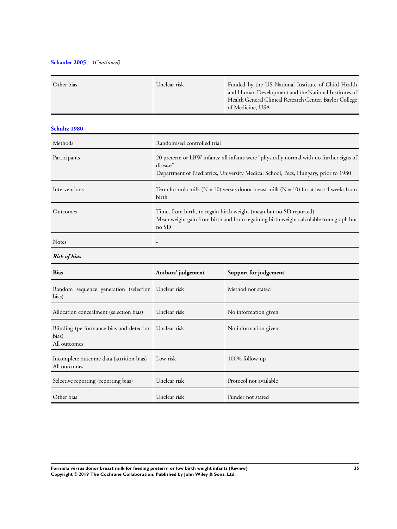# **Schanler 2005** (*Continued)*

| Other bias | Unclear risk | Funded by the US National Institute of Child Health     |
|------------|--------------|---------------------------------------------------------|
|            |              | and Human Development and the National Institutes of    |
|            |              | Health General Clinical Research Center, Baylor College |
|            |              | of Medicine, USA                                        |
|            |              |                                                         |

# **Schultz 1980**

| Methods       | Randomised controlled trial                                                                                                                                                               |
|---------------|-------------------------------------------------------------------------------------------------------------------------------------------------------------------------------------------|
| Participants  | 20 preterm or LBW infants; all infants were "physically normal with no further signs of<br>disease"<br>Department of Paediatrics, University Medical School, Pecs, Hungary, prior to 1980 |
| Interventions | Term formula milk ( $N = 10$ ) versus donor breast milk ( $N = 10$ ) for at least 4 weeks from<br>birth                                                                                   |
| Outcomes      | Time, from birth, to regain birth weight (mean but no SD reported)<br>Mean weight gain from birth and from regaining birth weight calculable from graph but<br>no SD                      |
| <b>Notes</b>  |                                                                                                                                                                                           |

# *Risk of bias*

| <b>Bias</b>                                                                    | Authors' judgement | Support for judgement  |
|--------------------------------------------------------------------------------|--------------------|------------------------|
| Random sequence generation (selection Unclear risk<br>bias)                    |                    | Method not stated      |
| Allocation concealment (selection bias)                                        | Unclear risk       | No information given   |
| Blinding (performance bias and detection Unclear risk<br>bias)<br>All outcomes |                    | No information given   |
| Incomplete outcome data (attrition bias)<br>All outcomes                       | Low risk           | 100% follow-up         |
| Selective reporting (reporting bias)                                           | Unclear risk       | Protocol not available |
| Other bias                                                                     | Unclear risk       | Funder not stated      |

**Formula versus donor breast milk for feeding preterm or low birth weight infants (Review) 35 Copyright © 2019 The Cochrane Collaboration. Published by John Wiley & Sons, Ltd.**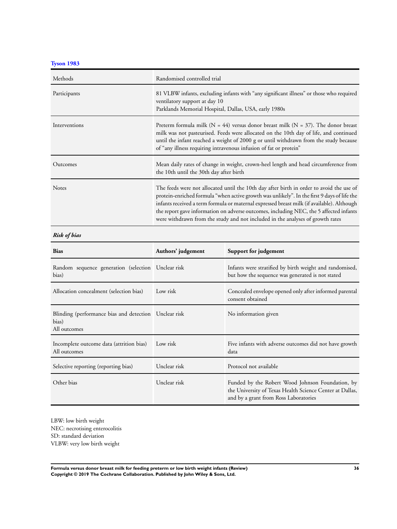**Tyson 1983**

| Methods       | Randomised controlled trial                                                                                                                                                                                                                                                                                                                                                                                                                                       |
|---------------|-------------------------------------------------------------------------------------------------------------------------------------------------------------------------------------------------------------------------------------------------------------------------------------------------------------------------------------------------------------------------------------------------------------------------------------------------------------------|
| Participants  | 81 VLBW infants, excluding infants with "any significant illness" or those who required<br>ventilatory support at day 10<br>Parklands Memorial Hospital, Dallas, USA, early 1980s                                                                                                                                                                                                                                                                                 |
| Interventions | Preterm formula milk ( $N = 44$ ) versus donor breast milk ( $N = 37$ ). The donor breast<br>milk was not pasteurised. Feeds were allocated on the 10th day of life, and continued<br>until the infant reached a weight of 2000 g or until withdrawn from the study because<br>of "any illness requiring intravenous infusion of fat or protein"                                                                                                                  |
| Outcomes      | Mean daily rates of change in weight, crown-heel length and head circumference from<br>the 10th until the 30th day after birth                                                                                                                                                                                                                                                                                                                                    |
| <b>Notes</b>  | The feeds were not allocated until the 10th day after birth in order to avoid the use of<br>protein-enriched formula "when active growth was unlikely". In the first 9 days of life the<br>infants received a term formula or maternal expressed breast milk (if available). Although<br>the report gave information on adverse outcomes, including NEC, the 5 affected infants<br>were withdrawn from the study and not included in the analyses of growth rates |

# *Risk of bias*

| <b>Bias</b>                                                                    | Authors' judgement | Support for judgement                                                                                                                                 |
|--------------------------------------------------------------------------------|--------------------|-------------------------------------------------------------------------------------------------------------------------------------------------------|
| Random sequence generation (selection Unclear risk<br>bias)                    |                    | Infants were stratified by birth weight and randomised,<br>but how the sequence was generated is not stated                                           |
| Allocation concealment (selection bias)                                        | Low risk           | Concealed envelope opened only after informed parental<br>consent obtained                                                                            |
| Blinding (performance bias and detection Unclear risk<br>bias)<br>All outcomes |                    | No information given                                                                                                                                  |
| Incomplete outcome data (attrition bias)<br>All outcomes                       | Low risk           | Five infants with adverse outcomes did not have growth<br>data                                                                                        |
| Selective reporting (reporting bias)                                           | Unclear risk       | Protocol not available                                                                                                                                |
| Other bias                                                                     | Unclear risk       | Funded by the Robert Wood Johnson Foundation, by<br>the University of Texas Health Science Center at Dallas,<br>and by a grant from Ross Laboratories |

LBW: low birth weight NEC: necrotising enterocolitis SD: standard deviation VLBW: very low birth weight

**Formula versus donor breast milk for feeding preterm or low birth weight infants (Review) 36 Copyright © 2019 The Cochrane Collaboration. Published by John Wiley & Sons, Ltd.**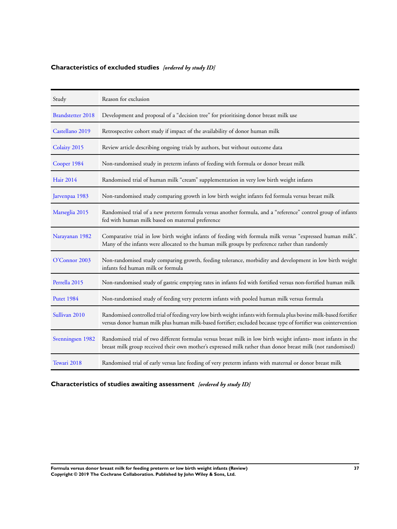# **Characteristics of excluded studies** *[ordered by study ID]*

| Study                    | Reason for exclusion                                                                                                                                                                                                                 |
|--------------------------|--------------------------------------------------------------------------------------------------------------------------------------------------------------------------------------------------------------------------------------|
| <b>Brandstetter 2018</b> | Development and proposal of a "decision tree" for prioritising donor breast milk use                                                                                                                                                 |
| Castellano 2019          | Retrospective cohort study if impact of the availability of donor human milk                                                                                                                                                         |
| Colaizy 2015             | Review article describing ongoing trials by authors, but without outcome data                                                                                                                                                        |
| Cooper 1984              | Non-randomised study in preterm infants of feeding with formula or donor breast milk                                                                                                                                                 |
| <b>Hair 2014</b>         | Randomised trial of human milk "cream" supplementation in very low birth weight infants                                                                                                                                              |
| Jarvenpaa 1983           | Non-randomised study comparing growth in low birth weight infants fed formula versus breast milk                                                                                                                                     |
| Marseglia 2015           | Randomised trial of a new preterm formula versus another formula, and a "reference" control group of infants<br>fed with human milk based on maternal preference                                                                     |
| Narayanan 1982           | Comparative trial in low birth weight infants of feeding with formula milk versus "expressed human milk".<br>Many of the infants were allocated to the human milk groups by preference rather than randomly                          |
| O'Connor 2003            | Non-randomised study comparing growth, feeding tolerance, morbidity and development in low birth weight<br>infants fed human milk or formula                                                                                         |
| Perrella 2015            | Non-randomised study of gastric emptying rates in infants fed with fortified versus non-fortified human milk                                                                                                                         |
| <b>Putet 1984</b>        | Non-randomised study of feeding very preterm infants with pooled human milk versus formula                                                                                                                                           |
| Sullivan 2010            | Randomised controlled trial of feeding very low birth weight infants with formula plus bovine milk-based fortifier<br>versus donor human milk plus human milk-based fortifier; excluded because type of fortifier was cointervention |
| Svenningsen 1982         | Randomised trial of two different formulas versus breast milk in low birth weight infants- most infants in the<br>breast milk group received their own mother's expressed milk rather than donor breast milk (not randomised)        |
| Tewari 2018              | Randomised trial of early versus late feeding of very preterm infants with maternal or donor breast milk                                                                                                                             |

# **Characteristics of studies awaiting assessment** *[ordered by study ID]*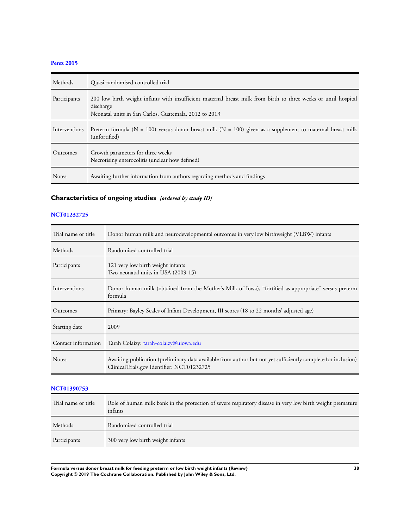# **Perez 2015**

| Methods       | Quasi-randomised controlled trial                                                                                                                                                     |
|---------------|---------------------------------------------------------------------------------------------------------------------------------------------------------------------------------------|
| Participants  | 200 low birth weight infants with insufficient maternal breast milk from birth to three weeks or until hospital<br>discharge<br>Neonatal units in San Carlos, Guatemala, 2012 to 2013 |
| Interventions | Preterm formula ( $N = 100$ ) versus donor breast milk ( $N = 100$ ) given as a supplement to maternal breast milk<br>(unfortified)                                                   |
| Outcomes      | Growth parameters for three weeks<br>Necrotising enterocolitis (unclear how defined)                                                                                                  |
| <b>Notes</b>  | Awaiting further information from authors regarding methods and findings                                                                                                              |

# **Characteristics of ongoing studies** *[ordered by study ID]*

#### **NCT01232725**

| Trial name or title | Donor human milk and neurodevelopmental outcomes in very low birthweight (VLBW) infants                                                                     |
|---------------------|-------------------------------------------------------------------------------------------------------------------------------------------------------------|
| Methods             | Randomised controlled trial                                                                                                                                 |
| Participants        | 121 very low birth weight infants<br>Two neonatal units in USA (2009-15)                                                                                    |
| Interventions       | Donor human milk (obtained from the Mother's Milk of Iowa), "fortified as appropriate" versus preterm<br>formula                                            |
| Outcomes            | Primary: Bayley Scales of Infant Development, III scores (18 to 22 months' adjusted age)                                                                    |
| Starting date       | 2009                                                                                                                                                        |
| Contact information | Tarah Colaizy: tarah-colaizy@uiowa.edu                                                                                                                      |
| <b>Notes</b>        | Awaiting publication (preliminary data available from author but not yet sufficiently complete for inclusion)<br>ClinicalTrials.gov Identifier: NCT01232725 |

# **NCT01390753**

| Trial name or title | Role of human milk bank in the protection of severe respiratory disease in very low birth weight premature<br>infants |
|---------------------|-----------------------------------------------------------------------------------------------------------------------|
| Methods             | Randomised controlled trial                                                                                           |
| Participants        | 300 very low birth weight infants                                                                                     |

**Formula versus donor breast milk for feeding preterm or low birth weight infants (Review) 38 Copyright © 2019 The Cochrane Collaboration. Published by John Wiley & Sons, Ltd.**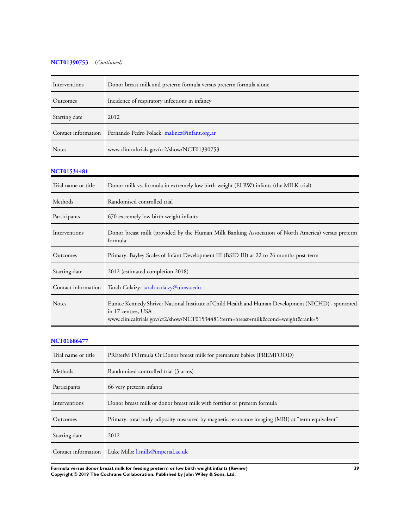# **NCT01390753** (*Continued)*

| Interventions       | Donor breast milk and preterm formula versus preterm formula alone                                                                                                                                           |
|---------------------|--------------------------------------------------------------------------------------------------------------------------------------------------------------------------------------------------------------|
| Outcomes            | Incidence of respiratory infections in infancy                                                                                                                                                               |
| Starting date       | 2012                                                                                                                                                                                                         |
| Contact information | Fernando Pedro Polack: malinez@infant.org.ar                                                                                                                                                                 |
| Notes               | www.clinicaltrials.gov/ct2/show/NCT01390753                                                                                                                                                                  |
| <b>NCT01534481</b>  |                                                                                                                                                                                                              |
| Trial name or title | Donor milk vs. formula in extremely low birth weight (ELBW) infants (the MILK trial)                                                                                                                         |
| Methods             | Randomised controlled trial                                                                                                                                                                                  |
| Participants        | 670 extremely low birth weight infants                                                                                                                                                                       |
| Interventions       | Donor breast milk (provided by the Human Milk Banking Association of North America) versus preterm<br>formula                                                                                                |
| Outcomes            | Primary: Bayley Scales of Infant Development III (BSID III) at 22 to 26 months post-term                                                                                                                     |
| Starting date       | 2012 (estimated completion 2018)                                                                                                                                                                             |
| Contact information | Tarah Colaizy: tarah-colaizy@uiowa.edu                                                                                                                                                                       |
| <b>Notes</b>        | Eunice Kennedy Shriver National Institute of Child Health and Human Development (NICHD) - sponsored<br>in 17 centres, USA<br>www.clinicaltrials.gov/ct2/show/NCT01534481?term=breast+milk&cond=weight&rank=5 |
| <b>NCT01686477</b>  |                                                                                                                                                                                                              |

| Trial name or title | PREterM FOrmula Or Donor breast milk for premature babies (PREMFOOD)                            |
|---------------------|-------------------------------------------------------------------------------------------------|
| Methods             | Randomised controlled trial (3 arms)                                                            |
| Participants        | 66 very preterm infants                                                                         |
| Interventions       | Donor breast milk or donor breast milk with fortifier or preterm formula                        |
| Outcomes            | Primary: total body adiposity measured by magnetic resonance imaging (MRI) at "term equivalent" |
| Starting date       | 2012                                                                                            |
|                     | Contact information Luke Mills: l.mills@imperial.ac.uk                                          |

**Formula versus donor breast milk for feeding preterm or low birth weight infants (Review) 39 Copyright © 2019 The Cochrane Collaboration. Published by John Wiley & Sons, Ltd.**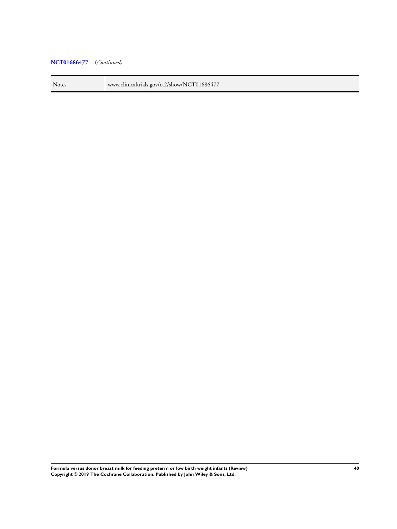# **NCT01686477** (*Continued)*

Notes www.clinicaltrials.gov/ct2/show/NCT01686477

**Formula versus donor breast milk for feeding preterm or low birth weight infants (Review) 40 Copyright © 2019 The Cochrane Collaboration. Published by John Wiley & Sons, Ltd.**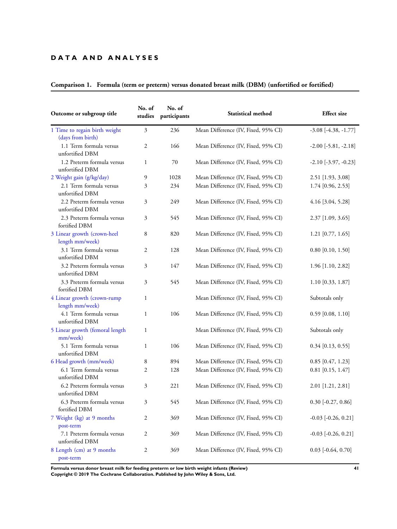# **D A T A A N D A N A L Y S E S**

| Outcome or subgroup title                          | No. of<br>studies | No. of<br>participants | Statistical method                  | <b>Effect</b> size       |
|----------------------------------------------------|-------------------|------------------------|-------------------------------------|--------------------------|
| 1 Time to regain birth weight<br>(days from birth) | $\overline{3}$    | 236                    | Mean Difference (IV, Fixed, 95% CI) | $-3.08$ $[-4.38, -1.77]$ |
| 1.1 Term formula versus<br>unfortified DBM         | $\mathfrak{2}$    | 166                    | Mean Difference (IV, Fixed, 95% CI) | $-2.00$ $[-5.81, -2.18]$ |
| 1.2 Preterm formula versus<br>unfortified DBM      | $\mathbf{1}$      | 70                     | Mean Difference (IV, Fixed, 95% CI) | $-2.10$ $[-3.97, -0.23]$ |
| 2 Weight gain (g/kg/day)                           | 9                 | 1028                   | Mean Difference (IV, Fixed, 95% CI) | 2.51 [1.93, 3.08]        |
| 2.1 Term formula versus<br>unfortified DBM         | 3                 | 234                    | Mean Difference (IV, Fixed, 95% CI) | 1.74 [0.96, 2.53]        |
| 2.2 Preterm formula versus<br>unfortified DBM      | 3                 | 249                    | Mean Difference (IV, Fixed, 95% CI) | 4.16 [3.04, 5.28]        |
| 2.3 Preterm formula versus<br>fortified DBM        | 3                 | 545                    | Mean Difference (IV, Fixed, 95% CI) | 2.37 [1.09, 3.65]        |
| 3 Linear growth (crown-heel<br>length mm/week)     | 8                 | 820                    | Mean Difference (IV, Fixed, 95% CI) | $1.21$ [0.77, 1.65]      |
| 3.1 Term formula versus<br>unfortified DBM         | $\mathfrak{2}$    | 128                    | Mean Difference (IV, Fixed, 95% CI) | $0.80$ [0.10, 1.50]      |
| 3.2 Preterm formula versus<br>unfortified DBM      | 3                 | 147                    | Mean Difference (IV, Fixed, 95% CI) | 1.96 [1.10, 2.82]        |
| 3.3 Preterm formula versus<br>fortified DBM        | 3                 | 545                    | Mean Difference (IV, Fixed, 95% CI) | 1.10 [0.33, 1.87]        |
| 4 Linear growth (crown-rump<br>length mm/week)     | $\mathbf{1}$      |                        | Mean Difference (IV, Fixed, 95% CI) | Subtotals only           |
| 4.1 Term formula versus<br>unfortified DBM         | 1                 | 106                    | Mean Difference (IV, Fixed, 95% CI) | $0.59$ [0.08, 1.10]      |
| 5 Linear growth (femoral length<br>mm/week)        | $\mathbf{1}$      |                        | Mean Difference (IV, Fixed, 95% CI) | Subtotals only           |
| 5.1 Term formula versus<br>unfortified DBM         | $\mathbf{1}$      | 106                    | Mean Difference (IV, Fixed, 95% CI) | $0.34$ [0.13, 0.55]      |
| 6 Head growth (mm/week)                            | 8                 | 894                    | Mean Difference (IV, Fixed, 95% CI) | $0.85$ [0.47, 1.23]      |
| 6.1 Term formula versus<br>unfortified DBM         | $\mathfrak{2}$    | 128                    | Mean Difference (IV, Fixed, 95% CI) | $0.81$ [0.15, 1.47]      |
| 6.2 Preterm formula versus<br>unfortified DBM      | 3                 | 221                    | Mean Difference (IV, Fixed, 95% CI) | 2.01 [1.21, 2.81]        |
| 6.3 Preterm formula versus<br>fortified DBM        | 3                 | 545                    | Mean Difference (IV, Fixed, 95% CI) | $0.30$ [-0.27, 0.86]     |
| 7 Weight (kg) at 9 months<br>post-term             | $\overline{c}$    | 369                    | Mean Difference (IV, Fixed, 95% CI) | $-0.03$ $[-0.26, 0.21]$  |
| 7.1 Preterm formula versus<br>unfortified DBM      | $\overline{c}$    | 369                    | Mean Difference (IV, Fixed, 95% CI) | $-0.03$ $[-0.26, 0.21]$  |
| 8 Length (cm) at 9 months<br>post-term             | $\boldsymbol{2}$  | 369                    | Mean Difference (IV, Fixed, 95% CI) | $0.03$ [-0.64, 0.70]     |

# **Comparison 1. Formula (term or preterm) versus donated breast milk (DBM) (unfortified or fortified)**

**Formula versus donor breast milk for feeding preterm or low birth weight infants (Review) 41 Copyright © 2019 The Cochrane Collaboration. Published by John Wiley & Sons, Ltd.**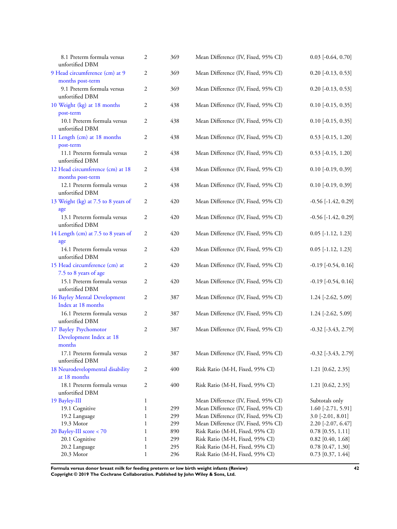| 8.1 Preterm formula versus<br>unfortified DBM              | 2              | 369 | Mean Difference (IV, Fixed, 95% CI) | $0.03$ [-0.64, 0.70]      |
|------------------------------------------------------------|----------------|-----|-------------------------------------|---------------------------|
| 9 Head circumference (cm) at 9<br>months post-term         | $\mathfrak{2}$ | 369 | Mean Difference (IV, Fixed, 95% CI) | $0.20$ [-0.13, 0.53]      |
| 9.1 Preterm formula versus<br>unfortified DBM              | $\mathfrak{2}$ | 369 | Mean Difference (IV, Fixed, 95% CI) | $0.20$ [-0.13, 0.53]      |
| 10 Weight (kg) at 18 months<br>post-term                   | $\overline{c}$ | 438 | Mean Difference (IV, Fixed, 95% CI) | $0.10$ [-0.15, 0.35]      |
| 10.1 Preterm formula versus<br>unfortified DBM             | $\mathfrak{2}$ | 438 | Mean Difference (IV, Fixed, 95% CI) | $0.10$ [-0.15, 0.35]      |
| 11 Length (cm) at 18 months<br>post-term                   | $\mathfrak{2}$ | 438 | Mean Difference (IV, Fixed, 95% CI) | $0.53$ [-0.15, 1.20]      |
| 11.1 Preterm formula versus<br>unfortified DBM             | 2              | 438 | Mean Difference (IV, Fixed, 95% CI) | $0.53$ [-0.15, 1.20]      |
| 12 Head circumference (cm) at 18<br>months post-term       | 2              | 438 | Mean Difference (IV, Fixed, 95% CI) | $0.10$ [-0.19, 0.39]      |
| 12.1 Preterm formula versus<br>unfortified DBM             | $\mathfrak{2}$ | 438 | Mean Difference (IV, Fixed, 95% CI) | $0.10$ [-0.19, 0.39]      |
| 13 Weight (kg) at 7.5 to 8 years of<br>age                 | 2              | 420 | Mean Difference (IV, Fixed, 95% CI) | $-0.56$ [ $-1.42$ , 0.29] |
| 13.1 Preterm formula versus<br>unfortified DBM             | 2              | 420 | Mean Difference (IV, Fixed, 95% CI) | $-0.56$ [ $-1.42$ , 0.29] |
| 14 Length (cm) at 7.5 to 8 years of<br>age                 | 2              | 420 | Mean Difference (IV, Fixed, 95% CI) | $0.05$ [-1.12, 1.23]      |
| 14.1 Preterm formula versus<br>unfortified DBM             | $\overline{2}$ | 420 | Mean Difference (IV, Fixed, 95% CI) | $0.05$ [-1.12, 1.23]      |
| 15 Head circumference (cm) at<br>7.5 to 8 years of age     | $\mathfrak{2}$ | 420 | Mean Difference (IV, Fixed, 95% CI) | $-0.19$ $[-0.54, 0.16]$   |
| 15.1 Preterm formula versus<br>unfortified DBM             | $\mathfrak{2}$ | 420 | Mean Difference (IV, Fixed, 95% CI) | $-0.19$ $[-0.54, 0.16]$   |
| 16 Bayley Mental Development<br>Index at 18 months         | $\mathfrak{2}$ | 387 | Mean Difference (IV, Fixed, 95% CI) | 1.24 [-2.62, 5.09]        |
| 16.1 Preterm formula versus<br>unfortified DBM             | $\mathfrak{2}$ | 387 | Mean Difference (IV, Fixed, 95% CI) | 1.24 [-2.62, 5.09]        |
| 17 Bayley Psychomotor<br>Development Index at 18<br>months | 2              | 387 | Mean Difference (IV, Fixed, 95% CI) | $-0.32$ $[-3.43, 2.79]$   |
| 17.1 Preterm formula versus<br>unfortified DBM             | 2              | 387 | Mean Difference (IV, Fixed, 95% CI) | $-0.32$ $[-3.43, 2.79]$   |
| 18 Neurodevelopmental disability<br>at 18 months           | 2              | 400 | Risk Ratio (M-H, Fixed, 95% CI)     | $1.21$ [0.62, 2.35]       |
| 18.1 Preterm formula versus<br>unfortified DBM             | $\mathfrak{2}$ | 400 | Risk Ratio (M-H, Fixed, 95% CI)     | $1.21$ [0.62, 2.35]       |
| 19 Bayley-III                                              | $\mathbf{1}$   |     | Mean Difference (IV, Fixed, 95% CI) | Subtotals only            |
| 19.1 Cognitive                                             | $\mathbf{1}$   | 299 | Mean Difference (IV, Fixed, 95% CI) | 1.60 [-2.71, 5.91]        |
| 19.2 Language                                              | $\mathbf{1}$   | 299 | Mean Difference (IV, Fixed, 95% CI) | $3.0$ [-2.01, 8.01]       |
| 19.3 Motor                                                 | $\mathbf{1}$   | 299 | Mean Difference (IV, Fixed, 95% CI) | 2.20 [-2.07, 6.47]        |
| 20 Bayley-III score < 70                                   | $\mathbf{1}$   | 890 | Risk Ratio (M-H, Fixed, 95% CI)     | $0.78$ [0.55, 1.11]       |
| 20.1 Cognitive                                             | $\mathbf{1}$   | 299 | Risk Ratio (M-H, Fixed, 95% CI)     | $0.82$ [0.40, 1.68]       |
| 20.2 Language                                              | $\mathbf{1}$   | 295 | Risk Ratio (M-H, Fixed, 95% CI)     | $0.78$ [0.47, 1.30]       |
| 20.3 Motor                                                 | $\mathbf{1}$   | 296 | Risk Ratio (M-H, Fixed, 95% CI)     | $0.73$ [0.37, 1.44]       |

**Formula versus donor breast milk for feeding preterm or low birth weight infants (Review) 42 Copyright © 2019 The Cochrane Collaboration. Published by John Wiley & Sons, Ltd.**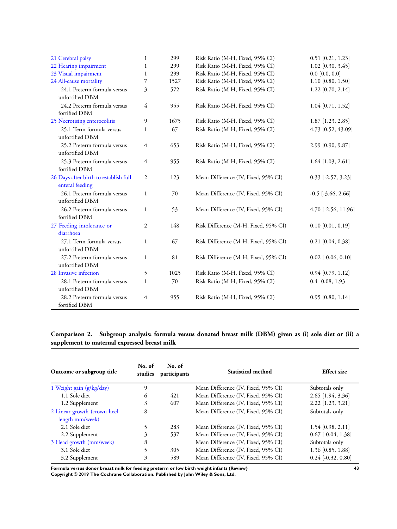| 21 Cerebral palsy                                        | $\mathbf{1}$   | 299  | Risk Ratio (M-H, Fixed, 95% CI)      | $0.51$ [0.21, 1.23]      |
|----------------------------------------------------------|----------------|------|--------------------------------------|--------------------------|
| 22 Hearing impairment                                    | 1              | 299  | Risk Ratio (M-H, Fixed, 95% CI)      | $1.02$ [0.30, 3.45]      |
| 23 Visual impairment                                     | $\mathbf{1}$   | 299  | Risk Ratio (M-H, Fixed, 95% CI)      | $0.0$ [0.0, 0.0]         |
| 24 All-cause mortality                                   | 7              | 1527 | Risk Ratio (M-H, Fixed, 95% CI)      | $1.10$ [0.80, 1.50]      |
| 24.1 Preterm formula versus<br>unfortified DBM           | 3              | 572  | Risk Ratio (M-H, Fixed, 95% CI)      | $1.22$ [0.70, 2.14]      |
| 24.2 Preterm formula versus<br>fortified DBM             | 4              | 955  | Risk Ratio (M-H, Fixed, 95% CI)      | $1.04$ [0.71, 1.52]      |
| 25 Necrotising enterocolitis                             | 9              | 1675 | Risk Ratio (M-H, Fixed, 95% CI)      | 1.87 [1.23, 2.85]        |
| 25.1 Term formula versus<br>unfortified DBM              | $\mathbf{1}$   | 67   | Risk Ratio (M-H, Fixed, 95% CI)      | 4.73 [0.52, 43.09]       |
| 25.2 Preterm formula versus<br>unfortified DBM           | 4              | 653  | Risk Ratio (M-H, Fixed, 95% CI)      | 2.99 [0.90, 9.87]        |
| 25.3 Preterm formula versus<br>fortified DBM             | 4              | 955  | Risk Ratio (M-H, Fixed, 95% CI)      | $1.64$ [1.03, 2.61]      |
| 26 Days after birth to establish full<br>enteral feeding | 2              | 123  | Mean Difference (IV, Fixed, 95% CI)  | $0.33$ [-2.57, 3.23]     |
| 26.1 Preterm formula versus<br>unfortified DBM           | $\mathbf{1}$   | 70   | Mean Difference (IV, Fixed, 95% CI)  | $-0.5$ [ $-3.66$ , 2.66] |
| 26.2 Preterm formula versus<br>fortified DBM             | $\mathbf{1}$   | 53   | Mean Difference (IV, Fixed, 95% CI)  | 4.70 [-2.56, 11.96]      |
| 27 Feeding intolerance or<br>diarrhoea                   | $\overline{2}$ | 148  | Risk Difference (M-H, Fixed, 95% CI) | $0.10$ [0.01, 0.19]      |
| 27.1 Term formula versus<br>unfortified DBM              | $\mathbf{1}$   | 67   | Risk Difference (M-H, Fixed, 95% CI) | $0.21$ [0.04, 0.38]      |
| 27.2 Preterm formula versus<br>unfortified DBM           | $\mathbf{1}$   | 81   | Risk Difference (M-H, Fixed, 95% CI) | $0.02$ [-0.06, 0.10]     |
| 28 Invasive infection                                    | 5              | 1025 | Risk Ratio (M-H, Fixed, 95% CI)      | $0.94$ [0.79, 1.12]      |
| 28.1 Preterm formula versus<br>unfortified DBM           | $\mathbf{1}$   | 70   | Risk Ratio (M-H, Fixed, 95% CI)      | $0.4$ [0.08, 1.93]       |
| 28.2 Preterm formula versus<br>fortified DBM             | 4              | 955  | Risk Ratio (M-H, Fixed, 95% CI)      | $0.95$ [0.80, 1.14]      |

# **Comparison 2. Subgroup analysis: formula versus donated breast milk (DBM) given as (i) sole diet or (ii) a supplement to maternal expressed breast milk**

| Outcome or subgroup title   | No. of<br>studies | No. of<br>participants | Statistical method                  | <b>Effect size</b>       |  |
|-----------------------------|-------------------|------------------------|-------------------------------------|--------------------------|--|
| 1 Weight gain (g/kg/day)    | 9                 |                        | Mean Difference (IV, Fixed, 95% CI) | Subtotals only           |  |
| 1.1 Sole diet               | 6                 | 421                    | Mean Difference (IV, Fixed, 95% CI) | 2.65 [1.94, 3.36]        |  |
| 1.2 Supplement              | 3                 | 607                    | Mean Difference (IV, Fixed, 95% CI) | 2.22 [1.23, 3.21]        |  |
| 2 Linear growth (crown-heel | 8                 |                        | Mean Difference (IV, Fixed, 95% CI) | Subtotals only           |  |
| length mm/week)             |                   |                        |                                     |                          |  |
| 2.1 Sole diet               |                   | 283                    | Mean Difference (IV, Fixed, 95% CI) | $1.54$ [0.98, 2.11]      |  |
| 2.2 Supplement              | 3                 | 537                    | Mean Difference (IV, Fixed, 95% CI) | $0.67$ [ $-0.04$ , 1.38] |  |
| 3 Head growth (mm/week)     | 8                 |                        | Mean Difference (IV, Fixed, 95% CI) | Subtotals only           |  |
| 3.1 Sole diet               |                   | 305                    | Mean Difference (IV, Fixed, 95% CI) | 1.36 [0.85, 1.88]        |  |
| 3.2 Supplement              | 3                 | 589                    | Mean Difference (IV, Fixed, 95% CI) | $0.24$ [-0.32, 0.80]     |  |

**Formula versus donor breast milk for feeding preterm or low birth weight infants (Review) 43 Copyright © 2019 The Cochrane Collaboration. Published by John Wiley & Sons, Ltd.**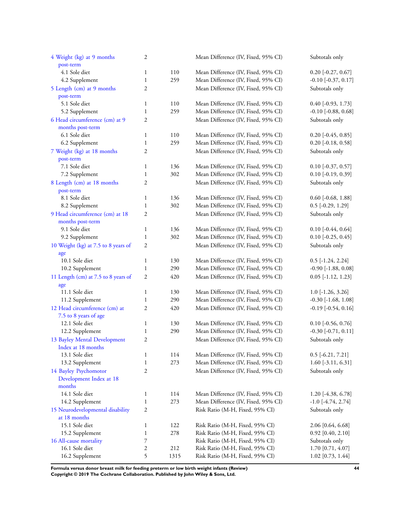| 4 Weight (kg) at 9 months           | 2              |      | Mean Difference (IV, Fixed, 95% CI) | Subtotals only               |
|-------------------------------------|----------------|------|-------------------------------------|------------------------------|
| post-term                           |                |      |                                     |                              |
| 4.1 Sole diet                       | $\mathbf{1}$   | 110  | Mean Difference (IV, Fixed, 95% CI) | $0.20$ [-0.27, 0.67]         |
| 4.2 Supplement                      | $\mathbf{1}$   | 259  | Mean Difference (IV, Fixed, 95% CI) | $-0.10$ [ $-0.37, 0.17$ ]    |
| 5 Length (cm) at 9 months           | 2              |      | Mean Difference (IV, Fixed, 95% CI) | Subtotals only               |
| post-term                           |                |      |                                     |                              |
| 5.1 Sole diet                       | $\mathbf{1}$   | 110  | Mean Difference (IV, Fixed, 95% CI) | $0.40$ [-0.93, 1.73]         |
| 5.2 Supplement                      | $\mathbf{1}$   | 259  | Mean Difference (IV, Fixed, 95% CI) | $-0.10$ [ $-0.88$ , $0.68$ ] |
| 6 Head circumference (cm) at 9      | $\mathfrak{2}$ |      | Mean Difference (IV, Fixed, 95% CI) | Subtotals only               |
| months post-term                    |                |      |                                     |                              |
| 6.1 Sole diet                       | $\mathbf{1}$   | 110  | Mean Difference (IV, Fixed, 95% CI) | $0.20$ [-0.45, 0.85]         |
| 6.2 Supplement                      | $\mathbf{1}$   | 259  | Mean Difference (IV, Fixed, 95% CI) | $0.20$ [-0.18, 0.58]         |
| 7 Weight (kg) at 18 months          | $\overline{2}$ |      | Mean Difference (IV, Fixed, 95% CI) | Subtotals only               |
| post-term                           |                |      |                                     |                              |
| 7.1 Sole diet                       | $\mathbf{1}$   | 136  | Mean Difference (IV, Fixed, 95% CI) | $0.10$ [-0.37, 0.57]         |
| 7.2 Supplement                      | $\mathbf{1}$   | 302  | Mean Difference (IV, Fixed, 95% CI) | $0.10$ [-0.19, 0.39]         |
| 8 Length (cm) at 18 months          | 2              |      | Mean Difference (IV, Fixed, 95% CI) | Subtotals only               |
| post-term                           |                |      |                                     |                              |
| 8.1 Sole diet                       | $\mathbf{1}$   | 136  | Mean Difference (IV, Fixed, 95% CI) | $0.60$ [-0.68, 1.88]         |
| 8.2 Supplement                      | $\mathbf{1}$   | 302  | Mean Difference (IV, Fixed, 95% CI) | $0.5$ [-0.29, 1.29]          |
| 9 Head circumference (cm) at 18     | $\mathfrak{2}$ |      | Mean Difference (IV, Fixed, 95% CI) | Subtotals only               |
| months post-term                    |                |      |                                     |                              |
| 9.1 Sole diet                       | $\mathbf{1}$   | 136  | Mean Difference (IV, Fixed, 95% CI) | $0.10$ [-0.44, 0.64]         |
| 9.2 Supplement                      | $\mathbf{1}$   | 302  | Mean Difference (IV, Fixed, 95% CI) | $0.10$ [-0.25, 0.45]         |
| 10 Weight (kg) at 7.5 to 8 years of | $\mathfrak{2}$ |      | Mean Difference (IV, Fixed, 95% CI) | Subtotals only               |
| age                                 |                |      |                                     |                              |
| 10.1 Sole diet                      | $\mathbf{1}$   | 130  | Mean Difference (IV, Fixed, 95% CI) | $0.5$ [-1.24, 2.24]          |
| 10.2 Supplement                     | $\mathbf{1}$   | 290  | Mean Difference (IV, Fixed, 95% CI) | $-0.90$ [ $-1.88$ , $0.08$ ] |
| 11 Length (cm) at 7.5 to 8 years of | $\mathfrak{2}$ | 420  | Mean Difference (IV, Fixed, 95% CI) | $0.05$ [-1.12, 1.23]         |
| age                                 |                |      |                                     |                              |
| 11.1 Sole diet                      | $\mathbf{1}$   | 130  | Mean Difference (IV, Fixed, 95% CI) | $1.0$ [-1.26, 3.26]          |
| 11.2 Supplement                     | $\mathbf{1}$   | 290  | Mean Difference (IV, Fixed, 95% CI) | $-0.30$ [ $-1.68$ , $1.08$ ] |
| 12 Head circumference (cm) at       | $\mathfrak{2}$ | 420  | Mean Difference (IV, Fixed, 95% CI) | $-0.19$ $[-0.54, 0.16]$      |
| 7.5 to 8 years of age               |                |      |                                     |                              |
| 12.1 Sole diet                      | $\mathbf{1}$   | 130  | Mean Difference (IV, Fixed, 95% CI) | $0.10$ [-0.56, 0.76]         |
| 12.2 Supplement                     | $\mathbf{1}$   | 290  | Mean Difference (IV, Fixed, 95% CI) | $-0.30$ [ $-0.71, 0.11$ ]    |
| 13 Bayley Mental Development        | $\overline{c}$ |      | Mean Difference (IV, Fixed, 95% CI) | Subtotals only               |
| Index at 18 months                  |                |      |                                     |                              |
| 13.1 Sole diet                      | $\mathbf{1}$   | 114  | Mean Difference (IV, Fixed, 95% CI) | $0.5$ [-6.21, 7.21]          |
| 13.2 Supplement                     | $\mathbf{1}$   | 273  | Mean Difference (IV, Fixed, 95% CI) | $1.60$ [-3.11, 6.31]         |
| 14 Bayley Psychomotor               | 2              |      | Mean Difference (IV, Fixed, 95% CI) | Subtotals only               |
| Development Index at 18             |                |      |                                     |                              |
| months                              |                |      |                                     |                              |
| 14.1 Sole diet                      | $\mathbf{1}$   | 114  | Mean Difference (IV, Fixed, 95% CI) | $1.20$ [-4.38, 6.78]         |
| 14.2 Supplement                     | $\mathbf{1}$   | 273  | Mean Difference (IV, Fixed, 95% CI) | $-1.0$ [ $-4.74$ , 2.74]     |
|                                     |                |      |                                     |                              |
| 15 Neurodevelopmental disability    | 2              |      | Risk Ratio (M-H, Fixed, 95% CI)     | Subtotals only               |
| at 18 months                        |                |      |                                     |                              |
| 15.1 Sole diet                      | $\mathbf{1}$   | 122  | Risk Ratio (M-H, Fixed, 95% CI)     | 2.06 [0.64, 6.68]            |
| 15.2 Supplement                     | $\mathbf{1}$   | 278  | Risk Ratio (M-H, Fixed, 95% CI)     | $0.92$ [0.40, 2.10]          |
| 16 All-cause mortality              | 7              |      | Risk Ratio (M-H, Fixed, 95% CI)     | Subtotals only               |
| 16.1 Sole diet                      | 2              | 212  | Risk Ratio (M-H, Fixed, 95% CI)     | 1.70 [0.71, 4.07]            |
| 16.2 Supplement                     | 5              | 1315 | Risk Ratio (M-H, Fixed, 95% CI)     | 1.02 [0.73, 1.44]            |

**Formula versus donor breast milk for feeding preterm or low birth weight infants (Review) 44 Copyright © 2019 The Cochrane Collaboration. Published by John Wiley & Sons, Ltd.**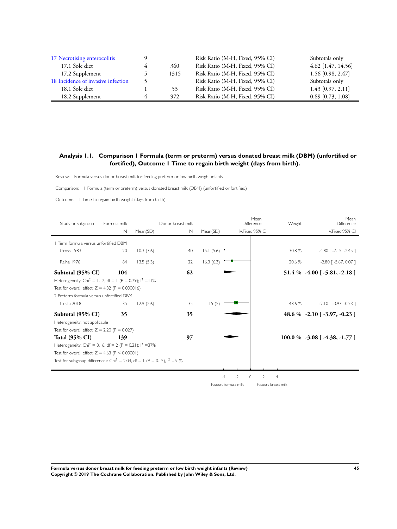| 17 Necrotising enterocolitis       |               |      | Risk Ratio (M-H, Fixed, 95% CI) | Subtotals only      |
|------------------------------------|---------------|------|---------------------------------|---------------------|
| 17.1 Sole diet                     |               | 360  | Risk Ratio (M-H, Fixed, 95% CI) | 4.62 [1.47, 14.56]  |
| 17.2 Supplement                    |               | 1315 | Risk Ratio (M-H, Fixed, 95% CI) | 1.56 [0.98, 2.47]   |
| 18 Incidence of invasive infection | $\mathcal{L}$ |      | Risk Ratio (M-H, Fixed, 95% CI) | Subtotals only      |
| 18.1 Sole diet                     |               | 53   | Risk Ratio (M-H, Fixed, 95% CI) | $1.43$ [0.97, 2.11] |
| 18.2 Supplement                    |               | 972  | Risk Ratio (M-H, Fixed, 95% CI) | $0.89$ [0.73, 1.08] |

# **Analysis 1.1. Comparison 1 Formula (term or preterm) versus donated breast milk (DBM) (unfortified or fortified), Outcome 1 Time to regain birth weight (days from birth).**

Review: Formula versus donor breast milk for feeding preterm or low birth weight infants

Comparison: I Formula (term or preterm) versus donated breast milk (DBM) (unfor tified or for tified)

Outcome: I Time to regain birth weight (days from birth)

| Study or subgroup                                                                      | Formula milk |           | Donor breast milk |           | Mean<br>Difference      |   | Weight         | Mean<br>Difference                   |
|----------------------------------------------------------------------------------------|--------------|-----------|-------------------|-----------|-------------------------|---|----------------|--------------------------------------|
|                                                                                        | N            | Mean(SD)  | N                 | Mean(SD)  | IV, Fixed, 95% CI       |   |                | IV, Fixed, 95% CI                    |
| Term formula versus unfortified DBM                                                    |              |           |                   |           |                         |   |                |                                      |
| Gross 1983                                                                             | 20           | 10.3(3.6) | 40                | 15.1(5.6) |                         |   | 30.8 %         | $-4.80$ [ $-7.15$ , $-2.45$ ]        |
| Raiha 1976                                                                             | 84           | 13.5(5.3) | 22                | 16.3(6.3) |                         |   | 20.6 %         | $-2.80$ [ $-5.67$ , 0.07 ]           |
| Subtotal (95% CI)                                                                      | 104          |           | 62                |           |                         |   |                | $51.4\% -4.00$ [ -5.81, -2.18 ]      |
| Heterogeneity: Chi <sup>2</sup> = 1.12, df = 1 (P = 0.29); $1^2$ = 11%                 |              |           |                   |           |                         |   |                |                                      |
| Test for overall effect: $Z = 4.32$ (P = 0.000016)                                     |              |           |                   |           |                         |   |                |                                      |
| 2 Preterm formula versus unfortified DBM                                               |              |           |                   |           |                         |   |                |                                      |
| Costa 2018                                                                             | 35           | 12.9(2.6) | 35                | 15(5)     |                         |   | 48.6 %         | $-2.10$ [ $-3.97$ , $-0.23$ ]        |
| Subtotal (95% CI)                                                                      | 35           |           | 35                |           |                         |   |                | 48.6 % $-2.10$ [ $-3.97$ , $-0.23$ ] |
| Heterogeneity: not applicable                                                          |              |           |                   |           |                         |   |                |                                      |
| Test for overall effect: $Z = 2.20$ (P = 0.027)                                        |              |           |                   |           |                         |   |                |                                      |
| <b>Total (95% CI)</b>                                                                  | 139          |           | 97                |           |                         |   |                | $100.0\%$ -3.08 [-4.38, -1.77]       |
| Heterogeneity: Chi <sup>2</sup> = 3.16, df = 2 (P = 0.21); $1^2$ =37%                  |              |           |                   |           |                         |   |                |                                      |
| Test for overall effect: $Z = 4.63$ (P < 0.00001)                                      |              |           |                   |           |                         |   |                |                                      |
| Test for subgroup differences: Chi <sup>2</sup> = 2.04, df = 1 (P = 0.15), $1^2$ = 51% |              |           |                   |           |                         |   |                |                                      |
|                                                                                        |              |           |                   |           |                         |   |                |                                      |
|                                                                                        |              |           |                   |           | $-2$<br>$\circ$<br>$-4$ | 2 | $\overline{4}$ |                                      |

Favours formula milk Favours breast milk

**Formula versus donor breast milk for feeding preterm or low birth weight infants (Review) 45 Copyright © 2019 The Cochrane Collaboration. Published by John Wiley & Sons, Ltd.**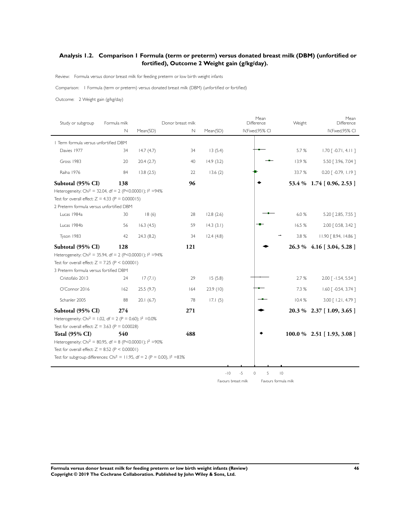# **Analysis 1.2. Comparison 1 Formula (term or preterm) versus donated breast milk (DBM) (unfortified or fortified), Outcome 2 Weight gain (g/kg/day).**

Review: Formula versus donor breast milk for feeding preterm or low birth weight infants

Comparison: I Formula (term or preterm) versus donated breast milk (DBM) (unfor tified or for tified)

Outcome: 2 Weight gain (g/kg/day)

| Study or subgroup                                                                      | Formula milk |           | Donor breast milk |           | Mean<br>Difference | Weight         | Mean<br>Difference                 |
|----------------------------------------------------------------------------------------|--------------|-----------|-------------------|-----------|--------------------|----------------|------------------------------------|
|                                                                                        | $\mathbb N$  | Mean(SD)  | $\mathbb N$       | Mean(SD)  | IV, Fixed, 95% CI  |                | IV, Fixed, 95% CI                  |
| I Term formula versus unfortified DBM                                                  |              |           |                   |           |                    |                |                                    |
| Davies 1977                                                                            | 34           | 14.7(4.7) | 34                | 13(5.4)   |                    | 5.7%           | $1.70$ [ -0.71, 4.11]              |
| Gross 1983                                                                             | 20           | 20.4(2.7) | 40                | 14.9(3.2) |                    | 13.9%          | 5.50 [ 3.96, 7.04 ]                |
| Raiha 1976                                                                             | 84           | 13.8(2.5) | 22                | 13.6(2)   |                    | 33.7%          | $0.20$ $\lceil -0.79, 1.19 \rceil$ |
| Subtotal (95% CI)                                                                      | 138          |           | 96                |           |                    |                | 53.4 % 1.74 [0.96, 2.53]           |
| Heterogeneity: Chi <sup>2</sup> = 32.04, df = 2 (P<0.00001); l <sup>2</sup> =94%       |              |           |                   |           |                    |                |                                    |
| Test for overall effect: $Z = 4.33$ (P = 0.000015)                                     |              |           |                   |           |                    |                |                                    |
| 2 Preterm formula versus unfortified DBM                                               |              |           |                   |           |                    |                |                                    |
| Lucas 1984a                                                                            | 30           | 18(6)     | 28                | 12.8(2.6) |                    | 6.0%           | 5.20 [ 2.85, 7.55 ]                |
| Lucas 1984b                                                                            | 56           | 16.3(4.5) | 59                | 14.3(3.1) |                    | 16.5%          | 2.00 [ 0.58, 3.42 ]                |
| Tyson 1983                                                                             | 42           | 24.3(8.2) | 34                | 12.4(4.8) |                    | 3.8 %          | 11.90 [ 8.94, 14.86 ]              |
| Subtotal (95% CI)                                                                      | 128          |           | 121               |           |                    |                | 26.3 % 4.16 [3.04, 5.28]           |
| Heterogeneity: Chi <sup>2</sup> = 35.94, df = 2 (P<0.00001); l <sup>2</sup> =94%       |              |           |                   |           |                    |                |                                    |
| Test for overall effect: $Z = 7.25$ (P < 0.00001)                                      |              |           |                   |           |                    |                |                                    |
| 3 Preterm formula versus fortified DBM                                                 |              |           |                   |           |                    |                |                                    |
| Cristofalo 2013                                                                        | 24           | 17(7.1)   | 29                | 15(5.8)   |                    | 2.7 %          | $2.00$ $\lceil -1.54, 5.54 \rceil$ |
| O'Connor 2016                                                                          | 162          | 25.5(9.7) | 164               | 23.9(10)  |                    | 7.3 %          | $1.60$ [ -0.54, 3.74 ]             |
| Schanler 2005                                                                          | 88           | 20.1(6.7) | 78                | 17.1(5)   |                    | 10.4%          | 3.00 [ 1.21, 4.79 ]                |
| Subtotal (95% CI)                                                                      | 274          |           | 271               |           |                    |                | 20.3 % 2.37 [1.09, 3.65]           |
| Heterogeneity: Chi <sup>2</sup> = 1.02, df = 2 (P = 0.60); $1^2$ =0.0%                 |              |           |                   |           |                    |                |                                    |
| Test for overall effect: $Z = 3.63$ (P = 0.00028)                                      |              |           |                   |           |                    |                |                                    |
| <b>Total (95% CI)</b>                                                                  | 540          |           | 488               |           |                    |                | $100.0 \%$ 2.51 [1.93, 3.08]       |
| Heterogeneity: Chi <sup>2</sup> = 80.95, df = 8 (P<0.00001); $1^2$ =90%                |              |           |                   |           |                    |                |                                    |
| Test for overall effect: $Z = 8.52$ (P < 0.00001)                                      |              |           |                   |           |                    |                |                                    |
| Test for subgroup differences: Chi <sup>2</sup> = 11.95, df = 2 (P = 0.00), $1^2$ =83% |              |           |                   |           |                    |                |                                    |
|                                                                                        |              |           |                   |           |                    |                |                                    |
|                                                                                        |              |           |                   | $-10$     | 5<br>$-5$<br>0     | $\overline{0}$ |                                    |

Favours breast milk Favours formula milk

**Formula versus donor breast milk for feeding preterm or low birth weight infants (Review) 46 Copyright © 2019 The Cochrane Collaboration. Published by John Wiley & Sons, Ltd.**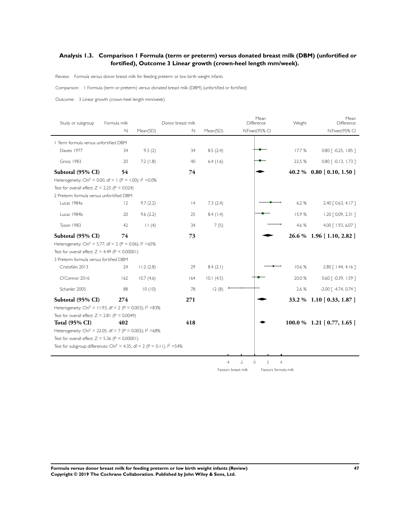# **Analysis 1.3. Comparison 1 Formula (term or preterm) versus donated breast milk (DBM) (unfortified or fortified), Outcome 3 Linear growth (crown-heel length mm/week).**

Review: Formula versus donor breast milk for feeding preterm or low birth weight infants

Comparison: I Formula (term or preterm) versus donated breast milk (DBM) (unfor tified or for tified)

Outcome: 3 Linear growth (crown-heel length mm/week)

| Study or subgroup                                                                     | Formula milk |           | Donor breast milk |             | Mean<br>Difference                             | Weight                                                   | Mean<br>Difference                 |
|---------------------------------------------------------------------------------------|--------------|-----------|-------------------|-------------|------------------------------------------------|----------------------------------------------------------|------------------------------------|
|                                                                                       | N            | Mean(SD)  | N                 | Mean(SD)    | IV, Fixed, 95% CI                              |                                                          | IV, Fixed, 95% CI                  |
| I Term formula versus unfortified DBM                                                 |              |           |                   |             |                                                |                                                          |                                    |
| Davies 1977                                                                           | 34           | 9.3(2)    | 34                | 8.5(2.4)    |                                                | 17.7%                                                    | $0.80$ $\lceil -0.25, 1.85 \rceil$ |
| Gross 1983                                                                            | 20           | 7.2(1.8)  | 40                | $6.4$ (1.6) |                                                | 22.5 %                                                   | $0.80$ $\lceil -0.13, 1.73 \rceil$ |
| Subtotal (95% CI)                                                                     | 54           |           | 74                |             |                                                |                                                          | 40.2 % 0.80 [0.10, 1.50]           |
| Heterogeneity: Chi <sup>2</sup> = 0.00, df = 1 (P = 1.00); $1^2$ = 0.0%               |              |           |                   |             |                                                |                                                          |                                    |
| Test for overall effect: $Z = 2.25$ (P = 0.024)                                       |              |           |                   |             |                                                |                                                          |                                    |
| 2 Preterm formula versus unfortified DBM                                              |              |           |                   |             |                                                |                                                          |                                    |
| Lucas 1984a                                                                           | $ 2\rangle$  | 9.7(2.2)  | 4                 | 7.3(2.4)    |                                                | 6.2%                                                     | 2.40 [ 0.63, 4.17 ]                |
| Lucas 1984b                                                                           | 20           | 9.6(2.2)  | 25                | 8.4(1.4)    |                                                | 15.9%                                                    | $1.20$ $[0.09, 2.31]$              |
| Tyson 1983                                                                            | 42           | 11(4)     | 34                | 7(5)        |                                                | 4.6 %                                                    | 4.00 [ 1.93, 6.07 ]                |
| Subtotal (95% CI)                                                                     | 74           |           | 73                |             |                                                |                                                          | 26.6 % 1.96 [1.10, 2.82 ]          |
| Heterogeneity: Chi <sup>2</sup> = 5.77, df = 2 (P = 0.06); $1^2$ =65%                 |              |           |                   |             |                                                |                                                          |                                    |
| Test for overall effect: $Z = 4.49$ (P < 0.00001)                                     |              |           |                   |             |                                                |                                                          |                                    |
| 3 Preterm formula versus fortified DBM                                                |              |           |                   |             |                                                |                                                          |                                    |
| Cristofalo 2013                                                                       | 24           | 11.2(2.8) | 29                | 8.4(2.1)    |                                                | 10.6 %                                                   | 2.80 [ 1.44, 4.16 ]                |
| O'Connor 2016                                                                         | 162          | 10.7(4.6) | 164               | 10.1(4.5)   |                                                | 20.0 %                                                   | 0.60 [ -0.39, 1.59 ]               |
| Schanler 2005                                                                         | 88           | 10(10)    | 78                | 12(8)       |                                                | 2.6 %                                                    | $-2.00$ $[-4.74, 0.74]$            |
| Subtotal (95% CI)                                                                     | 274          |           | 271               |             |                                                |                                                          | 33.2 % 1.10 [0.33, 1.87]           |
| Heterogeneity: Chi <sup>2</sup> = 11.93, df = 2 (P = 0.003); $1^2$ =83%               |              |           |                   |             |                                                |                                                          |                                    |
| Test for overall effect: $Z = 2.81$ (P = 0.0049)                                      |              |           |                   |             |                                                |                                                          |                                    |
| <b>Total (95% CI)</b>                                                                 | 402          |           | 418               |             |                                                |                                                          | 100.0 % 1.21 [0.77, 1.65]          |
| Heterogeneity: Chi <sup>2</sup> = 22.05, df = 7 (P = 0.002); $1^2$ = 68%              |              |           |                   |             |                                                |                                                          |                                    |
| Test for overall effect: $Z = 5.36$ (P < 0.00001)                                     |              |           |                   |             |                                                |                                                          |                                    |
| Test for subgroup differences: Chi <sup>2</sup> = 4.35, df = 2 (P = 0.11), $1^2$ =54% |              |           |                   |             |                                                |                                                          |                                    |
|                                                                                       |              |           |                   |             |                                                |                                                          |                                    |
|                                                                                       |              |           |                   |             | $-2$<br>$\circ$<br>$-4$<br>Favours breast milk | $\overline{2}$<br>$\overline{4}$<br>Favours formula milk |                                    |
|                                                                                       |              |           |                   |             |                                                |                                                          |                                    |

**Formula versus donor breast milk for feeding preterm or low birth weight infants (Review) 47 Copyright © 2019 The Cochrane Collaboration. Published by John Wiley & Sons, Ltd.**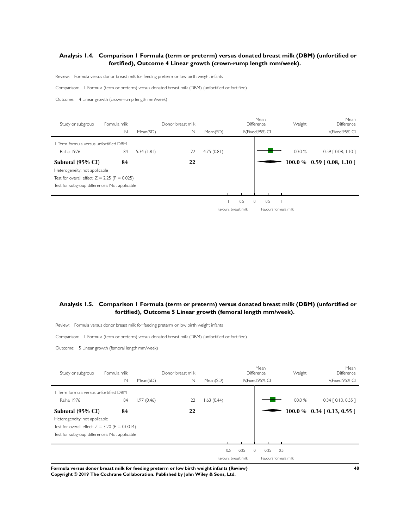## **Analysis 1.4. Comparison 1 Formula (term or preterm) versus donated breast milk (DBM) (unfortified or fortified), Outcome 4 Linear growth (crown-rump length mm/week).**

Review: Formula versus donor breast milk for feeding preterm or low birth weight infants

Comparison: I Formula (term or preterm) versus donated breast milk (DBM) (unfor tified or for tified)

Outcome: 4 Linear growth (crown-rump length mm/week)

| Study or subgroup                               | Formula milk |            | Donor breast milk |            |                          | Mean<br>Difference   | Weight  | Mean<br><b>Difference</b>   |
|-------------------------------------------------|--------------|------------|-------------------|------------|--------------------------|----------------------|---------|-----------------------------|
|                                                 | $\mathbb N$  | Mean(SD)   | N                 | Mean(SD)   |                          | IV, Fixed, 95% CI    |         | IV, Fixed, 95% CI           |
| Term formula versus unfortified DBM             |              |            |                   |            |                          |                      |         |                             |
| Raiha 1976                                      | 84           | 5.34(1.81) | 22                | 4.75(0.81) |                          |                      | 100.0 % | $0.59$ $[0.08, 1.10]$       |
| Subtotal (95% CI)                               | 84           |            | 22                |            |                          |                      |         | $100.0\%$ 0.59 [0.08, 1.10] |
| Heterogeneity: not applicable                   |              |            |                   |            |                          |                      |         |                             |
| Test for overall effect: $Z = 2.25$ (P = 0.025) |              |            |                   |            |                          |                      |         |                             |
| Test for subgroup differences: Not applicable   |              |            |                   |            |                          |                      |         |                             |
|                                                 |              |            |                   |            |                          |                      |         |                             |
|                                                 |              |            |                   |            | $-0.5$<br>$\overline{a}$ | 0.5<br>$\Omega$      |         |                             |
|                                                 |              |            |                   |            | Favours breast milk      | Favours formula milk |         |                             |

#### **Analysis 1.5. Comparison 1 Formula (term or preterm) versus donated breast milk (DBM) (unfortified or fortified), Outcome 5 Linear growth (femoral length mm/week).**

Review: Formula versus donor breast milk for feeding preterm or low birth weight infants

Comparison: I Formula (term or preterm) versus donated breast milk (DBM) (unfor tified or for tified)

Outcome: 5 Linear growth (femoral length mm/week)

| Study or subgroup                                | Formula milk |            | Donor breast milk |           |                     | Mean<br>Difference      | Weight  | Mean<br>Difference           |
|--------------------------------------------------|--------------|------------|-------------------|-----------|---------------------|-------------------------|---------|------------------------------|
|                                                  | $\mathbb N$  | Mean(SD)   | N                 | Mean(SD)  |                     | IV, Fixed, 95% CI       |         | IV, Fixed, 95% CI            |
| Term formula versus unfortified DBM              |              |            |                   |           |                     |                         |         |                              |
| Raiha 1976                                       | 84           | 1.97(0.46) | 22                | .63(0.44) |                     |                         | 100.0 % | $0.34$ $[0.13, 0.55]$        |
| Subtotal (95% CI)                                | 84           |            | 22                |           |                     |                         |         | $100.0\%$ 0.34 [0.13, 0.55 ] |
| Heterogeneity: not applicable                    |              |            |                   |           |                     |                         |         |                              |
| Test for overall effect: $Z = 3.20$ (P = 0.0014) |              |            |                   |           |                     |                         |         |                              |
| Test for subgroup differences: Not applicable    |              |            |                   |           |                     |                         |         |                              |
|                                                  |              |            |                   |           |                     |                         |         |                              |
|                                                  |              |            |                   | $-0.5$    | $-0.25$             | 0.25<br>0.5<br>$\Omega$ |         |                              |
|                                                  |              |            |                   |           | Favours breast milk | Favours formula milk    |         |                              |

**Formula versus donor breast milk for feeding preterm or low birth weight infants (Review) 48 Copyright © 2019 The Cochrane Collaboration. Published by John Wiley & Sons, Ltd.**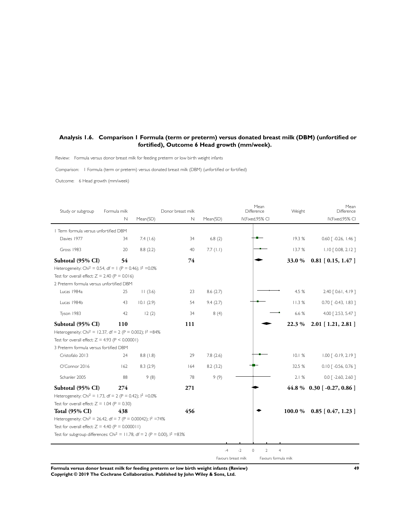# **Analysis 1.6. Comparison 1 Formula (term or preterm) versus donated breast milk (DBM) (unfortified or fortified), Outcome 6 Head growth (mm/week).**

Review: Formula versus donor breast milk for feeding preterm or low birth weight infants

Comparison: I Formula (term or preterm) versus donated breast milk (DBM) (unfor tified or for tified)

Outcome: 6 Head growth (mm/week)

| Study or subgroup                                                                                                                                                                         | Formula milk<br>$\mathbb N$ | Mean(SD)  | Donor breast milk<br>$\mathbb N$ | Mean(SD) | Mean<br>Difference<br>IV,Fixed,95% CI       | Weight         | Mean<br>Difference<br>IV, Fixed, 95% CI |
|-------------------------------------------------------------------------------------------------------------------------------------------------------------------------------------------|-----------------------------|-----------|----------------------------------|----------|---------------------------------------------|----------------|-----------------------------------------|
| I Term formula versus unfortified DBM                                                                                                                                                     |                             |           |                                  |          |                                             |                |                                         |
| Davies 1977                                                                                                                                                                               | 34                          | 7.4(1.6)  | 34                               | 6.8(2)   |                                             | 19.3 %         | $0.60$ $\lceil -0.26, 1.46 \rceil$      |
| Gross 1983                                                                                                                                                                                | 20                          | 8.8(2.2)  | 40                               | 7.7(1.1) |                                             | 13.7 %         | $1.10$ $[0.08, 2.12]$                   |
| Subtotal (95% CI)                                                                                                                                                                         | 54                          |           | 74                               |          |                                             | 33.0 %         | $0.81$ [ 0.15, 1.47 ]                   |
| Heterogeneity: Chi <sup>2</sup> = 0.54, df = 1 (P = 0.46); $1^2$ =0.0%                                                                                                                    |                             |           |                                  |          |                                             |                |                                         |
| Test for overall effect: $Z = 2.40$ (P = 0.016)                                                                                                                                           |                             |           |                                  |          |                                             |                |                                         |
| 2 Preterm formula versus unfortified DBM                                                                                                                                                  |                             |           |                                  |          |                                             |                |                                         |
| Lucas 1984a                                                                                                                                                                               | 25                          | 11(3.6)   | 23                               | 8.6(2.7) |                                             | 4.5 %          | 2.40 [ 0.61, 4.19 ]                     |
| Lucas 1984b                                                                                                                                                                               | 43                          | 10.1(2.9) | 54                               | 9.4(2.7) |                                             | 11.3%          | $0.70$ $\lceil -0.43, 1.83 \rceil$      |
| Tyson 1983                                                                                                                                                                                | 42                          | 12(2)     | 34                               | 8(4)     |                                             | 6.6 %          | 4.00 [2.53, 5.47]                       |
| Subtotal (95% CI)                                                                                                                                                                         | 110                         |           | 111                              |          |                                             | 22.3 %         | $2.01$ [ 1.21, 2.81 ]                   |
| Heterogeneity: Chi <sup>2</sup> = 12.37, df = 2 (P = 0.002); $1^2$ =84%<br>Test for overall effect: $Z = 4.93$ (P < 0.00001)<br>3 Preterm formula versus fortified DBM<br>Cristofalo 2013 | 24                          | 8.8(1.8)  | 29                               | 7.8(2.6) |                                             | 10.1%          | $1.00$ $\lceil -0.19, 2.19 \rceil$      |
| O'Connor 2016                                                                                                                                                                             | 162                         | 8.3(2.9)  | 164                              | 8.2(3.2) |                                             | 32.5 %         | $0.10$ $\lceil -0.56, 0.76 \rceil$      |
| Schanler 2005                                                                                                                                                                             | 88                          | 9(8)      | 78                               | 9(9)     |                                             | 2.1%           | $0.0$ [ -2.60, 2.60 ]                   |
| Subtotal (95% CI)                                                                                                                                                                         | 274                         |           | 271                              |          |                                             |                | 44.8 % 0.30 [ $-0.27, 0.86$ ]           |
| Heterogeneity: Chi <sup>2</sup> = 1.73, df = 2 (P = 0.42); $1^2$ =0.0%                                                                                                                    |                             |           |                                  |          |                                             |                |                                         |
| Test for overall effect: $Z = 1.04$ (P = 0.30)                                                                                                                                            |                             |           |                                  |          |                                             |                |                                         |
| <b>Total (95% CI)</b>                                                                                                                                                                     | 438                         |           | 456                              |          |                                             | 100.0 %        | $0.85$ [ $0.47, 1.23$ ]                 |
| Heterogeneity: Chi <sup>2</sup> = 26.42, df = 7 (P = 0.00042); $1^2$ =74%                                                                                                                 |                             |           |                                  |          |                                             |                |                                         |
| Test for overall effect: $Z = 4.40$ (P = 0.000011)                                                                                                                                        |                             |           |                                  |          |                                             |                |                                         |
| Test for subgroup differences: Chi <sup>2</sup> = 11.78, df = 2 (P = 0.00), $1^2 = 83\%$                                                                                                  |                             |           |                                  |          |                                             |                |                                         |
|                                                                                                                                                                                           |                             |           |                                  |          |                                             |                |                                         |
|                                                                                                                                                                                           |                             |           |                                  | $-4$     | $-2$<br>$\Omega$<br>$\overline{2}$          | $\overline{4}$ |                                         |
|                                                                                                                                                                                           |                             |           |                                  |          | Favours formula milk<br>Favours breast milk |                |                                         |

**Formula versus donor breast milk for feeding preterm or low birth weight infants (Review) 49 Copyright © 2019 The Cochrane Collaboration. Published by John Wiley & Sons, Ltd.**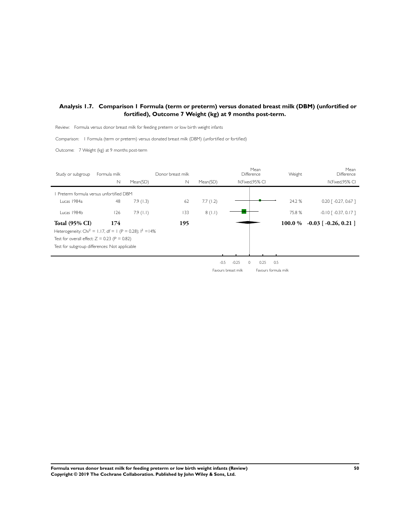# **Analysis 1.7. Comparison 1 Formula (term or preterm) versus donated breast milk (DBM) (unfortified or fortified), Outcome 7 Weight (kg) at 9 months post-term.**

Review: Formula versus donor breast milk for feeding preterm or low birth weight infants

Comparison: I Formula (term or preterm) versus donated breast milk (DBM) (unfor tified or for tified)

Outcome: 7 Weight (kg) at 9 months post-term

| Study or subgroup                                                      | Formula milk |             | Donor breast milk |          |                     | Mean<br>Difference   | Weight  | Mean<br>Difference                 |
|------------------------------------------------------------------------|--------------|-------------|-------------------|----------|---------------------|----------------------|---------|------------------------------------|
|                                                                        | $\mathbb N$  | Mean(SD)    | $\mathbb N$       | Mean(SD) |                     | IV, Fixed, 95% CI    |         | IV, Fixed, 95% CI                  |
| Preterm formula versus unfortified DBM                                 |              |             |                   |          |                     |                      |         |                                    |
| Lucas 1984a                                                            | 48           | 7.9(1.3)    | 62                | 7.7(1.2) |                     |                      | 24.2 %  | $0.20$ $\lceil -0.27, 0.67 \rceil$ |
| Lucas 1984b                                                            | 126          | $7.9$ (1.1) | 133               | 8(1.1)   |                     |                      | 75.8%   | $-0.10$ $[-0.37, 0.17]$            |
| <b>Total (95% CI)</b>                                                  | 174          |             | 195               |          |                     |                      | 100.0 % | $-0.03$ [ $-0.26$ , 0.21 ]         |
| Heterogeneity: Chi <sup>2</sup> = 1.17, df = 1 (P = 0.28); $1^2$ = 14% |              |             |                   |          |                     |                      |         |                                    |
| Test for overall effect: $Z = 0.23$ (P = 0.82)                         |              |             |                   |          |                     |                      |         |                                    |
| Test for subgroup differences: Not applicable                          |              |             |                   |          |                     |                      |         |                                    |
|                                                                        |              |             |                   |          |                     |                      |         |                                    |
|                                                                        |              |             |                   | $-0.5$   | $-0.25$             | 0.25<br>$\Omega$     | 0.5     |                                    |
|                                                                        |              |             |                   |          | Favours breast milk | Favours formula milk |         |                                    |

**Formula versus donor breast milk for feeding preterm or low birth weight infants (Review) 50 Copyright © 2019 The Cochrane Collaboration. Published by John Wiley & Sons, Ltd.**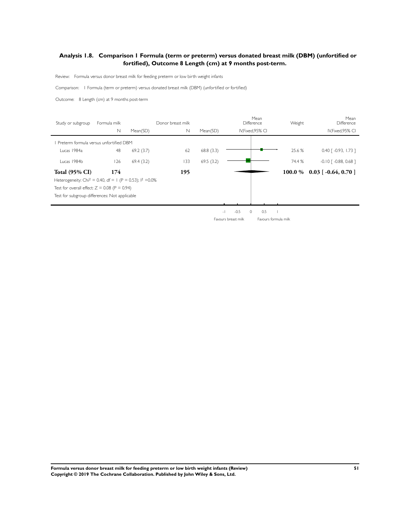# **Analysis 1.8. Comparison 1 Formula (term or preterm) versus donated breast milk (DBM) (unfortified or fortified), Outcome 8 Length (cm) at 9 months post-term.**

Review: Formula versus donor breast milk for feeding preterm or low birth weight infants

Comparison: I Formula (term or preterm) versus donated breast milk (DBM) (unfor tified or for tified)

Outcome: 8 Length (cm) at 9 months post-term

| Study or subgroup                                                       | Formula milk |           | Donor breast milk |           |               | Mean<br>Difference | Weight     | Mean<br>Difference                  |
|-------------------------------------------------------------------------|--------------|-----------|-------------------|-----------|---------------|--------------------|------------|-------------------------------------|
|                                                                         | $\mathsf{N}$ | Mean(SD)  | $\mathbb N$       | Mean(SD)  |               | IV, Fixed, 95% CI  |            | IV, Fixed, 95% CI                   |
| Preterm formula versus unfortified DBM                                  |              |           |                   |           |               |                    |            |                                     |
| Lucas 1984a                                                             | 48           | 69.2(3.7) | 62                | 68.8(3.3) |               |                    | 25.6 %     | $0.40$ [ $-0.93$ , 1.73 ]           |
| Lucas 1984b                                                             | 126          | 69.4(3.2) | 133               | 69.5(3.2) |               |                    | 74.4 %     | $-0.10$ $\lceil -0.88, 0.68 \rceil$ |
| <b>Total (95% CI)</b>                                                   | 174          |           | 195               |           |               |                    | $100.0 \%$ | $0.03$ [ -0.64, 0.70 ]              |
| Heterogeneity: Chi <sup>2</sup> = 0.40, df = 1 (P = 0.53); $1^2$ = 0.0% |              |           |                   |           |               |                    |            |                                     |
| Test for overall effect: $Z = 0.08$ (P = 0.94)                          |              |           |                   |           |               |                    |            |                                     |
| Test for subgroup differences: Not applicable                           |              |           |                   |           |               |                    |            |                                     |
|                                                                         |              |           |                   |           |               |                    |            |                                     |
|                                                                         |              |           |                   |           | $-0.5$<br>- 1 | 0.5<br>$\circ$     |            |                                     |

Favours breast milk Favours formula milk

**Formula versus donor breast milk for feeding preterm or low birth weight infants (Review) 51 Copyright © 2019 The Cochrane Collaboration. Published by John Wiley & Sons, Ltd.**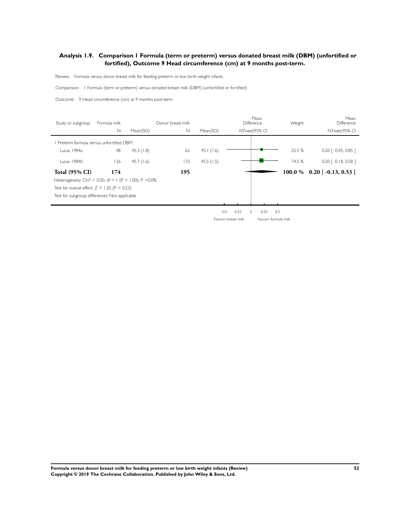## **Analysis 1.9. Comparison 1 Formula (term or preterm) versus donated breast milk (DBM) (unfortified or fortified), Outcome 9 Head circumference (cm) at 9 months post-term.**

Review: Formula versus donor breast milk for feeding preterm or low birth weight infants

Comparison: I Formula (term or preterm) versus donated breast milk (DBM) (unfor tified or for tified)

Outcome: 9 Head circumference (cm) at 9 months post-term

| Study or subgroup                                                       | Formula milk |           | Donor breast milk |           |                   | Mean<br>Difference | Weight | Mean<br>Difference                 |
|-------------------------------------------------------------------------|--------------|-----------|-------------------|-----------|-------------------|--------------------|--------|------------------------------------|
|                                                                         | $\mathsf{N}$ | Mean(SD)  | N                 | Mean(SD)  |                   | IV, Fixed, 95% CI  |        | IV, Fixed, 95% CI                  |
| Preterm formula versus unfortified DBM                                  |              |           |                   |           |                   |                    |        |                                    |
| Lucas 1984a                                                             | 48           | 45.3(1.8) | 62                | 45.1(1.6) |                   |                    | 25.5 % | $0.20$ $\lceil -0.45, 0.85 \rceil$ |
| Lucas 1984b                                                             | 126          | 45.7(1.6) | 133               | 45.5(1.5) |                   |                    | 74.5 % | $0.20$ $\lceil -0.18, 0.58 \rceil$ |
| <b>Total (95% CI)</b>                                                   | 174          |           | 195               |           |                   |                    |        | $100.0\%$ 0.20 [-0.13, 0.53 ]      |
| Heterogeneity: Chi <sup>2</sup> = 0.00, df = 1 (P = 1.00); $1^2$ = 0.0% |              |           |                   |           |                   |                    |        |                                    |
| Test for overall effect: $Z = 1.20$ (P = 0.23)                          |              |           |                   |           |                   |                    |        |                                    |
| Test for subgroup differences: Not applicable                           |              |           |                   |           |                   |                    |        |                                    |
|                                                                         |              |           |                   |           |                   |                    |        |                                    |
|                                                                         |              |           |                   |           | $-0.5$<br>$-0.25$ | 0<br>0.25          | 0.5    |                                    |

Favours breast milk Favours formula milk

**Formula versus donor breast milk for feeding preterm or low birth weight infants (Review) 52 Copyright © 2019 The Cochrane Collaboration. Published by John Wiley & Sons, Ltd.**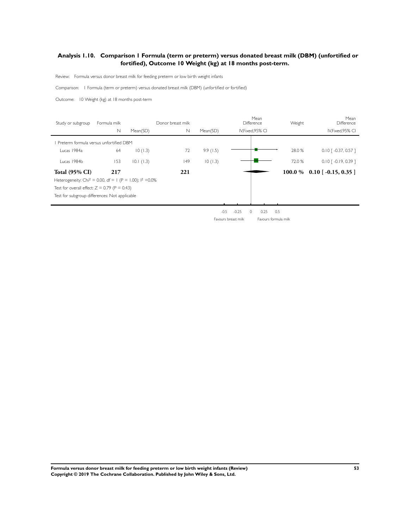# **Analysis 1.10. Comparison 1 Formula (term or preterm) versus donated breast milk (DBM) (unfortified or fortified), Outcome 10 Weight (kg) at 18 months post-term.**

Review: Formula versus donor breast milk for feeding preterm or low birth weight infants

Comparison: I Formula (term or preterm) versus donated breast milk (DBM) (unfor tified or for tified)

Outcome: 10 Weight (kg) at 18 months post-term

| Study or subgroup                                                       | Formula milk |           | Donor breast milk |          |                   | Mean<br>Difference | Weight | Mean<br>Difference                 |
|-------------------------------------------------------------------------|--------------|-----------|-------------------|----------|-------------------|--------------------|--------|------------------------------------|
|                                                                         | $\mathsf{N}$ | Mean(SD)  | $\mathbb N$       | Mean(SD) |                   | IV, Fixed, 95% CI  |        | IV, Fixed, 95% CI                  |
| Preterm formula versus unfortified DBM                                  |              |           |                   |          |                   |                    |        |                                    |
| Lucas 1984a                                                             | 64           | 10(1.3)   | 72                | 9.9(1.5) |                   |                    | 28.0 % | $0.10$ [ -0.37, 0.57 ]             |
| Lucas 1984b                                                             | 153          | 10.1(1.3) | 49                | 10(1.3)  |                   |                    | 72.0 % | $0.10$ $\lceil -0.19, 0.39 \rceil$ |
| <b>Total (95% CI)</b>                                                   | 217          |           | 221               |          |                   |                    |        | $100.0\%$ 0.10 [-0.15, 0.35]       |
| Heterogeneity: Chi <sup>2</sup> = 0.00, df = 1 (P = 1.00); $1^2$ = 0.0% |              |           |                   |          |                   |                    |        |                                    |
| Test for overall effect: $Z = 0.79$ (P = 0.43)                          |              |           |                   |          |                   |                    |        |                                    |
| Test for subgroup differences: Not applicable                           |              |           |                   |          |                   |                    |        |                                    |
|                                                                         |              |           |                   |          |                   |                    |        |                                    |
|                                                                         |              |           |                   |          | $-0.5$<br>$-0.25$ | 0.25<br>$\circ$    | 0.5    |                                    |

Favours breast milk Favours formula milk

**Formula versus donor breast milk for feeding preterm or low birth weight infants (Review) 53 Copyright © 2019 The Cochrane Collaboration. Published by John Wiley & Sons, Ltd.**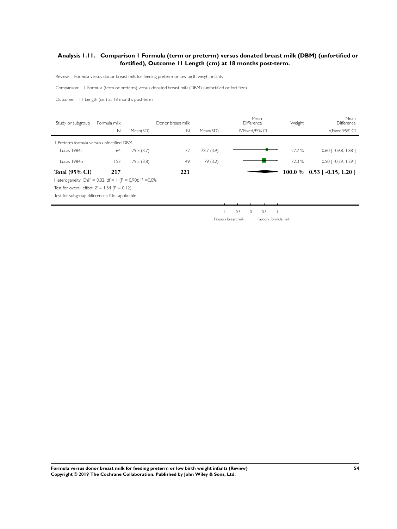# **Analysis 1.11. Comparison 1 Formula (term or preterm) versus donated breast milk (DBM) (unfortified or fortified), Outcome 11 Length (cm) at 18 months post-term.**

Review: Formula versus donor breast milk for feeding preterm or low birth weight infants

Comparison: I Formula (term or preterm) versus donated breast milk (DBM) (unfor tified or for tified)

Outcome: 11 Length (cm) at 18 months post-term

| Study or subgroup                                                       | Formula milk |           | Donor breast milk |            |                | Mean<br>Difference | Weight | Mean<br>Difference                 |
|-------------------------------------------------------------------------|--------------|-----------|-------------------|------------|----------------|--------------------|--------|------------------------------------|
|                                                                         | $\mathsf{N}$ | Mean(SD)  | $\mathbb N$       | Mean(SD)   |                | IV, Fixed, 95% CI  |        | IV, Fixed, 95% CI                  |
| Preterm formula versus unfortified DBM                                  |              |           |                   |            |                |                    |        |                                    |
| Lucas 1984a                                                             | 64           | 79.3(3.7) | 72                | 78.7 (3.9) |                |                    | 27.7 % | $0.60$ $\lceil -0.68, 1.88 \rceil$ |
| Lucas 1984b                                                             | 153          | 79.5(3.8) | 149               | 79 (3.2)   |                |                    | 72.3 % | $0.50$ $\lceil -0.29, 1.29 \rceil$ |
| <b>Total (95% CI)</b>                                                   | 217          |           | 221               |            |                |                    |        | $100.0\%$ 0.53 [-0.15, 1.20]       |
| Heterogeneity: Chi <sup>2</sup> = 0.02, df = 1 (P = 0.90); $1^2$ = 0.0% |              |           |                   |            |                |                    |        |                                    |
| Test for overall effect: $Z = 1.54$ (P = 0.12)                          |              |           |                   |            |                |                    |        |                                    |
| Test for subgroup differences: Not applicable                           |              |           |                   |            |                |                    |        |                                    |
|                                                                         |              |           |                   |            |                |                    |        |                                    |
|                                                                         |              |           |                   |            | $-0.5$<br>$-1$ | 0.5<br>0           |        |                                    |

Favours breast milk Favours formula milk

**Formula versus donor breast milk for feeding preterm or low birth weight infants (Review) 54 Copyright © 2019 The Cochrane Collaboration. Published by John Wiley & Sons, Ltd.**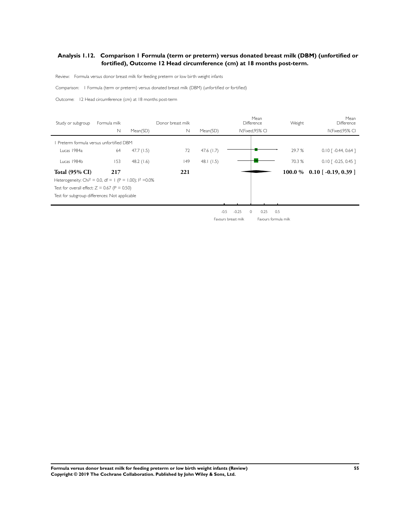# **Analysis 1.12. Comparison 1 Formula (term or preterm) versus donated breast milk (DBM) (unfortified or fortified), Outcome 12 Head circumference (cm) at 18 months post-term.**

Review: Formula versus donor breast milk for feeding preterm or low birth weight infants

Comparison: I Formula (term or preterm) versus donated breast milk (DBM) (unfor tified or for tified)

Outcome: 12 Head circumference (cm) at 18 months post-term

| Study or subgroup                                                     | Formula milk |           | Donor breast milk |              |                   | Mean<br>Difference | Weight | Mean<br>Difference                 |
|-----------------------------------------------------------------------|--------------|-----------|-------------------|--------------|-------------------|--------------------|--------|------------------------------------|
|                                                                       | $\mathbb N$  | Mean(SD)  | $\mathbb N$       | Mean(SD)     |                   | IV, Fixed, 95% CI  |        | IV, Fixed, 95% CI                  |
| Preterm formula versus unfortified DBM                                |              |           |                   |              |                   |                    |        |                                    |
| Lucas 1984a                                                           | 64           | 47.7(1.5) | 72                | 47.6 $(1.7)$ |                   |                    | 29.7 % | $0.10$ $\lceil -0.44, 0.64 \rceil$ |
| Lucas 1984b                                                           | 153          | 48.2(1.6) | 149               | 48.1 $(1.5)$ |                   |                    | 70.3 % | $0.10$ $\lceil -0.25, 0.45 \rceil$ |
| <b>Total (95% CI)</b>                                                 | 217          |           | 221               |              |                   |                    |        | $100.0\%$ 0.10 [-0.19, 0.39 ]      |
| Heterogeneity: Chi <sup>2</sup> = 0.0, df = 1 (P = 1.00); $1^2$ =0.0% |              |           |                   |              |                   |                    |        |                                    |
| Test for overall effect: $Z = 0.67$ (P = 0.50)                        |              |           |                   |              |                   |                    |        |                                    |
| Test for subgroup differences: Not applicable                         |              |           |                   |              |                   |                    |        |                                    |
|                                                                       |              |           |                   |              |                   |                    |        |                                    |
|                                                                       |              |           |                   |              | $-0.25$<br>$-0.5$ | 0.25<br>$\circ$    | 0.5    |                                    |

Favours breast milk Favours formula milk

**Formula versus donor breast milk for feeding preterm or low birth weight infants (Review) 55 Copyright © 2019 The Cochrane Collaboration. Published by John Wiley & Sons, Ltd.**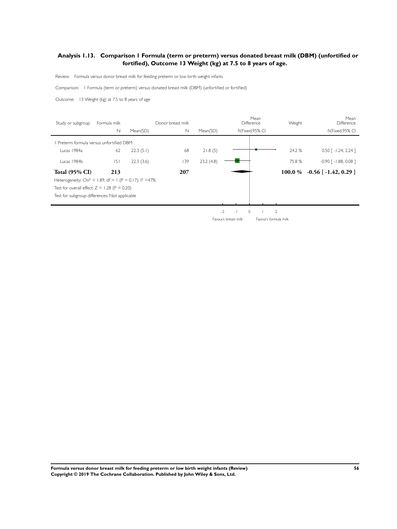# **Analysis 1.13. Comparison 1 Formula (term or preterm) versus donated breast milk (DBM) (unfortified or fortified), Outcome 13 Weight (kg) at 7.5 to 8 years of age.**

Review: Formula versus donor breast milk for feeding preterm or low birth weight infants

Comparison: I Formula (term or preterm) versus donated breast milk (DBM) (unfor tified or for tified)

Outcome: 13 Weight (kg) at 7.5 to 8 years of age

| Study or subgroup                                                     | Formula milk |           | Donor breast milk |           |            | Mean<br><b>Difference</b> | Weight         | Mean<br><b>Difference</b>           |
|-----------------------------------------------------------------------|--------------|-----------|-------------------|-----------|------------|---------------------------|----------------|-------------------------------------|
|                                                                       | $\mathbb N$  | Mean(SD)  | N                 | Mean(SD)  |            | IV, Fixed, 95% CI         |                | IV, Fixed, 95% CI                   |
| Preterm formula versus unfortified DBM                                |              |           |                   |           |            |                           |                |                                     |
| Lucas 1984a                                                           | 62           | 22.3(5.1) | 68                | 21.8(5)   |            |                           | 24.2 %         | $0.50$ [ -1.24, 2.24 ]              |
| Lucas 1984b                                                           | 5            | 22.3(3.6) | 139               | 23.2(4.8) |            |                           | 75.8%          | $-0.90$ $\lceil -1.88, 0.08 \rceil$ |
| <b>Total (95% CI)</b>                                                 | 213          |           | 207               |           |            |                           | 100.0 $%$      | $-0.56$ [ $-1.42$ , 0.29 ]          |
| Heterogeneity: Chi <sup>2</sup> = 1.89, df = 1 (P = 0.17); $1^2$ =47% |              |           |                   |           |            |                           |                |                                     |
| Test for overall effect: $Z = 1.28$ (P = 0.20)                        |              |           |                   |           |            |                           |                |                                     |
| Test for subgroup differences: Not applicable                         |              |           |                   |           |            |                           |                |                                     |
|                                                                       |              |           |                   |           |            |                           |                |                                     |
|                                                                       |              |           |                   |           | $-2$<br>п. | $\circ$                   | $\overline{2}$ |                                     |

Favours breast milk Favours formula milk

**Formula versus donor breast milk for feeding preterm or low birth weight infants (Review) 56 Copyright © 2019 The Cochrane Collaboration. Published by John Wiley & Sons, Ltd.**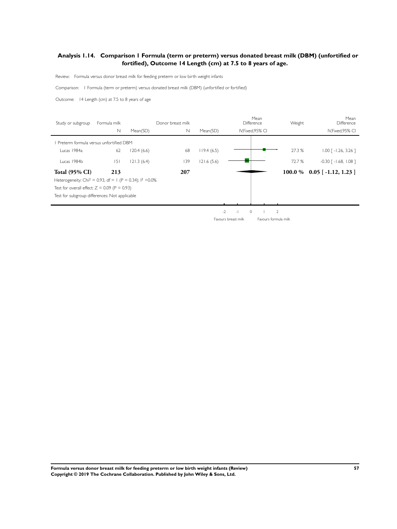# **Analysis 1.14. Comparison 1 Formula (term or preterm) versus donated breast milk (DBM) (unfortified or fortified), Outcome 14 Length (cm) at 7.5 to 8 years of age.**

Review: Formula versus donor breast milk for feeding preterm or low birth weight infants

Comparison: I Formula (term or preterm) versus donated breast milk (DBM) (unfor tified or for tified)

Outcome: 14 Length (cm) at 7.5 to 8 years of age

| Study or subgroup                                                      | Formula milk |            | Donor breast milk |            |             | Mean<br>Difference | Weight | Mean<br><b>Difference</b>           |
|------------------------------------------------------------------------|--------------|------------|-------------------|------------|-------------|--------------------|--------|-------------------------------------|
|                                                                        | $\mathbb N$  | Mean(SD)   | N                 | Mean(SD)   |             | IV, Fixed, 95% CI  |        | IV, Fixed, 95% CI                   |
| Preterm formula versus unfortified DBM                                 |              |            |                   |            |             |                    |        |                                     |
| Lucas 1984a                                                            | 62           | 120.4(6.6) | 68                | 119.4(6.5) |             |                    | 27.3 % | $1.00$ $\lceil -1.26, 3.26 \rceil$  |
| Lucas 1984b                                                            | 5            | 121.3(6.4) | 139               | 121.6(5.6) |             |                    | 72.7 % | $-0.30$ $\lceil -1.68, 1.08 \rceil$ |
| <b>Total (95% CI)</b>                                                  | 213          |            | 207               |            |             |                    |        | $100.0\%$ 0.05 [-1.12, 1.23]        |
| Heterogeneity: Chi <sup>2</sup> = 0.93, df = 1 (P = 0.34); $1^2$ =0.0% |              |            |                   |            |             |                    |        |                                     |
| Test for overall effect: $Z = 0.09$ (P = 0.93)                         |              |            |                   |            |             |                    |        |                                     |
| Test for subgroup differences: Not applicable                          |              |            |                   |            |             |                    |        |                                     |
|                                                                        |              |            |                   |            |             |                    |        |                                     |
|                                                                        |              |            |                   |            | $-2$<br>- 1 | $\Omega$           | 2      |                                     |

Favours breast milk Favours formula milk

**Formula versus donor breast milk for feeding preterm or low birth weight infants (Review) 57 Copyright © 2019 The Cochrane Collaboration. Published by John Wiley & Sons, Ltd.**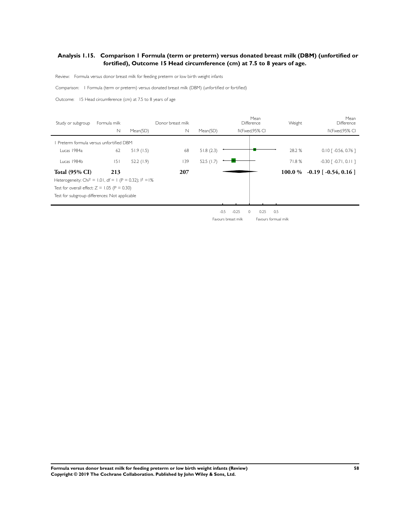# **Analysis 1.15. Comparison 1 Formula (term or preterm) versus donated breast milk (DBM) (unfortified or fortified), Outcome 15 Head circumference (cm) at 7.5 to 8 years of age.**

Review: Formula versus donor breast milk for feeding preterm or low birth weight infants

Comparison: I Formula (term or preterm) versus donated breast milk (DBM) (unfor tified or for tified)

Outcome: 15 Head circumference (cm) at 7.5 to 8 years of age

| Study or subgroup                                                      | Formula milk |           | Donor breast milk |              |                   | Mean<br>Difference | Weight | Mean<br>Difference                  |
|------------------------------------------------------------------------|--------------|-----------|-------------------|--------------|-------------------|--------------------|--------|-------------------------------------|
|                                                                        | N            | Mean(SD)  | N                 | Mean(SD)     |                   | IV, Fixed, 95% CI  |        | IV, Fixed, 95% CI                   |
| Preterm formula versus unfortified DBM                                 |              |           |                   |              |                   |                    |        |                                     |
| Lucas 1984a                                                            | 62           | 51.9(1.5) | 68                | 51.8(2.3)    |                   |                    | 28.2 % | $0.10$ [ -0.56, 0.76 ]              |
| Lucas 1984b                                                            | 5            | 52.2(1.9) | 139               | 52.5 $(1.7)$ |                   |                    | 71.8%  | $-0.30$ $\lceil -0.71, 0.11 \rceil$ |
| <b>Total (95% CI)</b>                                                  | 213          |           | 207               |              |                   |                    |        | $100.0\%$ -0.19 [-0.54, 0.16]       |
| Heterogeneity: Chi <sup>2</sup> = 1.01, df = 1 (P = 0.32); $1^2 = 1\%$ |              |           |                   |              |                   |                    |        |                                     |
| Test for overall effect: $Z = 1.05$ (P = 0.30)                         |              |           |                   |              |                   |                    |        |                                     |
| Test for subgroup differences: Not applicable                          |              |           |                   |              |                   |                    |        |                                     |
|                                                                        |              |           |                   |              |                   |                    |        |                                     |
|                                                                        |              |           |                   |              | $-0.5$<br>$-0.25$ | 0<br>0.25          | 0.5    |                                     |

Favours breast milk Favours formual milk

**Formula versus donor breast milk for feeding preterm or low birth weight infants (Review) 58 Copyright © 2019 The Cochrane Collaboration. Published by John Wiley & Sons, Ltd.**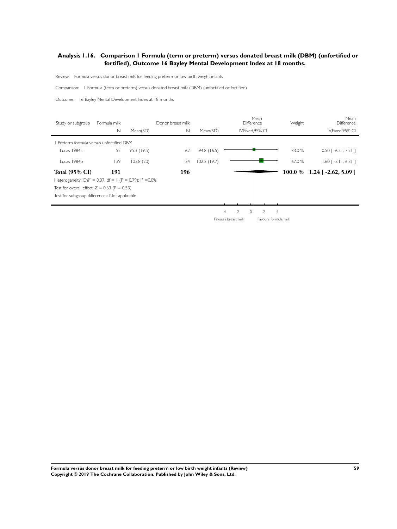## **Analysis 1.16. Comparison 1 Formula (term or preterm) versus donated breast milk (DBM) (unfortified or fortified), Outcome 16 Bayley Mental Development Index at 18 months.**

Review: Formula versus donor breast milk for feeding preterm or low birth weight infants

Comparison: I Formula (term or preterm) versus donated breast milk (DBM) (unfor tified or for tified)

Outcome: 16 Bayley Mental Development Index at 18 months

| Study or subgroup                                                       | Formula milk |             | Donor breast milk |             | Mean<br><b>Difference</b> |                | Weight | Mean<br>Difference            |
|-------------------------------------------------------------------------|--------------|-------------|-------------------|-------------|---------------------------|----------------|--------|-------------------------------|
|                                                                         | N            | Mean(SD)    | $\mathbb N$       | Mean(SD)    | IV, Fixed, 95% CI         |                |        | IV, Fixed, 95% CI             |
| Preterm formula versus unfortified DBM                                  |              |             |                   |             |                           |                |        |                               |
| Lucas 1984a                                                             | 52           | 95.3 (19.5) | 62                | 94.8 (16.5) |                           |                | 33.0 % | $0.50$ [ -6.21, 7.21 ]        |
| Lucas 1984b                                                             | 139          | 103.8(20)   | 134               | 102.2(19.7) |                           |                | 67.0 % | $1.60$ [ -3.11, 6.31 ]        |
| <b>Total (95% CI)</b>                                                   | 191          |             | 196               |             |                           |                |        | $100.0 \%$ 1.24 [-2.62, 5.09] |
| Heterogeneity: Chi <sup>2</sup> = 0.07, df = 1 (P = 0.79); $1^2$ = 0.0% |              |             |                   |             |                           |                |        |                               |
| Test for overall effect: $Z = 0.63$ (P = 0.53)                          |              |             |                   |             |                           |                |        |                               |
| Test for subgroup differences: Not applicable                           |              |             |                   |             |                           |                |        |                               |
|                                                                         |              |             |                   |             |                           |                |        |                               |
|                                                                         |              |             |                   |             | $-2$<br>$\circ$<br>$-4$   | $\overline{4}$ |        |                               |

Favours breast milk Favours formula milk

**Formula versus donor breast milk for feeding preterm or low birth weight infants (Review) 59 Copyright © 2019 The Cochrane Collaboration. Published by John Wiley & Sons, Ltd.**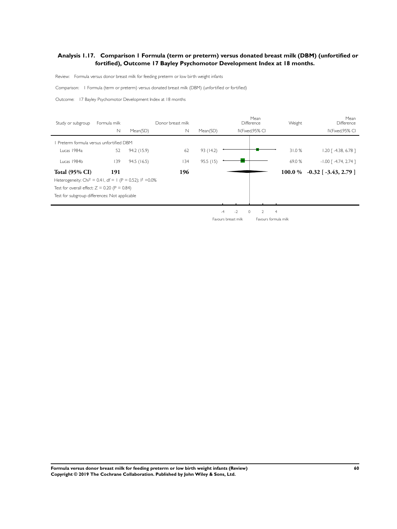# **Analysis 1.17. Comparison 1 Formula (term or preterm) versus donated breast milk (DBM) (unfortified or fortified), Outcome 17 Bayley Psychomotor Development Index at 18 months.**

Review: Formula versus donor breast milk for feeding preterm or low birth weight infants

Comparison: I Formula (term or preterm) versus donated breast milk (DBM) (unfor tified or for tified)

Outcome: 17 Bayley Psychomotor Development Index at 18 months

| Study or subgroup                                                       | Formula milk |             | Donor breast milk |           |                     | Mean<br>Difference        | Weight         | Mean<br>Difference         |
|-------------------------------------------------------------------------|--------------|-------------|-------------------|-----------|---------------------|---------------------------|----------------|----------------------------|
|                                                                         | $\mathsf{N}$ | Mean(SD)    | $\mathbb N$       | Mean(SD)  |                     | IV, Fixed, 95% CI         |                | IV, Fixed, 95% CI          |
| Preterm formula versus unfortified DBM                                  |              |             |                   |           |                     |                           |                |                            |
| Lucas 1984a                                                             | 52           | 94.2 (15.9) | 62                | 93 (14.2) |                     |                           | 31.0%          | $1.20$ [ -4.38, 6.78 ]     |
| Lucas 1984b                                                             | 139          | 94.5(16.5)  | 134               | 95.5(15)  |                     |                           | 69.0%          | $-1.00$ $[-4.74, 2.74]$    |
| <b>Total (95% CI)</b>                                                   | 191          |             | 196               |           |                     |                           | 100.0 %        | $-0.32$ [ $-3.43$ , 2.79 ] |
| Heterogeneity: Chi <sup>2</sup> = 0.41, df = 1 (P = 0.52); $1^2$ = 0.0% |              |             |                   |           |                     |                           |                |                            |
| Test for overall effect: $Z = 0.20$ (P = 0.84)                          |              |             |                   |           |                     |                           |                |                            |
| Test for subgroup differences: Not applicable                           |              |             |                   |           |                     |                           |                |                            |
|                                                                         |              |             |                   |           |                     |                           |                |                            |
|                                                                         |              |             |                   |           | $-2$<br>$-4$        | $\Omega$<br>$\mathcal{D}$ | $\overline{4}$ |                            |
|                                                                         |              |             |                   |           | Favours breast milk | Favours formula milk      |                |                            |

**Formula versus donor breast milk for feeding preterm or low birth weight infants (Review) 60 Copyright © 2019 The Cochrane Collaboration. Published by John Wiley & Sons, Ltd.**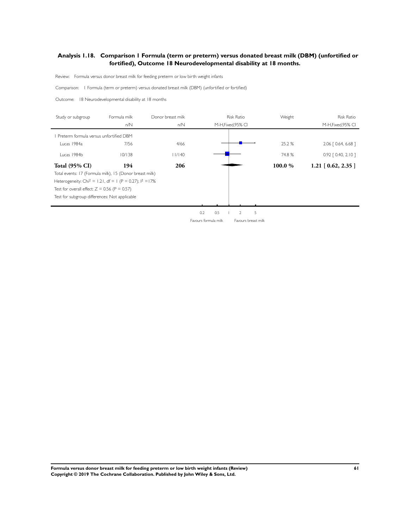#### **Analysis 1.18. Comparison 1 Formula (term or preterm) versus donated breast milk (DBM) (unfortified or fortified), Outcome 18 Neurodevelopmental disability at 18 months.**

Review: Formula versus donor breast milk for feeding preterm or low birth weight infants

Comparison: I Formula (term or preterm) versus donated breast milk (DBM) (unfor tified or for tified)

Outcome: 18 Neurodevelopmental disability at 18 months

| Study or subgroup                                                     | Formula milk | Donor breast milk |                      |     | <b>Risk Ratio</b>  |                     | Weight  | <b>Risk Ratio</b>     |
|-----------------------------------------------------------------------|--------------|-------------------|----------------------|-----|--------------------|---------------------|---------|-----------------------|
|                                                                       | n/N          | n/N               |                      |     | M-H, Fixed, 95% CI |                     |         | M-H, Fixed, 95% CI    |
| Preterm formula versus unfortified DBM                                |              |                   |                      |     |                    |                     |         |                       |
| Lucas 1984a                                                           | 7/56         | 4/66              |                      |     |                    |                     | 25.2 %  | 2.06   0.64, 6.68 ]   |
| Lucas 1984b                                                           | 10/138       | 11/140            |                      |     |                    |                     | 74.8%   | $0.92$ $[0.40, 2.10]$ |
| <b>Total (95% CI)</b>                                                 | 194          | 206               |                      |     |                    |                     | 100.0 % | $1.21$ [ 0.62, 2.35 ] |
| Total events: 17 (Formula milk), 15 (Donor breast milk)               |              |                   |                      |     |                    |                     |         |                       |
| Heterogeneity: Chi <sup>2</sup> = 1.21, df = 1 (P = 0.27); $1^2$ =17% |              |                   |                      |     |                    |                     |         |                       |
| Test for overall effect: $Z = 0.56$ (P = 0.57)                        |              |                   |                      |     |                    |                     |         |                       |
| Test for subgroup differences: Not applicable                         |              |                   |                      |     |                    |                     |         |                       |
|                                                                       |              |                   |                      |     |                    |                     |         |                       |
|                                                                       |              |                   | 0.2                  | 0.5 | 2                  | 5                   |         |                       |
|                                                                       |              |                   | Favours formula milk |     |                    | Favours breast milk |         |                       |

**Formula versus donor breast milk for feeding preterm or low birth weight infants (Review) 61 Copyright © 2019 The Cochrane Collaboration. Published by John Wiley & Sons, Ltd.**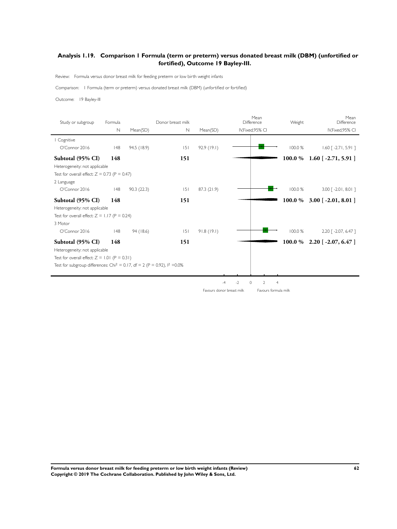# **Analysis 1.19. Comparison 1 Formula (term or preterm) versus donated breast milk (DBM) (unfortified or fortified), Outcome 19 Bayley-III.**

Review: Formula versus donor breast milk for feeding preterm or low birth weight infants

Comparison: I Formula (term or preterm) versus donated breast milk (DBM) (unfor tified or for tified)

Outcome: 19 Bayley-III

| Study or subgroup                                                                       | Formula     |             | Donor breast milk |             | Mean<br>Difference        |                                  | Weight  | Mean<br>Difference                 |
|-----------------------------------------------------------------------------------------|-------------|-------------|-------------------|-------------|---------------------------|----------------------------------|---------|------------------------------------|
|                                                                                         | $\mathbb N$ | Mean(SD)    | $\mathbb N$       | Mean(SD)    | IV, Fixed, 95% CI         |                                  |         | IV, Fixed, 95% CI                  |
| Cognitive                                                                               |             |             |                   |             |                           |                                  |         |                                    |
| O'Connor 2016                                                                           | 148         | 94.5 (18.9) | 5                 | 92.9(19.1)  |                           |                                  | 100.0 % | $1.60$ [ -2.71, 5.91 ]             |
| Subtotal (95% CI)                                                                       | 148         |             | 151               |             |                           |                                  | 100.0 % | $1.60$ [ -2.71, 5.91 ]             |
| Heterogeneity: not applicable                                                           |             |             |                   |             |                           |                                  |         |                                    |
| Test for overall effect: $Z = 0.73$ (P = 0.47)                                          |             |             |                   |             |                           |                                  |         |                                    |
| 2 Language                                                                              |             |             |                   |             |                           |                                  |         |                                    |
| O'Connor 2016                                                                           | 48          | 90.3(22.3)  | 5                 | 87.3 (21.9) |                           |                                  | 100.0 % | $3.00$ $\lceil -2.01, 8.01 \rceil$ |
| Subtotal (95% CI)                                                                       | 148         |             | 151               |             |                           |                                  | 100.0 % | $3.00$ [ -2.01, 8.01 ]             |
| Heterogeneity: not applicable                                                           |             |             |                   |             |                           |                                  |         |                                    |
| Test for overall effect: $Z = 1.17$ (P = 0.24)                                          |             |             |                   |             |                           |                                  |         |                                    |
| 3 Motor                                                                                 |             |             |                   |             |                           |                                  |         |                                    |
| O'Connor 2016                                                                           | 48          | 94 (18.6)   | 5                 | 91.8(19.1)  |                           |                                  | 100.0 % | 2.20 [ -2.07, 6.47 ]               |
| Subtotal (95% CI)                                                                       | 148         |             | 151               |             |                           |                                  | 100.0 % | $2.20$ [ -2.07, 6.47 ]             |
| Heterogeneity: not applicable                                                           |             |             |                   |             |                           |                                  |         |                                    |
| Test for overall effect: $Z = 1.01$ (P = 0.31)                                          |             |             |                   |             |                           |                                  |         |                                    |
| Test for subgroup differences: Chi <sup>2</sup> = 0.17, df = 2 (P = 0.92), $1^2$ = 0.0% |             |             |                   |             |                           |                                  |         |                                    |
|                                                                                         |             |             |                   |             |                           |                                  |         |                                    |
|                                                                                         |             |             |                   |             | $-2$<br>$\circ$<br>$-4$   | $\overline{2}$<br>$\overline{4}$ |         |                                    |
|                                                                                         |             |             |                   |             | Favours donor breast milk | Favours formula milk             |         |                                    |

**Formula versus donor breast milk for feeding preterm or low birth weight infants (Review) 62 Copyright © 2019 The Cochrane Collaboration. Published by John Wiley & Sons, Ltd.**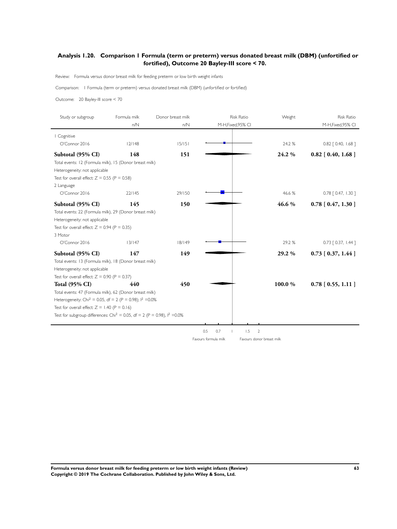## **Analysis 1.20. Comparison 1 Formula (term or preterm) versus donated breast milk (DBM) (unfortified or fortified), Outcome 20 Bayley-III score < 70.**

Review: Formula versus donor breast milk for feeding preterm or low birth weight infants

Comparison: I Formula (term or preterm) versus donated breast milk (DBM) (unfor tified or for tified)

Outcome: 20 Bayley-III score < 70

| Study or subgroup                                                                       | Formula milk | Donor breast milk | <b>Risk Ratio</b>                   | Weight | <b>Risk Ratio</b>        |
|-----------------------------------------------------------------------------------------|--------------|-------------------|-------------------------------------|--------|--------------------------|
|                                                                                         | n/N          | n/N               | M-H, Fixed, 95% CI                  |        | M-H, Fixed, 95% CI       |
| I Cognitive                                                                             |              |                   |                                     |        |                          |
| O'Connor 2016                                                                           | 12/148       | 15/151            |                                     | 24.2 % | $0.82$ $[ 0.40, 1.68 ]$  |
| Subtotal (95% CI)                                                                       | 148          | 151               |                                     | 24.2%  | $0.82$ [ 0.40, 1.68 ]    |
| Total events: 12 (Formula milk), 15 (Donor breast milk)                                 |              |                   |                                     |        |                          |
| Heterogeneity: not applicable                                                           |              |                   |                                     |        |                          |
| Test for overall effect: $Z = 0.55$ (P = 0.58)                                          |              |                   |                                     |        |                          |
| 2 Language                                                                              |              |                   |                                     |        |                          |
| O'Connor 2016                                                                           | 22/145       | 29/150            |                                     | 46.6%  | $0.78$ $[0.47, 1.30]$    |
| Subtotal (95% CI)                                                                       | 145          | 150               |                                     | 46.6%  | $0.78$ [ $0.47$ , 1.30 ] |
| Total events: 22 (Formula milk), 29 (Donor breast milk)                                 |              |                   |                                     |        |                          |
| Heterogeneity: not applicable                                                           |              |                   |                                     |        |                          |
| Test for overall effect: $Z = 0.94$ (P = 0.35)                                          |              |                   |                                     |        |                          |
| 3 Motor                                                                                 |              |                   |                                     |        |                          |
| O'Connor 2016                                                                           | 13/147       | 18/149            |                                     | 29.2 % | $0.73$ $[0.37, 1.44]$    |
| Subtotal (95% CI)                                                                       | 147          | 149               |                                     | 29.2 % | $0.73$ [ $0.37, 1.44$ ]  |
| Total events: 13 (Formula milk), 18 (Donor breast milk)                                 |              |                   |                                     |        |                          |
| Heterogeneity: not applicable                                                           |              |                   |                                     |        |                          |
| Test for overall effect: $Z = 0.90$ (P = 0.37)                                          |              |                   |                                     |        |                          |
| <b>Total (95% CI)</b>                                                                   | 440          | 450               |                                     | 100.0% | $0.78$ [ 0.55, 1.11 ]    |
| Total events: 47 (Formula milk), 62 (Donor breast milk)                                 |              |                   |                                     |        |                          |
| Heterogeneity: Chi <sup>2</sup> = 0.05, df = 2 (P = 0.98); $1^2$ = 0.0%                 |              |                   |                                     |        |                          |
| Test for overall effect: $Z = 1.40$ (P = 0.16)                                          |              |                   |                                     |        |                          |
| Test for subgroup differences: Chi <sup>2</sup> = 0.05, df = 2 (P = 0.98), $1^2$ = 0.0% |              |                   |                                     |        |                          |
|                                                                                         |              |                   |                                     |        |                          |
|                                                                                         |              |                   | 0.5<br>0.7<br>1.5<br>$\overline{2}$ |        |                          |

Favours formula milk Favours donor breast milk

**Formula versus donor breast milk for feeding preterm or low birth weight infants (Review) 63 Copyright © 2019 The Cochrane Collaboration. Published by John Wiley & Sons, Ltd.**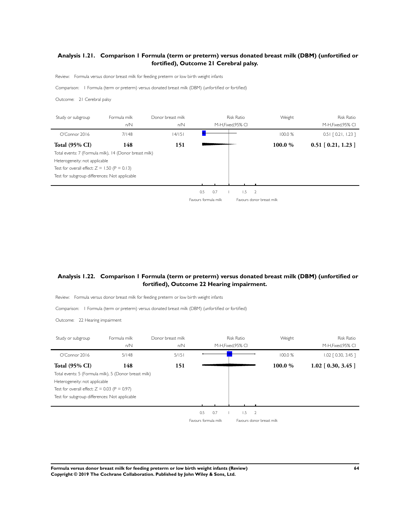# **Analysis 1.21. Comparison 1 Formula (term or preterm) versus donated breast milk (DBM) (unfortified or fortified), Outcome 21 Cerebral palsy.**

Review: Formula versus donor breast milk for feeding preterm or low birth weight infants

Comparison: I Formula (term or preterm) versus donated breast milk (DBM) (unfor tified or for tified)

Outcome: 21 Cerebral palsy

| Study or subgroup                                      | Formula milk<br>n/N | Donor breast milk<br>n/N |                      | M-H, Fixed, 95% CI | <b>Risk Ratio</b> | Weight                    | <b>Risk Ratio</b><br>M-H.Fixed.95% CI |
|--------------------------------------------------------|---------------------|--------------------------|----------------------|--------------------|-------------------|---------------------------|---------------------------------------|
| O'Connect2016                                          | 7/148               | 14/151                   |                      |                    |                   | 100.0%                    | $0.51$ $[0.21, 1.23]$                 |
| <b>Total (95% CI)</b>                                  | 148                 | 151                      |                      |                    |                   | 100.0%                    | $0.51$ [ $0.21$ , 1.23 ]              |
| Total events: 7 (Formula milk), 14 (Donor breast milk) |                     |                          |                      |                    |                   |                           |                                       |
| Heterogeneity: not applicable                          |                     |                          |                      |                    |                   |                           |                                       |
| Test for overall effect: $Z = 1.50$ (P = 0.13)         |                     |                          |                      |                    |                   |                           |                                       |
| Test for subgroup differences: Not applicable          |                     |                          |                      |                    |                   |                           |                                       |
|                                                        |                     |                          |                      |                    |                   |                           |                                       |
|                                                        |                     |                          | 0.5                  | 0.7                | 1.5               | $\overline{2}$            |                                       |
|                                                        |                     |                          | Favours formula milk |                    |                   | Favours donor breast milk |                                       |

#### **Analysis 1.22. Comparison 1 Formula (term or preterm) versus donated breast milk (DBM) (unfortified or fortified), Outcome 22 Hearing impairment.**

Review: Formula versus donor breast milk for feeding preterm or low birth weight infants

Comparison: I Formula (term or preterm) versus donated breast milk (DBM) (unfor tified or for tified)

Outcome: 22 Hearing impairment

| Study or subgroup                                     | Formula milk | Donor breast milk |                      | <b>Risk Ratio</b>  | Weight                    | <b>Risk Ratio</b>     |
|-------------------------------------------------------|--------------|-------------------|----------------------|--------------------|---------------------------|-----------------------|
|                                                       | n/N          | n/N               |                      | M-H, Fixed, 95% CI |                           | M-H.Fixed.95% CI      |
| O'Connect2016                                         | 5/148        | 5/151             |                      |                    | 100.0 %                   | $1.02$ $[0.30, 3.45]$ |
| <b>Total (95% CI)</b>                                 | 148          | 151               |                      |                    | 100.0 %                   | $1.02$ [ 0.30, 3.45 ] |
| Total events: 5 (Formula milk), 5 (Donor breast milk) |              |                   |                      |                    |                           |                       |
| Heterogeneity: not applicable                         |              |                   |                      |                    |                           |                       |
| Test for overall effect: $Z = 0.03$ (P = 0.97)        |              |                   |                      |                    |                           |                       |
| Test for subgroup differences: Not applicable         |              |                   |                      |                    |                           |                       |
|                                                       |              |                   |                      |                    |                           |                       |
|                                                       |              |                   | 0.5<br>0.7           | 1.5                | 2                         |                       |
|                                                       |              |                   | Favours formula milk |                    | Eavours donor breast milk |                       |

**Formula versus donor breast milk for feeding preterm or low birth weight infants (Review) 64 Copyright © 2019 The Cochrane Collaboration. Published by John Wiley & Sons, Ltd.**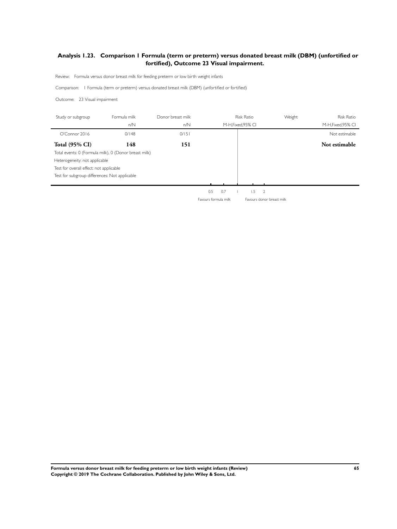# **Analysis 1.23. Comparison 1 Formula (term or preterm) versus donated breast milk (DBM) (unfortified or fortified), Outcome 23 Visual impairment.**

Review: Formula versus donor breast milk for feeding preterm or low birth weight infants

Comparison: I Formula (term or preterm) versus donated breast milk (DBM) (unfor tified or for tified)

Outcome: 23 Visual impairment

J.

j.

| Study or subgroup                                     | Formula milk | Donor breast milk |                      |     | <b>Risk Ratio</b>  |                           | Weight<br><b>Risk Ratio</b> |
|-------------------------------------------------------|--------------|-------------------|----------------------|-----|--------------------|---------------------------|-----------------------------|
|                                                       | n/N          | n/N               |                      |     | M-H, Fixed, 95% CI |                           | M-H.Fixed.95% CI            |
| O'Connor 2016                                         | 0/148        | 0/151             |                      |     |                    |                           | Not estimable               |
| <b>Total (95% CI)</b>                                 | 148          | 151               |                      |     |                    |                           | Not estimable               |
| Total events: 0 (Formula milk), 0 (Donor breast milk) |              |                   |                      |     |                    |                           |                             |
| Heterogeneity: not applicable                         |              |                   |                      |     |                    |                           |                             |
| Test for overall effect: not applicable               |              |                   |                      |     |                    |                           |                             |
| Test for subgroup differences: Not applicable         |              |                   |                      |     |                    |                           |                             |
|                                                       |              |                   |                      |     |                    |                           |                             |
|                                                       |              |                   | 0.5                  | 0.7 | 1.5                | 2                         |                             |
|                                                       |              |                   | Favours formula milk |     |                    | Favours donor breast milk |                             |

**Formula versus donor breast milk for feeding preterm or low birth weight infants (Review) 65 Copyright © 2019 The Cochrane Collaboration. Published by John Wiley & Sons, Ltd.**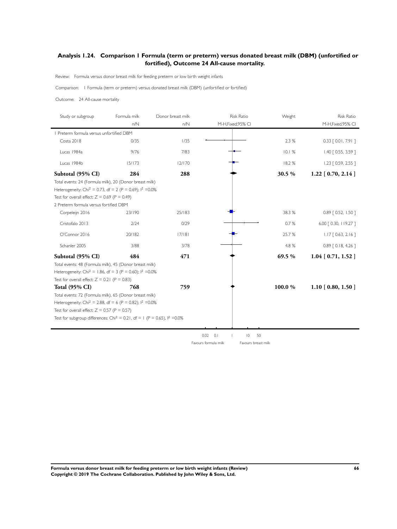# **Analysis 1.24. Comparison 1 Formula (term or preterm) versus donated breast milk (DBM) (unfortified or fortified), Outcome 24 All-cause mortality.**

Review: Formula versus donor breast milk for feeding preterm or low birth weight infants

Comparison: I Formula (term or preterm) versus donated breast milk (DBM) (unfor tified or for tified)

Outcome: 24 All-cause mortality

| Study or subgroup                                                                      | Formula milk | Donor breast milk | <b>Risk Ratio</b>                   | Weight | <b>Risk Ratio</b>     |
|----------------------------------------------------------------------------------------|--------------|-------------------|-------------------------------------|--------|-----------------------|
|                                                                                        | n/N          | n/N               | M-H,Fixed,95% CI                    |        | M-H, Fixed, 95% CI    |
| Preterm formula versus unfortified DBM                                                 |              |                   |                                     |        |                       |
| Costa 2018                                                                             | 0/35         | 1/35              |                                     | 2.3 %  | $0.33$ $[0.01, 7.91]$ |
| Lucas 1984a                                                                            | 9/76         | 7/83              |                                     | 10.1%  | 1.40 [ 0.55, 3.59 ]   |
| Lucas 1984b                                                                            | 15/173       | 12/170            |                                     | 18.2%  | $1.23$ [ 0.59, 2.55 ] |
| Subtotal (95% CI)                                                                      | 284          | 288               |                                     | 30.5 % | $1.22$ [ 0.70, 2.14 ] |
| Total events: 24 (Formula milk), 20 (Donor breast milk)                                |              |                   |                                     |        |                       |
| Heterogeneity: Chi <sup>2</sup> = 0.73, df = 2 (P = 0.69); $1^2$ = 0.0%                |              |                   |                                     |        |                       |
| Test for overall effect: $Z = 0.69$ (P = 0.49)                                         |              |                   |                                     |        |                       |
| 2 Preterm formula versus fortified DBM                                                 |              |                   |                                     |        |                       |
| Corpeleijn 2016                                                                        | 23/190       | 25/183            |                                     | 38.3%  | $0.89$ $[0.52, 1.50]$ |
| Cristofalo 2013                                                                        | 2/24         | 0/29              |                                     | 0.7%   | 6.00 [ 0.30, 119.27 ] |
| O'Connor 2016                                                                          | 20/182       | 17/181            |                                     | 25.7%  | $1.17$ $[0.63, 2.16]$ |
| Schanler 2005                                                                          | 3/88         | 3/78              |                                     | 4.8 %  | $0.89$ $[0.18, 4.26]$ |
| Subtotal (95% CI)                                                                      | 484          | 471               |                                     | 69.5%  | $1.04$ [ 0.71, 1.52 ] |
| Total events: 48 (Formula milk), 45 (Donor breast milk)                                |              |                   |                                     |        |                       |
| Heterogeneity: Chi <sup>2</sup> = 1.86, df = 3 (P = 0.60); $1^2$ =0.0%                 |              |                   |                                     |        |                       |
| Test for overall effect: $Z = 0.21$ (P = 0.83)                                         |              |                   |                                     |        |                       |
| <b>Total (95% CI)</b>                                                                  | 768          | 759               |                                     | 100.0% | $1.10$ [ 0.80, 1.50 ] |
| Total events: 72 (Formula milk), 65 (Donor breast milk)                                |              |                   |                                     |        |                       |
| Heterogeneity: Chi <sup>2</sup> = 2.88, df = 6 (P = 0.82); $1^2$ = 0.0%                |              |                   |                                     |        |                       |
| Test for overall effect: $Z = 0.57$ (P = 0.57)                                         |              |                   |                                     |        |                       |
| Test for subgroup differences: Chi <sup>2</sup> = 0.21, df = 1 (P = 0.65), $1^2$ =0.0% |              |                   |                                     |        |                       |
|                                                                                        |              |                   |                                     |        |                       |
|                                                                                        |              |                   | 0.02<br>0.1<br>$\overline{0}$<br>50 |        |                       |

Favours formula milk Favours breast milk

**Formula versus donor breast milk for feeding preterm or low birth weight infants (Review) 66 Copyright © 2019 The Cochrane Collaboration. Published by John Wiley & Sons, Ltd.**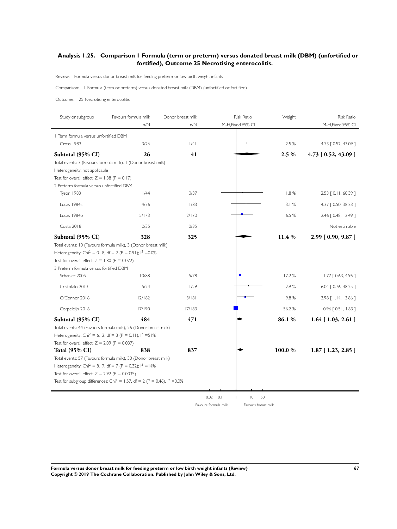#### **Analysis 1.25. Comparison 1 Formula (term or preterm) versus donated breast milk (DBM) (unfortified or fortified), Outcome 25 Necrotising enterocolitis.**

Review: Formula versus donor breast milk for feeding preterm or low birth weight infants

Comparison: I Formula (term or preterm) versus donated breast milk (DBM) (unfor tified or for tified)

Outcome: 25 Necrotising enterocolitis

| Study or subgroup                                      | Favours formula milk                                                                                                                      | Donor breast milk | <b>Risk Ratio</b>                                  | Weight | <b>Risk Ratio</b>      |
|--------------------------------------------------------|-------------------------------------------------------------------------------------------------------------------------------------------|-------------------|----------------------------------------------------|--------|------------------------|
|                                                        | n/N                                                                                                                                       | n/N               | M-H, Fixed, 95% CI                                 |        | M-H,Fixed,95% CI       |
| I Term formula versus unfortified DBM                  |                                                                                                                                           |                   |                                                    |        |                        |
| Gross 1983                                             | 3/26                                                                                                                                      | /4                |                                                    | 2.5 %  | 4.73 [ 0.52, 43.09 ]   |
| Subtotal (95% CI)                                      | 26                                                                                                                                        | 41                |                                                    | 2.5%   | $4.73$ [ 0.52, 43.09 ] |
|                                                        | Total events: 3 (Favours formula milk), 1 (Donor breast milk)                                                                             |                   |                                                    |        |                        |
| Heterogeneity: not applicable                          |                                                                                                                                           |                   |                                                    |        |                        |
| Test for overall effect: $Z = 1.38$ (P = 0.17)         |                                                                                                                                           |                   |                                                    |        |                        |
| 2 Preterm formula versus unfortified DBM<br>Tyson 1983 | 1/44                                                                                                                                      | 0/37              |                                                    | 1.8%   | 2.53 [ 0.11, 60.39 ]   |
|                                                        |                                                                                                                                           |                   |                                                    |        |                        |
| Lucas 1984a                                            | 4/76                                                                                                                                      | 1/83              |                                                    | 3.1%   | 4.37 [ 0.50, 38.23 ]   |
| Lucas 1984b                                            | 5/173                                                                                                                                     | 2/170             |                                                    | 6.5 %  | 2.46 [ 0.48, 12.49 ]   |
| Costa 2018                                             | 0/35                                                                                                                                      | 0/35              |                                                    |        | Not estimable          |
| Subtotal (95% CI)                                      | 328                                                                                                                                       | 325               |                                                    | 11.4 % | 2.99 [0.90, 9.87]      |
|                                                        | Total events: 10 (Favours formula milk), 3 (Donor breast milk)                                                                            |                   |                                                    |        |                        |
|                                                        | Heterogeneity: Chi <sup>2</sup> = 0.18, df = 2 (P = 0.91); $1^2$ =0.0%                                                                    |                   |                                                    |        |                        |
| Test for overall effect: $Z = 1.80$ (P = 0.072)        |                                                                                                                                           |                   |                                                    |        |                        |
| 3 Preterm formula versus fortified DBM                 |                                                                                                                                           |                   |                                                    |        |                        |
| Schanler 2005                                          | 10/88                                                                                                                                     | 5/78              |                                                    | 17.2%  | $1.77$ $[0.63, 4.96]$  |
| Cristofalo 2013                                        | 5/24                                                                                                                                      | 1/29              |                                                    | 2.9%   | 6.04   0.76, 48.25 ]   |
| O'Connor 2016                                          | 12/182                                                                                                                                    | 3/181             |                                                    | 9.8%   | 3.98 [ 1.14, 13.86 ]   |
| Corpeleijn 2016                                        | 17/190                                                                                                                                    | 17/183            |                                                    | 56.2%  | $0.96$ $[0.51, 1.83]$  |
| Subtotal (95% CI)                                      | 484                                                                                                                                       | 471               |                                                    | 86.1%  | $1.64$ [ 1.03, 2.61 ]  |
|                                                        | Total events: 44 (Favours formula milk), 26 (Donor breast milk)                                                                           |                   |                                                    |        |                        |
|                                                        | Heterogeneity: Chi <sup>2</sup> = 6.12, df = 3 (P = 0.11); $1^2$ = 51%                                                                    |                   |                                                    |        |                        |
| Test for overall effect: $Z = 2.09$ (P = 0.037)        |                                                                                                                                           |                   |                                                    |        |                        |
| <b>Total (95% CI)</b>                                  | 838                                                                                                                                       | 837               |                                                    | 100.0% | $1.87$ [ 1.23, 2.85 ]  |
|                                                        | Total events: 57 (Favours formula milk), 30 (Donor breast milk)<br>Heterogeneity: Chi <sup>2</sup> = 8.17, df = 7 (P = 0.32); $1^2$ = 14% |                   |                                                    |        |                        |
| Test for overall effect: $Z = 2.92$ (P = 0.0035)       |                                                                                                                                           |                   |                                                    |        |                        |
|                                                        | Test for subgroup differences: Chi <sup>2</sup> = 1.57, df = 2 (P = 0.46), $1^2$ =0.0%                                                    |                   |                                                    |        |                        |
|                                                        |                                                                                                                                           |                   |                                                    |        |                        |
|                                                        |                                                                                                                                           |                   | 0.02 0.1<br>$\overline{0}$<br>50<br>$\overline{1}$ |        |                        |

Favours formula milk Favours breast milk

**Formula versus donor breast milk for feeding preterm or low birth weight infants (Review) 67 Copyright © 2019 The Cochrane Collaboration. Published by John Wiley & Sons, Ltd.**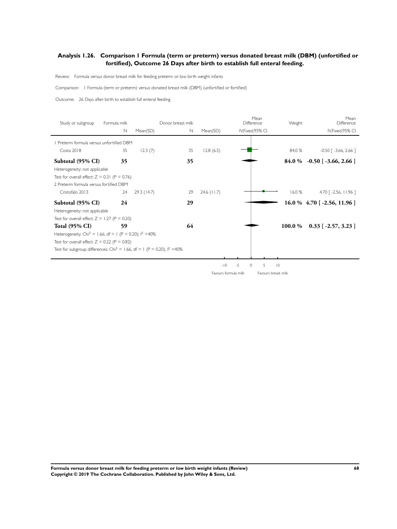### **Analysis 1.26. Comparison 1 Formula (term or preterm) versus donated breast milk (DBM) (unfortified or fortified), Outcome 26 Days after birth to establish full enteral feeding.**

Review: Formula versus donor breast milk for feeding preterm or low birth weight infants

Comparison: I Formula (term or preterm) versus donated breast milk (DBM) (unfor tified or for tified)

Outcome: 26 Days after birth to establish full enteral feeding

| Study or subgroup                                                                     | Formula milk |            | Donor breast milk |               | Mean<br>Difference | Weight              | Mean<br>Difference              |
|---------------------------------------------------------------------------------------|--------------|------------|-------------------|---------------|--------------------|---------------------|---------------------------------|
|                                                                                       | N            | Mean(SD)   | N                 | Mean(SD)      | IV, Fixed, 95% CI  |                     | IV, Fixed, 95% CI               |
| Preterm formula versus unfortified DBM                                                |              |            |                   |               |                    |                     |                                 |
| Costa 2018                                                                            | 35           | 12.3(7)    | 35                | 12.8(6.5)     |                    | 84.0 %              | $-0.50$ [ $-3.66$ , 2.66 ]      |
| Subtotal (95% CI)                                                                     | 35           |            | 35                |               |                    |                     | $84.0\%$ -0.50 [-3.66, 2.66]    |
| Heterogeneity: not applicable                                                         |              |            |                   |               |                    |                     |                                 |
| Test for overall effect: $Z = 0.31$ (P = 0.76)                                        |              |            |                   |               |                    |                     |                                 |
| 2 Preterm formula versus for tified DBM                                               |              |            |                   |               |                    |                     |                                 |
| Cristofalo 2013                                                                       | 24           | 29.3(14.7) | 29                | $24.6$ (11.7) |                    | 16.0%               | $4.70$ [ -2.56, 11.96 ]         |
| Subtotal (95% CI)                                                                     | 24           |            | 29                |               |                    |                     | $16.0 \%$ 4.70 [ -2.56, 11.96 ] |
| Heterogeneity: not applicable                                                         |              |            |                   |               |                    |                     |                                 |
| Test for overall effect: $Z = 1.27$ (P = 0.20)                                        |              |            |                   |               |                    |                     |                                 |
| <b>Total (95% CI)</b>                                                                 | 59           |            | 64                |               |                    | 100.0 %             | $0.33$ [ -2.57, 3.23 ]          |
| Heterogeneity: Chi <sup>2</sup> = 1.66, df = 1 (P = 0.20); $1^2$ =40%                 |              |            |                   |               |                    |                     |                                 |
| Test for overall effect: $Z = 0.22$ (P = 0.82)                                        |              |            |                   |               |                    |                     |                                 |
| Test for subgroup differences: Chi <sup>2</sup> = 1.66, df = 1 (P = 0.20), $1^2$ =40% |              |            |                   |               |                    |                     |                                 |
|                                                                                       |              |            |                   |               |                    |                     |                                 |
|                                                                                       |              |            |                   | $-10$         | $-5$<br>0          | 5<br>$\overline{0}$ |                                 |

Favours formula milk Favours breast milk

**Formula versus donor breast milk for feeding preterm or low birth weight infants (Review) 68 Copyright © 2019 The Cochrane Collaboration. Published by John Wiley & Sons, Ltd.**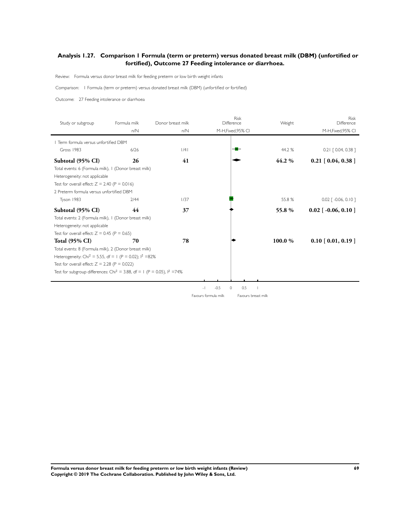### **Analysis 1.27. Comparison 1 Formula (term or preterm) versus donated breast milk (DBM) (unfortified or fortified), Outcome 27 Feeding intolerance or diarrhoea.**

Review: Formula versus donor breast milk for feeding preterm or low birth weight infants

Comparison: I Formula (term or preterm) versus donated breast milk (DBM) (unfor tified or for tified)

Outcome: 27 Feeding intolerance or diarrhoea

| Study or subgroup                                                                              | Formula milk | Donor breast milk | <b>Risk</b><br>Difference | Weight  | <b>Risk</b><br>Difference          |
|------------------------------------------------------------------------------------------------|--------------|-------------------|---------------------------|---------|------------------------------------|
|                                                                                                | n/N          | n/N               | M-H, Fixed, 95% CI        |         | M-H, Fixed, 95% CI                 |
| I Term formula versus unfortified DBM                                                          |              |                   |                           |         |                                    |
| Gross 1983                                                                                     | 6/26         | 1/4               |                           | 44.2 %  | $0.21$ $[0.04, 0.38]$              |
|                                                                                                |              |                   |                           |         |                                    |
| Subtotal (95% CI)                                                                              | 26           | 41                |                           | 44.2 %  | $0.21$ [ 0.04, 0.38 ]              |
| Total events: 6 (Formula milk), 1 (Donor breast milk)                                          |              |                   |                           |         |                                    |
| Heterogeneity: not applicable                                                                  |              |                   |                           |         |                                    |
| Test for overall effect: $Z = 2.40$ (P = 0.016)                                                |              |                   |                           |         |                                    |
| 2 Preterm formula versus unfortified DBM                                                       |              |                   |                           |         |                                    |
| Tyson 1983                                                                                     | 2/44         | 1/37              |                           | 55.8%   | $0.02$ $\lceil -0.06, 0.10 \rceil$ |
| Subtotal (95% CI)                                                                              | 44           | 37                |                           | 55.8 %  | $0.02$ [ -0.06, 0.10 ]             |
| Total events: 2 (Formula milk), I (Donor breast milk)                                          |              |                   |                           |         |                                    |
| Heterogeneity: not applicable                                                                  |              |                   |                           |         |                                    |
| Test for overall effect: $Z = 0.45$ (P = 0.65)                                                 |              |                   |                           |         |                                    |
| <b>Total (95% CI)</b>                                                                          | 70           | 78                |                           | 100.0 % | $0.10$ [ 0.01, 0.19 ]              |
| Total events: 8 (Formula milk), 2 (Donor breast milk)                                          |              |                   |                           |         |                                    |
| Heterogeneity: Chi <sup>2</sup> = 5.55, df = 1 (P = 0.02); $1^2$ =82%                          |              |                   |                           |         |                                    |
| Test for overall effect: $Z = 2.28$ (P = 0.022)                                                |              |                   |                           |         |                                    |
| Test for subgroup differences: Chi <sup>2</sup> = 3.88, df = 1 (P = 0.05), l <sup>2</sup> =74% |              |                   |                           |         |                                    |
|                                                                                                |              |                   |                           |         |                                    |

-1 -0.5 0 0.5 1

Favours formula milk Favours breast milk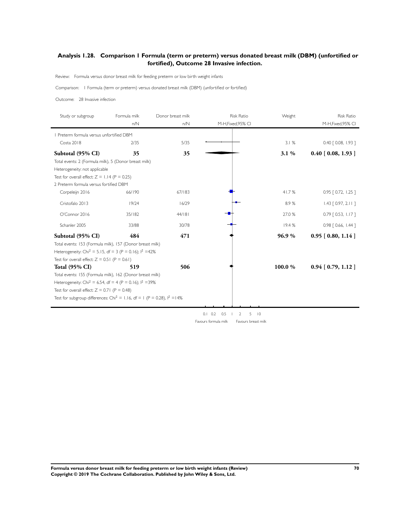## **Analysis 1.28. Comparison 1 Formula (term or preterm) versus donated breast milk (DBM) (unfortified or fortified), Outcome 28 Invasive infection.**

Review: Formula versus donor breast milk for feeding preterm or low birth weight infants

Comparison: I Formula (term or preterm) versus donated breast milk (DBM) (unfor tified or for tified)

Outcome: 28 Invasive infection

| Study or subgroup                                                                      | Formula milk | Donor breast milk | <b>Risk Ratio</b>                   | Weight               | <b>Risk Ratio</b>        |
|----------------------------------------------------------------------------------------|--------------|-------------------|-------------------------------------|----------------------|--------------------------|
|                                                                                        | n/N          | n/N               | M-H, Fixed, 95% CI                  |                      | M-H, Fixed, 95% CI       |
| Preterm formula versus unfortified DBM                                                 |              |                   |                                     |                      |                          |
| Costa 2018                                                                             | 2/35         | 5/35              |                                     | 3.1%                 | 0.40 [ 0.08, 1.93 ]      |
| Subtotal (95% CI)                                                                      | 35           | 35                |                                     | 3.1%                 | $0.40$ [ $0.08$ , 1.93 ] |
| Total events: 2 (Formula milk), 5 (Donor breast milk)                                  |              |                   |                                     |                      |                          |
| Heterogeneity: not applicable                                                          |              |                   |                                     |                      |                          |
| Test for overall effect: $Z = 1.14$ (P = 0.25)                                         |              |                   |                                     |                      |                          |
| 2 Preterm formula versus fortified DBM                                                 |              |                   |                                     |                      |                          |
| Corpeleijn 2016                                                                        | 66/190       | 67/183            |                                     | 41.7%                | $0.95$ $[0.72, 1.25]$    |
| Cristofalo 2013                                                                        | 19/24        | 16/29             |                                     | 8.9%                 | $1.43$ $[0.97, 2.11]$    |
| O'Connor 2016                                                                          | 35/182       | 44/181            |                                     | 27.0 %               | $0.79$ $[0.53, 1.17]$    |
| Schanler 2005                                                                          | 33/88        | 30/78             |                                     | 19.4%                | $0.98$ $[0.66, 1.44]$    |
| Subtotal (95% CI)                                                                      | 484          | 471               |                                     | 96.9%                | $0.95$ [ $0.80, 1.14$ ]  |
| Total events: 153 (Formula milk), 157 (Donor breast milk)                              |              |                   |                                     |                      |                          |
| Heterogeneity: Chi <sup>2</sup> = 5.15, df = 3 (P = 0.16); $1^2$ =42%                  |              |                   |                                     |                      |                          |
| Test for overall effect: $Z = 0.51$ (P = 0.61)                                         |              |                   |                                     |                      |                          |
| <b>Total (95% CI)</b>                                                                  | 519          | 506               |                                     | 100.0%               | $0.94$ [ 0.79, 1.12 ]    |
| Total events: 155 (Formula milk), 162 (Donor breast milk)                              |              |                   |                                     |                      |                          |
| Heterogeneity: Chi <sup>2</sup> = 6.54, df = 4 (P = 0.16); $1^2$ =39%                  |              |                   |                                     |                      |                          |
| Test for overall effect: $Z = 0.71$ (P = 0.48)                                         |              |                   |                                     |                      |                          |
| Test for subgroup differences: Chi <sup>2</sup> = 1.16, df = 1 (P = 0.28), $1^2$ = 14% |              |                   |                                     |                      |                          |
|                                                                                        |              |                   |                                     |                      |                          |
|                                                                                        |              |                   | $0.1$ $0.2$ $0.5$<br>$\overline{2}$ | $\overline{10}$<br>5 |                          |
|                                                                                        |              |                   | Favours formula milk                | Favours breast milk  |                          |

**Formula versus donor breast milk for feeding preterm or low birth weight infants (Review) 70 Copyright © 2019 The Cochrane Collaboration. Published by John Wiley & Sons, Ltd.**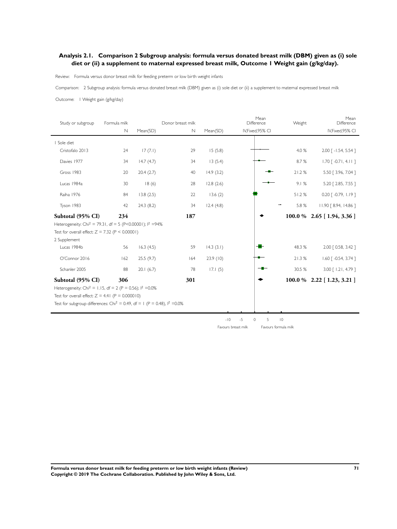### **Analysis 2.1. Comparison 2 Subgroup analysis: formula versus donated breast milk (DBM) given as (i) sole diet or (ii) a supplement to maternal expressed breast milk, Outcome 1 Weight gain (g/kg/day).**

Review: Formula versus donor breast milk for feeding preterm or low birth weight infants

Comparison: 2 Subgroup analysis: formula versus donated breast milk (DBM) given as (i) sole diet or (ii) a supplement to maternal expressed breast milk

Outcome: 1 Weight gain (g/kg/day)

| Study or subgroup                                                                       | Formula milk |           | Donor breast milk |           | Mean<br>Difference   | Weight         | Mean<br>Difference                 |
|-----------------------------------------------------------------------------------------|--------------|-----------|-------------------|-----------|----------------------|----------------|------------------------------------|
|                                                                                         | $\mathbb N$  | Mean(SD)  | $\mathbb N$       | Mean(SD)  | IV, Fixed, 95% CI    |                | IV, Fixed, 95% CI                  |
| I Sole diet                                                                             |              |           |                   |           |                      |                |                                    |
| Cristofalo 2013                                                                         | 24           | 17(7.1)   | 29                | 15(5.8)   |                      | 4.0 %          | 2.00 [-1.54, 5.54]                 |
| Davies 1977                                                                             | 34           | 14.7(4.7) | 34                | 13(5.4)   |                      | 8.7%           | $1.70$ [ -0.71, 4.11 ]             |
| Gross 1983                                                                              | 20           | 20.4(2.7) | 40                | 14.9(3.2) |                      | 21.2%          | 5.50 [ 3.96, 7.04 ]                |
| Lucas 1984a                                                                             | 30           | 18(6)     | 28                | 12.8(2.6) |                      | 9.1%           | 5.20 [ 2.85, 7.55 ]                |
| Raiha 1976                                                                              | 84           | 13.8(2.5) | 22                | 13.6(2)   |                      | 51.2%          | $0.20$ $\lceil -0.79, 1.19 \rceil$ |
| Tyson 1983                                                                              | 42           | 24.3(8.2) | 34                | 12.4(4.8) |                      | 5.8 %          | 11.90 [ 8.94, 14.86 ]              |
| Subtotal (95% CI)                                                                       | 234          |           | 187               |           |                      |                | 100.0 % 2.65 [1.94, 3.36]          |
| Heterogeneity: Chi <sup>2</sup> = 79.31, df = 5 (P<0.00001); l <sup>2</sup> =94%        |              |           |                   |           |                      |                |                                    |
| Test for overall effect: $Z = 7.32$ (P < 0.00001)                                       |              |           |                   |           |                      |                |                                    |
| 2 Supplement                                                                            |              |           |                   |           |                      |                |                                    |
| Lucas 1984b                                                                             | 56           | 16.3(4.5) | 59                | 14.3(3.1) |                      | 48.3%          | 2.00 [ 0.58, 3.42 ]                |
| O'Connor 2016                                                                           | 162          | 25.5(9.7) | 164               | 23.9(10)  |                      | 21.3%          | $1.60$ [ -0.54, 3.74 ]             |
| Schanler 2005                                                                           | 88           | 20.1(6.7) | 78                | 17.1(5)   |                      | 30.5 %         | 3.00 [ 1.21, 4.79 ]                |
| Subtotal (95% CI)                                                                       | 306          |           | 301               |           |                      |                | $100.0\%$ 2.22 [1.23, 3.21]        |
| Heterogeneity: Chi <sup>2</sup> = 1.15, df = 2 (P = 0.56); $1^2$ =0.0%                  |              |           |                   |           |                      |                |                                    |
| Test for overall effect: $Z = 4.41$ (P = 0.000010)                                      |              |           |                   |           |                      |                |                                    |
| Test for subgroup differences: Chi <sup>2</sup> = 0.49, df = 1 (P = 0.48), $1^2$ = 0.0% |              |           |                   |           |                      |                |                                    |
|                                                                                         |              |           |                   |           |                      |                |                                    |
|                                                                                         |              |           |                   | $-10$     | $-5$<br>5<br>$\circ$ | $\overline{0}$ |                                    |

Favours breast milk Favours formula milk

**Formula versus donor breast milk for feeding preterm or low birth weight infants (Review) 71 Copyright © 2019 The Cochrane Collaboration. Published by John Wiley & Sons, Ltd.**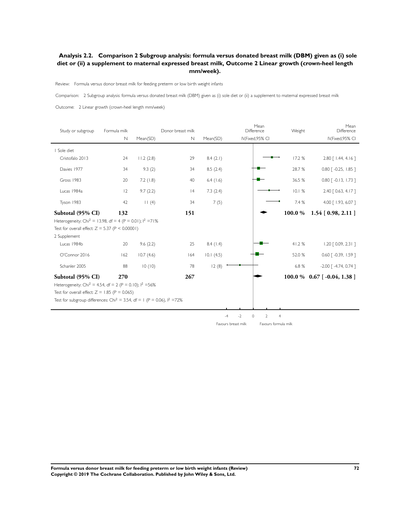## **Analysis 2.2. Comparison 2 Subgroup analysis: formula versus donated breast milk (DBM) given as (i) sole diet or (ii) a supplement to maternal expressed breast milk, Outcome 2 Linear growth (crown-heel length mm/week).**

Review: Formula versus donor breast milk for feeding preterm or low birth weight infants

Comparison: 2 Subgroup analysis: formula versus donated breast milk (DBM) given as (i) sole diet or (ii) a supplement to maternal expressed breast milk

Outcome: 2 Linear growth (crown-heel length mm/week)

| Study or subgroup                                                                     | Formula milk |           | Donor breast milk |             | Mean<br>Weight<br>Difference                                |         | Mean<br>Difference                  |
|---------------------------------------------------------------------------------------|--------------|-----------|-------------------|-------------|-------------------------------------------------------------|---------|-------------------------------------|
|                                                                                       | $\mathbb N$  | Mean(SD)  | N                 | Mean(SD)    | IV, Fixed, 95% CI                                           |         | IV, Fixed, 95% CI                   |
| I Sole diet                                                                           |              |           |                   |             |                                                             |         |                                     |
| Cristofalo 2013                                                                       | 24           | 11.2(2.8) | 29                | 8.4(2.1)    |                                                             | 17.2 %  | $2.80$ [ $1.44$ , $4.16$ ]          |
| Davies 1977                                                                           | 34           | 9.3(2)    | 34                | 8.5(2.4)    |                                                             | 28.7 %  | $0.80$ $\lceil -0.25, 1.85 \rceil$  |
| Gross 1983                                                                            | 20           | 7.2(1.8)  | 40                | $6.4$ (1.6) |                                                             | 36.5 %  | $0.80$ $\lceil -0.13, 1.73 \rceil$  |
| Lucas 1984a                                                                           | 12           | 9.7(2.2)  | 4                 | 7.3(2.4)    |                                                             | 10.1%   | 2.40 [ 0.63, 4.17 ]                 |
| Tyson 1983                                                                            | 42           | 11(4)     | 34                | 7(5)        |                                                             | 7.4 %   | 4.00 [ 1.93, 6.07 ]                 |
| Subtotal (95% CI)                                                                     | 132          |           | 151               |             |                                                             | 100.0 % | $1.54$ [ 0.98, 2.11 ]               |
| Heterogeneity: Chi <sup>2</sup> = 13.98, df = 4 (P = 0.01); $1^2$ =71%                |              |           |                   |             |                                                             |         |                                     |
| Test for overall effect: $Z = 5.37$ (P < 0.00001)                                     |              |           |                   |             |                                                             |         |                                     |
| 2 Supplement                                                                          |              |           |                   |             |                                                             |         |                                     |
| Lucas 1984b                                                                           | 20           | 9.6(2.2)  | 25                | 8.4(1.4)    |                                                             | 41.2%   | $1.20$ $[0.09, 2.31]$               |
| O'Connor 2016                                                                         | 162          | 10.7(4.6) | 164               | 10.1(4.5)   |                                                             | 52.0 %  | $0.60$ $\lceil -0.39, 1.59 \rceil$  |
| Schanler 2005                                                                         | 88           | 10(10)    | 78                | 12(8)       |                                                             | 6.8 %   | $-2.00$ $\lceil -4.74, 0.74 \rceil$ |
| Subtotal (95% CI)                                                                     | 270          |           | 267               |             |                                                             |         | $100.0\%$ 0.67 [-0.04, 1.38]        |
| Heterogeneity: Chi <sup>2</sup> = 4.54, df = 2 (P = 0.10); $1^2$ =56%                 |              |           |                   |             |                                                             |         |                                     |
| Test for overall effect: $Z = 1.85$ (P = 0.065)                                       |              |           |                   |             |                                                             |         |                                     |
| Test for subgroup differences: Chi <sup>2</sup> = 3.54, df = 1 (P = 0.06), $1^2$ =72% |              |           |                   |             |                                                             |         |                                     |
|                                                                                       |              |           |                   |             |                                                             |         |                                     |
|                                                                                       |              |           |                   |             | $-2$<br>$\overline{2}$<br>$\overline{4}$<br>$\circ$<br>$-4$ |         |                                     |

Favours breast milk Favours formula milk

**Formula versus donor breast milk for feeding preterm or low birth weight infants (Review) 72 Copyright © 2019 The Cochrane Collaboration. Published by John Wiley & Sons, Ltd.**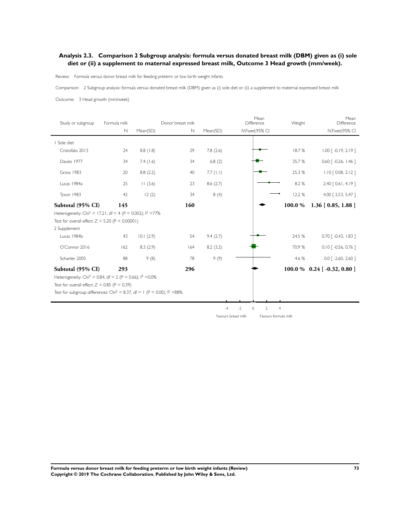### **Analysis 2.3. Comparison 2 Subgroup analysis: formula versus donated breast milk (DBM) given as (i) sole diet or (ii) a supplement to maternal expressed breast milk, Outcome 3 Head growth (mm/week).**

Review: Formula versus donor breast milk for feeding preterm or low birth weight infants

Comparison: 2 Subgroup analysis: formula versus donated breast milk (DBM) given as (i) sole diet or (ii) a supplement to maternal expressed breast milk

Outcome: 3 Head growth (mm/week)

| Study or subgroup                                                                                                                                                 | Formula milk |           | Donor breast milk |          | Mean<br>Difference                  | Weight         | Mean<br>Difference                 |
|-------------------------------------------------------------------------------------------------------------------------------------------------------------------|--------------|-----------|-------------------|----------|-------------------------------------|----------------|------------------------------------|
|                                                                                                                                                                   | N            | Mean(SD)  | $\mathbb N$       | Mean(SD) | IV, Fixed, 95% CI                   |                | IV, Fixed, 95% CI                  |
| Sole diet                                                                                                                                                         |              |           |                   |          |                                     |                |                                    |
| Cristofalo 2013                                                                                                                                                   | 24           | 8.8(1.8)  | 29                | 7.8(2.6) |                                     | 18.7%          | $1.00$ $\lceil -0.19, 2.19 \rceil$ |
| Davies 1977                                                                                                                                                       | 34           | 7.4(1.6)  | 34                | 6.8(2)   |                                     | 35.7 %         | $0.60$ $\lceil -0.26, 1.46 \rceil$ |
| Gross 1983                                                                                                                                                        | 20           | 8.8(2.2)  | 40                | 7.7(1.1) |                                     | 25.3 %         | $1.10$ $[0.08, 2.12]$              |
| Lucas 1984a                                                                                                                                                       | 25           | 11(3.6)   | 23                | 8.6(2.7) |                                     | 8.2 %          | 2.40 [ 0.61, 4.19 ]                |
| Tyson 1983                                                                                                                                                        | 42           | 12(2)     | 34                | 8(4)     |                                     | 12.2 %         | 4.00 [2.53, 5.47]                  |
| Subtotal (95% CI)<br>Heterogeneity: Chi <sup>2</sup> = 17.21, df = 4 (P = 0.002); $1^2$ =77%<br>Test for overall effect: $Z = 5.20$ (P < 0.00001)<br>2 Supplement | 145          |           | 160               |          |                                     | 100.0 %        | $1.36$ [ 0.85, 1.88 ]              |
| Lucas 1984b                                                                                                                                                       | 43           | 10.1(2.9) | 54                | 9.4(2.7) |                                     | 24.5 %         | $0.70$ $\lceil -0.43, 1.83 \rceil$ |
| O'Connor 2016                                                                                                                                                     | 162          | 8.3(2.9)  | 164               | 8.2(3.2) |                                     | 70.9 %         | $0.10$ $\lceil -0.56, 0.76 \rceil$ |
| Schanler 2005                                                                                                                                                     | 88           | 9(8)      | 78                | 9(9)     |                                     | 4.6 %          | $0.0$ $\lceil -2.60, 2.60 \rceil$  |
| Subtotal (95% CI)                                                                                                                                                 | 293          |           | 296               |          |                                     |                | $100.0\%$ 0.24 [-0.32, 0.80]       |
| Heterogeneity: Chi <sup>2</sup> = 0.84, df = 2 (P = 0.66); $1^2$ = 0.0%                                                                                           |              |           |                   |          |                                     |                |                                    |
| Test for overall effect: $Z = 0.85$ (P = 0.39)                                                                                                                    |              |           |                   |          |                                     |                |                                    |
| Test for subgroup differences: Chi <sup>2</sup> = 8.37, df = 1 (P = 0.00), $1^2$ =88%                                                                             |              |           |                   |          |                                     |                |                                    |
|                                                                                                                                                                   |              |           |                   |          | $\overline{2}$<br>$-2$<br>0<br>$-4$ | $\overline{4}$ |                                    |

Favours breast milk Favours formula milk

**Formula versus donor breast milk for feeding preterm or low birth weight infants (Review) 73 Copyright © 2019 The Cochrane Collaboration. Published by John Wiley & Sons, Ltd.**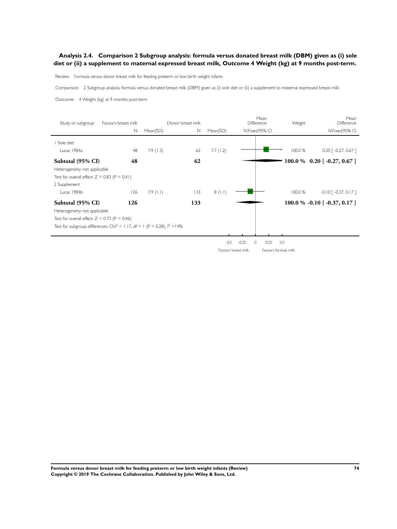### **Analysis 2.4. Comparison 2 Subgroup analysis: formula versus donated breast milk (DBM) given as (i) sole diet or (ii) a supplement to maternal expressed breast milk, Outcome 4 Weight (kg) at 9 months post-term.**

Review: Formula versus donor breast milk for feeding preterm or low birth weight infants

Comparison: 2 Subgroup analysis: formula versus donated breast milk (DBM) given as (i) sole diet or (ii) a supplement to maternal expressed breast milk

Outcome: 4 Weight (kg) at 9 months post-term

| Study or subgroup                                                                      | Favours breast milk |             | Donor breast milk |          | Mean<br>Difference  | Weight      | Mean<br>Difference                          |
|----------------------------------------------------------------------------------------|---------------------|-------------|-------------------|----------|---------------------|-------------|---------------------------------------------|
|                                                                                        | $\mathbb N$         | Mean(SD)    | N                 | Mean(SD) | IV, Fixed, 95% CI   |             | IV, Fixed, 95% CI                           |
| Sole diet                                                                              |                     |             |                   |          |                     |             |                                             |
| Lucas 1984a                                                                            | 48                  | 7.9(1.3)    | 62                | 7.7(1.2) |                     | 100.0 %     | $0.20$ $\lceil -0.27, 0.67 \rceil$          |
| Subtotal (95% CI)                                                                      | 48                  |             | 62                |          |                     |             | 100.0 % 0.20 [ $-0.27, 0.67$ ]              |
| Heterogeneity: not applicable                                                          |                     |             |                   |          |                     |             |                                             |
| Test for overall effect: $Z = 0.83$ (P = 0.41)                                         |                     |             |                   |          |                     |             |                                             |
| 2 Supplement                                                                           |                     |             |                   |          |                     |             |                                             |
| Lucas 1984b                                                                            | 126                 | $7.9$ (1.1) | 133               | 8(1.1)   |                     | 100.0 %     | $-0.10$ $\lceil -0.37, 0.17 \rceil$         |
| Subtotal (95% CI)                                                                      | 126                 |             | 133               |          |                     |             | 100.0 % -0.10 $\lceil$ -0.37, 0.17 $\rceil$ |
| Heterogeneity: not applicable                                                          |                     |             |                   |          |                     |             |                                             |
| Test for overall effect: $Z = 0.73$ (P = 0.46)                                         |                     |             |                   |          |                     |             |                                             |
| Test for subgroup differences: Chi <sup>2</sup> = 1.17, df = 1 (P = 0.28), $1^2$ = 14% |                     |             |                   |          |                     |             |                                             |
|                                                                                        |                     |             |                   |          |                     |             |                                             |
|                                                                                        |                     |             |                   | $-0.5$   | $-0.25$<br>$\Omega$ | 0.5<br>0.25 |                                             |

Favours breast milk Favours formula milk

**Formula versus donor breast milk for feeding preterm or low birth weight infants (Review) 74 Copyright © 2019 The Cochrane Collaboration. Published by John Wiley & Sons, Ltd.**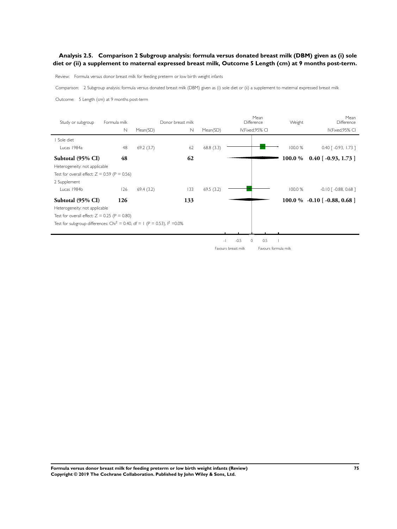### **Analysis 2.5. Comparison 2 Subgroup analysis: formula versus donated breast milk (DBM) given as (i) sole diet or (ii) a supplement to maternal expressed breast milk, Outcome 5 Length (cm) at 9 months post-term.**

Review: Formula versus donor breast milk for feeding preterm or low birth weight infants

Comparison: 2 Subgroup analysis: formula versus donated breast milk (DBM) given as (i) sole diet or (ii) a supplement to maternal expressed breast milk

Outcome: 5 Length (cm) at 9 months post-term

| Study or subgroup                                                                       | Formula milk |           | Donor breast milk |           |                                               | Mean<br>Difference | Weight               | Mean<br>Difference                 |
|-----------------------------------------------------------------------------------------|--------------|-----------|-------------------|-----------|-----------------------------------------------|--------------------|----------------------|------------------------------------|
|                                                                                         | N            | Mean(SD)  | Ν                 | Mean(SD)  |                                               | IV, Fixed, 95% CI  |                      | IV, Fixed, 95% CI                  |
| Sole diet                                                                               |              |           |                   |           |                                               |                    |                      |                                    |
| Lucas 1984a                                                                             | 48           | 69.2(3.7) | 62                | 68.8(3.3) |                                               |                    | 100.0 %              | $0.40$ $\lceil -0.93, 1.73 \rceil$ |
| Subtotal (95% CI)                                                                       | 48           |           | 62                |           |                                               |                    | 100.0 %              | $0.40$ [ -0.93, 1.73 ]             |
| Heterogeneity: not applicable                                                           |              |           |                   |           |                                               |                    |                      |                                    |
| Test for overall effect: $Z = 0.59$ (P = 0.56)                                          |              |           |                   |           |                                               |                    |                      |                                    |
| 2 Supplement                                                                            |              |           |                   |           |                                               |                    |                      |                                    |
| Lucas 1984b                                                                             | 126          | 69.4(3.2) | 133               | 69.5(3.2) |                                               |                    | 100.0 %              | $-0.10$ [ $-0.88$ , 0.68 ]         |
| Subtotal (95% CI)                                                                       | 126          |           | 133               |           |                                               |                    |                      | $100.0\%$ -0.10 [-0.88, 0.68]      |
| Heterogeneity: not applicable                                                           |              |           |                   |           |                                               |                    |                      |                                    |
| Test for overall effect: $Z = 0.25$ (P = 0.80)                                          |              |           |                   |           |                                               |                    |                      |                                    |
| Test for subgroup differences: Chi <sup>2</sup> = 0.40, df = 1 (P = 0.53), $1^2$ = 0.0% |              |           |                   |           |                                               |                    |                      |                                    |
|                                                                                         |              |           |                   |           |                                               |                    |                      |                                    |
|                                                                                         |              |           |                   |           | $-0.5$<br>$\circ$<br>$\overline{\phantom{a}}$ | 0.5                |                      |                                    |
|                                                                                         |              |           |                   |           | Favours breast milk                           |                    | Favours formula milk |                                    |

**Formula versus donor breast milk for feeding preterm or low birth weight infants (Review) 75 Copyright © 2019 The Cochrane Collaboration. Published by John Wiley & Sons, Ltd.**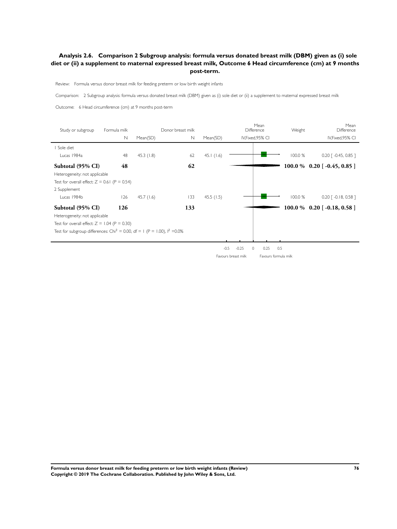### **Analysis 2.6. Comparison 2 Subgroup analysis: formula versus donated breast milk (DBM) given as (i) sole diet or (ii) a supplement to maternal expressed breast milk, Outcome 6 Head circumference (cm) at 9 months post-term.**

Review: Formula versus donor breast milk for feeding preterm or low birth weight infants

Comparison: 2 Subgroup analysis: formula versus donated breast milk (DBM) given as (i) sole diet or (ii) a supplement to maternal expressed breast milk

Outcome: 6 Head circumference (cm) at 9 months post-term

| Study or subgroup                                                                      | Formula milk |              | Donor breast milk |           |                     | Mean<br>Difference   | Weight  | Mean<br>Difference                 |
|----------------------------------------------------------------------------------------|--------------|--------------|-------------------|-----------|---------------------|----------------------|---------|------------------------------------|
|                                                                                        | $\mathbb N$  | Mean(SD)     | N                 | Mean(SD)  |                     | IV, Fixed, 95% CI    |         | IV, Fixed, 95% CI                  |
| I Sole diet                                                                            |              |              |                   |           |                     |                      |         |                                    |
| Lucas 1984a                                                                            | 48           | 45.3(1.8)    | 62                | 45.1(1.6) |                     |                      | 100.0 % | $0.20$ $\lceil -0.45, 0.85 \rceil$ |
| Subtotal (95% CI)                                                                      | 48           |              | 62                |           |                     |                      |         | $100.0\%$ 0.20 [-0.45, 0.85 ]      |
| Heterogeneity: not applicable                                                          |              |              |                   |           |                     |                      |         |                                    |
| Test for overall effect: $Z = 0.61$ (P = 0.54)                                         |              |              |                   |           |                     |                      |         |                                    |
| 2 Supplement                                                                           |              |              |                   |           |                     |                      |         |                                    |
| Lucas 1984b                                                                            | 126          | 45.7 $(1.6)$ | 133               | 45.5(1.5) |                     |                      | 100.0 % | $0.20$ $\lceil -0.18, 0.58 \rceil$ |
| Subtotal (95% CI)                                                                      | 126          |              | 133               |           |                     |                      |         | $100.0 \%$ 0.20 [-0.18, 0.58]      |
| Heterogeneity: not applicable                                                          |              |              |                   |           |                     |                      |         |                                    |
| Test for overall effect: $Z = 1.04$ (P = 0.30)                                         |              |              |                   |           |                     |                      |         |                                    |
| Test for subgroup differences: Chi <sup>2</sup> = 0.00, df = 1 (P = 1.00), $1^2$ =0.0% |              |              |                   |           |                     |                      |         |                                    |
|                                                                                        |              |              |                   |           |                     |                      |         |                                    |
|                                                                                        |              |              |                   | $-0.5$    | $-0.25$<br>0        | 0.25                 | 0.5     |                                    |
|                                                                                        |              |              |                   |           | Favours breast milk | Favours formula milk |         |                                    |

**Formula versus donor breast milk for feeding preterm or low birth weight infants (Review) 76 Copyright © 2019 The Cochrane Collaboration. Published by John Wiley & Sons, Ltd.**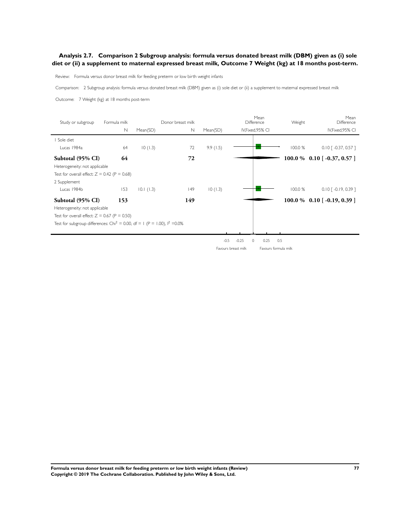### **Analysis 2.7. Comparison 2 Subgroup analysis: formula versus donated breast milk (DBM) given as (i) sole diet or (ii) a supplement to maternal expressed breast milk, Outcome 7 Weight (kg) at 18 months post-term.**

Review: Formula versus donor breast milk for feeding preterm or low birth weight infants

Comparison: 2 Subgroup analysis: formula versus donated breast milk (DBM) given as (i) sole diet or (ii) a supplement to maternal expressed breast milk

Outcome: 7 Weight (kg) at 18 months post-term

| Study or subgroup                                                                       | Formula milk |           | Donor breast milk |          | Mean<br>Difference   | Weight  | Mean<br>Difference                 |
|-----------------------------------------------------------------------------------------|--------------|-----------|-------------------|----------|----------------------|---------|------------------------------------|
|                                                                                         | $\mathbb N$  | Mean(SD)  | $\mathbb N$       | Mean(SD) | IV, Fixed, 95% CI    |         | IV, Fixed, 95% CI                  |
| Sole diet                                                                               |              |           |                   |          |                      |         |                                    |
| Lucas 1984a                                                                             | 64           | 10(1.3)   | 72                | 9.9(1.5) |                      | 100.0 % | $0.10$ [ -0.37, 0.57 ]             |
| Subtotal (95% CI)                                                                       | 64           |           | 72                |          |                      |         | 100.0 % 0.10 [ $-0.37, 0.57$ ]     |
| Heterogeneity: not applicable                                                           |              |           |                   |          |                      |         |                                    |
| Test for overall effect: $Z = 0.42$ (P = 0.68)                                          |              |           |                   |          |                      |         |                                    |
| 2 Supplement                                                                            |              |           |                   |          |                      |         |                                    |
| Lucas 1984b                                                                             | 153          | 10.1(1.3) | 149               | 10(1.3)  |                      | 100.0 % | $0.10$ $\lceil -0.19, 0.39 \rceil$ |
| Subtotal (95% CI)                                                                       | 153          |           | 149               |          |                      |         | $100.0\%$ 0.10 [-0.19, 0.39]       |
| Heterogeneity: not applicable                                                           |              |           |                   |          |                      |         |                                    |
| Test for overall effect: $Z = 0.67$ (P = 0.50)                                          |              |           |                   |          |                      |         |                                    |
| Test for subgroup differences: Chi <sup>2</sup> = 0.00, df = 1 (P = 1.00), $1^2$ = 0.0% |              |           |                   |          |                      |         |                                    |
|                                                                                         |              |           |                   |          |                      |         |                                    |
|                                                                                         |              |           |                   | $-0.5$   | $-0.25$<br>0.25<br>0 | 0.5     |                                    |

Favours breast milk Favours formula milk

**Formula versus donor breast milk for feeding preterm or low birth weight infants (Review) 77 Copyright © 2019 The Cochrane Collaboration. Published by John Wiley & Sons, Ltd.**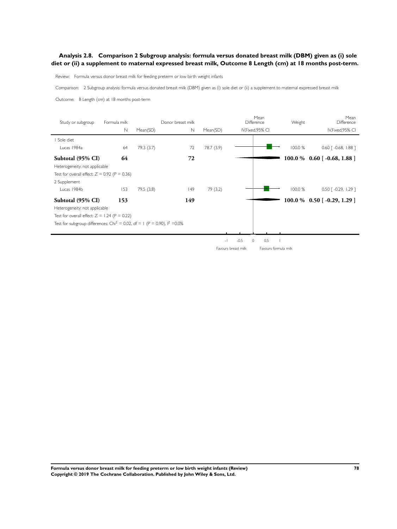### **Analysis 2.8. Comparison 2 Subgroup analysis: formula versus donated breast milk (DBM) given as (i) sole diet or (ii) a supplement to maternal expressed breast milk, Outcome 8 Length (cm) at 18 months post-term.**

Review: Formula versus donor breast milk for feeding preterm or low birth weight infants

Comparison: 2 Subgroup analysis: formula versus donated breast milk (DBM) given as (i) sole diet or (ii) a supplement to maternal expressed breast milk

Outcome: 8 Length (cm) at 18 months post-term

| Study or subgroup                                                                       | Formula milk |            | Donor breast milk |                          |                     | Mean<br><b>Difference</b> | Weight  | Mean<br>Difference                 |
|-----------------------------------------------------------------------------------------|--------------|------------|-------------------|--------------------------|---------------------|---------------------------|---------|------------------------------------|
|                                                                                         | $\mathbb N$  | Mean(SD)   | $\mathbb N$       | Mean(SD)                 |                     | IV, Fixed, 95% CI         |         | IV, Fixed, 95% CI                  |
| Sole diet                                                                               |              |            |                   |                          |                     |                           |         |                                    |
| Lucas 1984a                                                                             | 64           | 79.3 (3.7) | 72                | 78.7 (3.9)               |                     |                           | 100.0 % | $0.60$ $\lceil -0.68, 1.88 \rceil$ |
| Subtotal (95% CI)                                                                       | 64           |            | 72                |                          |                     |                           |         | $100.0\%$ 0.60 [-0.68, 1.88]       |
| Heterogeneity: not applicable                                                           |              |            |                   |                          |                     |                           |         |                                    |
| Test for overall effect: $Z = 0.92$ (P = 0.36)                                          |              |            |                   |                          |                     |                           |         |                                    |
| 2 Supplement                                                                            |              |            |                   |                          |                     |                           |         |                                    |
| Lucas 1984b                                                                             | 153          | 79.5(3.8)  | 49                | 79 (3.2)                 |                     |                           | 100.0 % | $0.50$ $\lceil -0.29, 1.29 \rceil$ |
| Subtotal (95% CI)                                                                       | 153          |            | 149               |                          |                     |                           |         | $100.0\%$ 0.50 [-0.29, 1.29 ]      |
| Heterogeneity: not applicable                                                           |              |            |                   |                          |                     |                           |         |                                    |
| Test for overall effect: $Z = 1.24$ (P = 0.22)                                          |              |            |                   |                          |                     |                           |         |                                    |
| Test for subgroup differences: Chi <sup>2</sup> = 0.02, df = 1 (P = 0.90), $1^2$ = 0.0% |              |            |                   |                          |                     |                           |         |                                    |
|                                                                                         |              |            |                   |                          |                     |                           |         |                                    |
|                                                                                         |              |            |                   | $\overline{\phantom{a}}$ | $-0.5$<br>$\circ$   | 0.5                       |         |                                    |
|                                                                                         |              |            |                   |                          | Favours breast milk | Favours formula milk      |         |                                    |

**Formula versus donor breast milk for feeding preterm or low birth weight infants (Review) 78 Copyright © 2019 The Cochrane Collaboration. Published by John Wiley & Sons, Ltd.**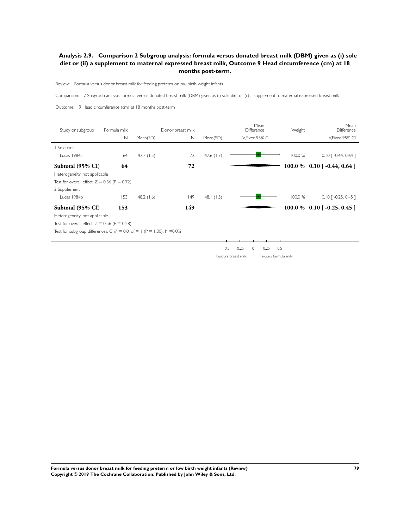### **Analysis 2.9. Comparison 2 Subgroup analysis: formula versus donated breast milk (DBM) given as (i) sole diet or (ii) a supplement to maternal expressed breast milk, Outcome 9 Head circumference (cm) at 18 months post-term.**

Review: Formula versus donor breast milk for feeding preterm or low birth weight infants

Comparison: 2 Subgroup analysis: formula versus donated breast milk (DBM) given as (i) sole diet or (ii) a supplement to maternal expressed breast milk

Outcome: 9 Head circumference (cm) at 18 months post-term

| Study or subgroup                                                                     | Formula milk |              | Donor breast milk |              |                     | Mean<br><b>Difference</b> | Weight               | Mean<br>Difference                 |
|---------------------------------------------------------------------------------------|--------------|--------------|-------------------|--------------|---------------------|---------------------------|----------------------|------------------------------------|
|                                                                                       | $\mathbb N$  | Mean(SD)     | $\mathsf{N}$      | Mean(SD)     |                     | IV, Fixed, 95% CI         |                      | IV, Fixed, 95% CI                  |
| I Sole diet                                                                           |              |              |                   |              |                     |                           |                      |                                    |
| Lucas 1984a                                                                           | 64           | 47.7(1.5)    | 72                | 47.6 $(1.7)$ |                     |                           | 100.0 %              | $0.10$ $\lceil -0.44, 0.64 \rceil$ |
| Subtotal (95% CI)                                                                     | 64           |              | 72                |              |                     |                           |                      | $100.0\%$ 0.10 [ -0.44, 0.64 ]     |
| Heterogeneity: not applicable                                                         |              |              |                   |              |                     |                           |                      |                                    |
| Test for overall effect: $Z = 0.36$ (P = 0.72)                                        |              |              |                   |              |                     |                           |                      |                                    |
| 2 Supplement                                                                          |              |              |                   |              |                     |                           |                      |                                    |
| Lucas 1984b                                                                           | 153          | 48.2 $(1.6)$ | 149               | 48.1(1.5)    |                     |                           | 100.0 %              | $0.10$ $\lceil -0.25, 0.45 \rceil$ |
| Subtotal (95% CI)                                                                     | 153          |              | 149               |              |                     |                           |                      | $100.0 % 0.10 [-0.25, 0.45]$       |
| Heterogeneity: not applicable                                                         |              |              |                   |              |                     |                           |                      |                                    |
| Test for overall effect: $Z = 0.56$ (P = 0.58)                                        |              |              |                   |              |                     |                           |                      |                                    |
| Test for subgroup differences: Chi <sup>2</sup> = 0.0, df = 1 (P = 1.00), $1^2$ =0.0% |              |              |                   |              |                     |                           |                      |                                    |
|                                                                                       |              |              |                   |              |                     |                           |                      |                                    |
|                                                                                       |              |              |                   | $-0.5$       | $-0.25$             | 0.25<br>0                 | 0.5                  |                                    |
|                                                                                       |              |              |                   |              | Favours breast milk |                           | Favours formula milk |                                    |

**Formula versus donor breast milk for feeding preterm or low birth weight infants (Review) 79 Copyright © 2019 The Cochrane Collaboration. Published by John Wiley & Sons, Ltd.**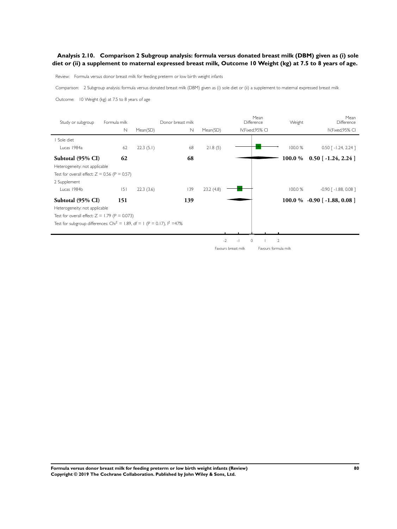### **Analysis 2.10. Comparison 2 Subgroup analysis: formula versus donated breast milk (DBM) given as (i) sole diet or (ii) a supplement to maternal expressed breast milk, Outcome 10 Weight (kg) at 7.5 to 8 years of age.**

Review: Formula versus donor breast milk for feeding preterm or low birth weight infants

Comparison: 2 Subgroup analysis: formula versus donated breast milk (DBM) given as (i) sole diet or (ii) a supplement to maternal expressed breast milk

Outcome: 10 Weight (kg) at 7.5 to 8 years of age

| Study or subgroup                                                                     | Formula milk<br>N | Mean(SD)  | Donor breast milk<br>N | Mean(SD)  | Difference<br>IV, Fixed, 95% CI   | Mean                 | Weight         | Mean<br>Difference<br>IV, Fixed, 95% CI |
|---------------------------------------------------------------------------------------|-------------------|-----------|------------------------|-----------|-----------------------------------|----------------------|----------------|-----------------------------------------|
| Sole diet                                                                             |                   |           |                        |           |                                   |                      |                |                                         |
| Lucas 1984a                                                                           | 62                | 22.3(5.1) | 68                     | 21.8(5)   |                                   |                      | 100.0 %        | $0.50$ [ -1.24, 2.24 ]                  |
| Subtotal (95% CI)                                                                     | 62                |           | 68                     |           |                                   |                      |                | $100.0\%$ 0.50 [-1.24, 2.24]            |
| Heterogeneity: not applicable                                                         |                   |           |                        |           |                                   |                      |                |                                         |
| Test for overall effect: $Z = 0.56$ (P = 0.57)                                        |                   |           |                        |           |                                   |                      |                |                                         |
| 2 Supplement                                                                          |                   |           |                        |           |                                   |                      |                |                                         |
| Lucas 1984b                                                                           | 5                 | 22.3(3.6) | 139                    | 23.2(4.8) |                                   |                      | 100.0 %        | $-0.90$ $\lceil -1.88, 0.08 \rceil$     |
| Subtotal (95% CI)                                                                     | 151               |           | 139                    |           |                                   |                      |                | $100.0\%$ -0.90 [-1.88, 0.08]           |
| Heterogeneity: not applicable                                                         |                   |           |                        |           |                                   |                      |                |                                         |
| Test for overall effect: $Z = 1.79$ (P = 0.073)                                       |                   |           |                        |           |                                   |                      |                |                                         |
| Test for subgroup differences: Chi <sup>2</sup> = 1.89, df = 1 (P = 0.17), $1^2$ =47% |                   |           |                        |           |                                   |                      |                |                                         |
|                                                                                       |                   |           |                        |           |                                   |                      |                |                                         |
|                                                                                       |                   |           |                        |           | $-2$<br>$\circ$<br>$\overline{a}$ |                      | $\overline{2}$ |                                         |
|                                                                                       |                   |           |                        |           | Favours breast milk               | Favours formula milk |                |                                         |

**Formula versus donor breast milk for feeding preterm or low birth weight infants (Review) 80 Copyright © 2019 The Cochrane Collaboration. Published by John Wiley & Sons, Ltd.**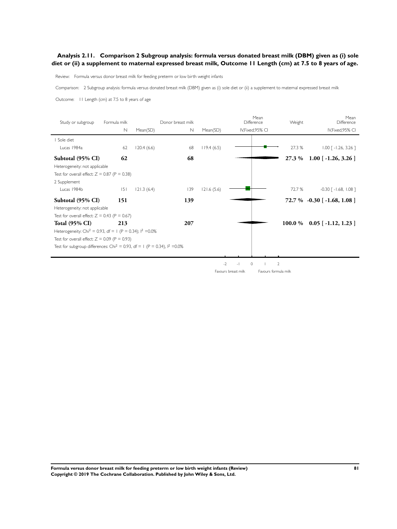### **Analysis 2.11. Comparison 2 Subgroup analysis: formula versus donated breast milk (DBM) given as (i) sole diet or (ii) a supplement to maternal expressed breast milk, Outcome 11 Length (cm) at 7.5 to 8 years of age.**

Review: Formula versus donor breast milk for feeding preterm or low birth weight infants

Comparison: 2 Subgroup analysis: formula versus donated breast milk (DBM) given as (i) sole diet or (ii) a supplement to maternal expressed breast milk

Outcome: 11 Length (cm) at 7.5 to 8 years of age

| Study or subgroup                                                                       | Formula milk |            | Donor breast milk |            | Mean<br>Difference        | Weight         | Mean<br>Difference                 |
|-----------------------------------------------------------------------------------------|--------------|------------|-------------------|------------|---------------------------|----------------|------------------------------------|
|                                                                                         | N            | Mean(SD)   | $\mathsf{N}$      | Mean(SD)   | IV, Fixed, 95% CI         |                | IV, Fixed, 95% CI                  |
| Sole diet                                                                               |              |            |                   |            |                           |                |                                    |
| Lucas 1984a                                                                             | 62           | 120.4(6.6) | 68                | 119.4(6.5) |                           | 27.3 %         | $1.00$ $\lceil -1.26, 3.26 \rceil$ |
| Subtotal (95% CI)                                                                       | 62           |            | 68                |            |                           | 27.3 %         | $1.00$ [ -1.26, 3.26 ]             |
| Heterogeneity: not applicable                                                           |              |            |                   |            |                           |                |                                    |
| Test for overall effect: $Z = 0.87$ (P = 0.38)                                          |              |            |                   |            |                           |                |                                    |
| 2 Supplement                                                                            |              |            |                   |            |                           |                |                                    |
| Lucas 1984b                                                                             | 5            | 121.3(6.4) | 139               | 121.6(5.6) |                           | 72.7 %         | $-0.30$ [ $-1.68$ , $1.08$ ]       |
| Subtotal (95% CI)                                                                       | 151          |            | 139               |            |                           |                | $72.7\% -0.30$ [ -1.68, 1.08 ]     |
| Heterogeneity: not applicable                                                           |              |            |                   |            |                           |                |                                    |
| Test for overall effect: $Z = 0.43$ (P = 0.67)                                          |              |            |                   |            |                           |                |                                    |
| <b>Total (95% CI)</b>                                                                   | 213          |            | 207               |            |                           |                | $100.0\%$ 0.05 [-1.12, 1.23]       |
| Heterogeneity: Chi <sup>2</sup> = 0.93, df = 1 (P = 0.34); $1^2$ =0.0%                  |              |            |                   |            |                           |                |                                    |
| Test for overall effect: $Z = 0.09$ (P = 0.93)                                          |              |            |                   |            |                           |                |                                    |
| Test for subgroup differences: Chi <sup>2</sup> = 0.93, df = 1 (P = 0.34), $1^2$ = 0.0% |              |            |                   |            |                           |                |                                    |
|                                                                                         |              |            |                   |            |                           |                |                                    |
|                                                                                         |              |            |                   | $-2$       | $\circ$<br>$\overline{a}$ | $\overline{2}$ |                                    |

Favours breast milk Favours formula milk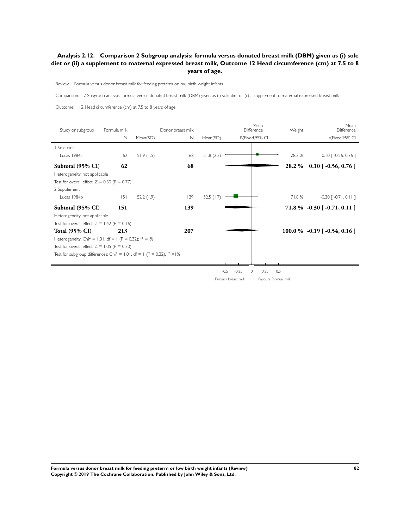### **Analysis 2.12. Comparison 2 Subgroup analysis: formula versus donated breast milk (DBM) given as (i) sole diet or (ii) a supplement to maternal expressed breast milk, Outcome 12 Head circumference (cm) at 7.5 to 8 years of age.**

Review: Formula versus donor breast milk for feeding preterm or low birth weight infants

Comparison: 2 Subgroup analysis: formula versus donated breast milk (DBM) given as (i) sole diet or (ii) a supplement to maternal expressed breast milk

Outcome: 12 Head circumference (cm) at 7.5 to 8 years of age

| Study or subgroup                                                                      | Formula milk<br>N | Mean(SD)  | Donor breast milk<br>N | Mean(SD)     |                   | Mean<br>Difference<br>IV, Fixed, 95% CI | Weight | Mean<br>Difference<br>IV, Fixed, 95% CI |
|----------------------------------------------------------------------------------------|-------------------|-----------|------------------------|--------------|-------------------|-----------------------------------------|--------|-----------------------------------------|
| Sole diet                                                                              |                   |           |                        |              |                   |                                         |        |                                         |
| Lucas 1984a                                                                            | 62                | 51.9(1.5) | 68                     | 51.8(2.3)    |                   |                                         | 28.2 % | $0.10$ $\lceil -0.56, 0.76 \rceil$      |
| Subtotal (95% CI)                                                                      | 62                |           | 68                     |              |                   |                                         | 28.2 % | $0.10$ [ -0.56, 0.76 ]                  |
| Heterogeneity: not applicable                                                          |                   |           |                        |              |                   |                                         |        |                                         |
| Test for overall effect: $Z = 0.30$ (P = 0.77)                                         |                   |           |                        |              |                   |                                         |        |                                         |
| 2 Supplement                                                                           |                   |           |                        |              |                   |                                         |        |                                         |
| Lucas 1984b                                                                            | 5                 | 52.2(1.9) | 139                    | 52.5 $(1.7)$ |                   |                                         | 71.8%  | $-0.30$ [ $-0.71$ , 0.11 ]              |
| Subtotal (95% CI)                                                                      | 151               |           | 139                    |              |                   |                                         |        | $71.8\% -0.30[-0.71, 0.11]$             |
| Heterogeneity: not applicable                                                          |                   |           |                        |              |                   |                                         |        |                                         |
| Test for overall effect: $Z = 1.42$ (P = 0.16)                                         |                   |           |                        |              |                   |                                         |        |                                         |
| Total $(95\% \text{ CI})$                                                              | 213               |           | 207                    |              |                   |                                         |        | $100.0\%$ -0.19 [-0.54, 0.16]           |
| Heterogeneity: Chi <sup>2</sup> = 1.01, df = 1 (P = 0.32); $1^2 = 1\%$                 |                   |           |                        |              |                   |                                         |        |                                         |
| Test for overall effect: $Z = 1.05$ (P = 0.30)                                         |                   |           |                        |              |                   |                                         |        |                                         |
| Test for subgroup differences: Chi <sup>2</sup> = 1.01, df = 1 (P = 0.32), $1^2 = 1\%$ |                   |           |                        |              |                   |                                         |        |                                         |
|                                                                                        |                   |           |                        |              |                   |                                         |        |                                         |
|                                                                                        |                   |           |                        |              | $-0.5$<br>$-0.25$ | 0.25<br>0                               | 0.5    |                                         |

Favours breast milk Favours formual milk

**Formula versus donor breast milk for feeding preterm or low birth weight infants (Review) 82 Copyright © 2019 The Cochrane Collaboration. Published by John Wiley & Sons, Ltd.**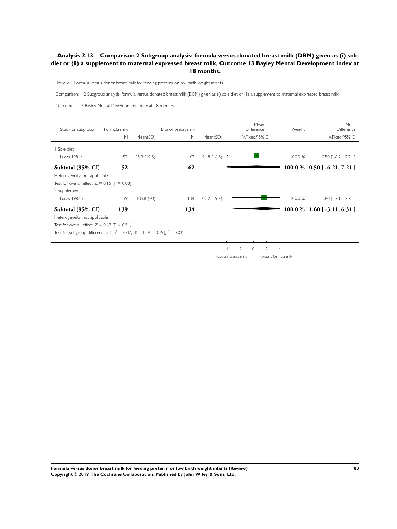### **Analysis 2.13. Comparison 2 Subgroup analysis: formula versus donated breast milk (DBM) given as (i) sole diet or (ii) a supplement to maternal expressed breast milk, Outcome 13 Bayley Mental Development Index at 18 months.**

Review: Formula versus donor breast milk for feeding preterm or low birth weight infants

Comparison: 2 Subgroup analysis: formula versus donated breast milk (DBM) given as (i) sole diet or (ii) a supplement to maternal expressed breast milk

Outcome: 13 Bayley Mental Development Index at 18 months

j.

| Study or subgroup                                                                       | Formula milk<br>$\mathbb N$ | Mean(SD)    | Donor breast milk<br>N | Mean(SD)    |                     | Mean<br>Difference<br>IV, Fixed, 95% CI | Weight               | Mean<br>Difference<br>IV, Fixed, 95% CI |
|-----------------------------------------------------------------------------------------|-----------------------------|-------------|------------------------|-------------|---------------------|-----------------------------------------|----------------------|-----------------------------------------|
| I Sole diet                                                                             |                             |             |                        |             |                     |                                         |                      |                                         |
| Lucas 1984a                                                                             | 52                          | 95.3 (19.5) | 62                     | 94.8(16.5)  |                     |                                         | 100.0 %              | $0.50$ [ -6.21, 7.21]                   |
| Subtotal (95% CI)                                                                       | 52                          |             | 62                     |             |                     |                                         |                      | $100.0\%$ 0.50 [-6.21, 7.21 ]           |
| Heterogeneity: not applicable                                                           |                             |             |                        |             |                     |                                         |                      |                                         |
| Test for overall effect: $Z = 0.15$ (P = 0.88)                                          |                             |             |                        |             |                     |                                         |                      |                                         |
| 2 Supplement                                                                            |                             |             |                        |             |                     |                                         |                      |                                         |
| Lucas 1984b                                                                             | 139                         | 103.8(20)   | 134                    | 102.2(19.7) |                     |                                         | 100.0 %              | $1.60$ [ -3.11, 6.31]                   |
| Subtotal (95% CI)                                                                       | 139                         |             | 134                    |             |                     |                                         |                      | $100.0\%$ 1.60 [-3.11, 6.31]            |
| Heterogeneity: not applicable                                                           |                             |             |                        |             |                     |                                         |                      |                                         |
| Test for overall effect: $Z = 0.67$ (P = 0.51)                                          |                             |             |                        |             |                     |                                         |                      |                                         |
| Test for subgroup differences: Chi <sup>2</sup> = 0.07, df = 1 (P = 0.79), $1^2$ = 0.0% |                             |             |                        |             |                     |                                         |                      |                                         |
|                                                                                         |                             |             |                        |             |                     |                                         |                      |                                         |
|                                                                                         |                             |             |                        |             | $-2$<br>$-4$        | $\circ$<br>2                            | $\overline{4}$       |                                         |
|                                                                                         |                             |             |                        |             | Favours breast milk |                                         | Favours formula milk |                                         |

**Formula versus donor breast milk for feeding preterm or low birth weight infants (Review) 83 Copyright © 2019 The Cochrane Collaboration. Published by John Wiley & Sons, Ltd.**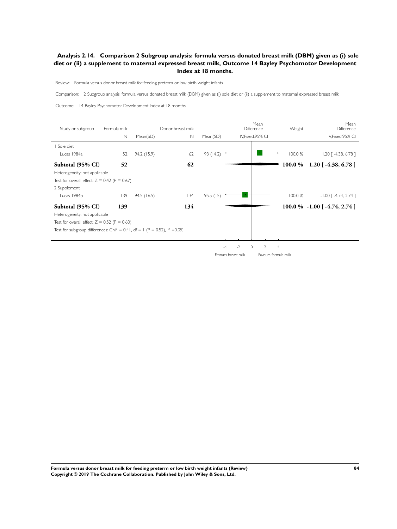### **Analysis 2.14. Comparison 2 Subgroup analysis: formula versus donated breast milk (DBM) given as (i) sole diet or (ii) a supplement to maternal expressed breast milk, Outcome 14 Bayley Psychomotor Development Index at 18 months.**

Review: Formula versus donor breast milk for feeding preterm or low birth weight infants

Comparison: 2 Subgroup analysis: formula versus donated breast milk (DBM) given as (i) sole diet or (ii) a supplement to maternal expressed breast milk

Outcome: 14 Bayley Psychomotor Development Index at 18 months

| Study or subgroup                                                                      | Formula milk<br>$\mathbb N$ | Mean(SD)    | Donor breast milk<br>$\mathbb N$ | Mean(SD)  |                     | Mean<br>Difference<br>IV, Fixed, 95% CI | Weight               | Mean<br>Difference<br>IV, Fixed, 95% CI |
|----------------------------------------------------------------------------------------|-----------------------------|-------------|----------------------------------|-----------|---------------------|-----------------------------------------|----------------------|-----------------------------------------|
| Sole diet                                                                              |                             |             |                                  |           |                     |                                         |                      |                                         |
| Lucas 1984a                                                                            | 52                          | 94.2 (15.9) | 62                               | 93 (14.2) |                     |                                         | 100.0 %              | $1.20$ [ -4.38, 6.78 ]                  |
| Subtotal (95% CI)                                                                      | 52                          |             | 62                               |           |                     |                                         | 100.0 %              | $1.20$ [ -4.38, 6.78 ]                  |
| Heterogeneity: not applicable                                                          |                             |             |                                  |           |                     |                                         |                      |                                         |
| Test for overall effect: $Z = 0.42$ (P = 0.67)                                         |                             |             |                                  |           |                     |                                         |                      |                                         |
| 2 Supplement                                                                           |                             |             |                                  |           |                     |                                         |                      |                                         |
| Lucas 1984b                                                                            | 139                         | 94.5(16.5)  | 134                              | 95.5(15)  |                     |                                         | 100.0 %              | $-1.00$ $\lceil -4.74, 2.74 \rceil$     |
| Subtotal (95% CI)                                                                      | 139                         |             | 134                              |           |                     |                                         |                      | 100.0 % $-1.00$ [ $-4.74$ , 2.74 ]      |
| Heterogeneity: not applicable                                                          |                             |             |                                  |           |                     |                                         |                      |                                         |
| Test for overall effect: $Z = 0.52$ (P = 0.60)                                         |                             |             |                                  |           |                     |                                         |                      |                                         |
| Test for subgroup differences: Chi <sup>2</sup> = 0.41, df = 1 (P = 0.52), $1^2$ =0.0% |                             |             |                                  |           |                     |                                         |                      |                                         |
|                                                                                        |                             |             |                                  |           |                     |                                         |                      |                                         |
|                                                                                        |                             |             |                                  |           | $-2$<br>$-4$        | $\circ$<br>2                            | $\overline{4}$       |                                         |
|                                                                                        |                             |             |                                  |           | Favours breast milk |                                         | Favours formula milk |                                         |

**Formula versus donor breast milk for feeding preterm or low birth weight infants (Review) 84 Copyright © 2019 The Cochrane Collaboration. Published by John Wiley & Sons, Ltd.**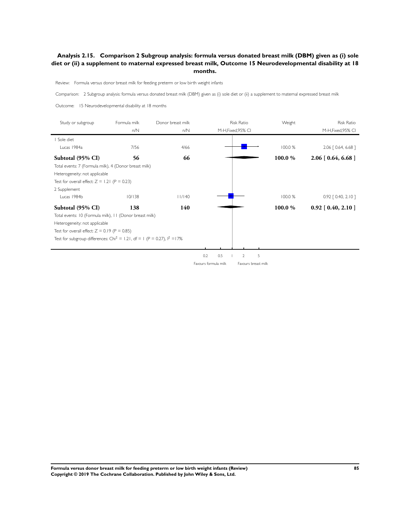### **Analysis 2.15. Comparison 2 Subgroup analysis: formula versus donated breast milk (DBM) given as (i) sole diet or (ii) a supplement to maternal expressed breast milk, Outcome 15 Neurodevelopmental disability at 18 months.**

Review: Formula versus donor breast milk for feeding preterm or low birth weight infants

Comparison: 2 Subgroup analysis: formula versus donated breast milk (DBM) given as (i) sole diet or (ii) a supplement to maternal expressed breast milk

Outcome: 15 Neurodevelopmental disability at 18 months

| Study or subgroup                                                                      | Formula milk | Donor breast milk | <b>Risk Ratio</b>                           | Weight  | <b>Risk Ratio</b>       |
|----------------------------------------------------------------------------------------|--------------|-------------------|---------------------------------------------|---------|-------------------------|
|                                                                                        | n/N          | n/N               | M-H, Fixed, 95% CI                          |         | M-H, Fixed, 95% CI      |
| Sole diet                                                                              |              |                   |                                             |         |                         |
| Lucas 1984a                                                                            | 7/56         | 4/66              |                                             | 100.0 % | $2.06$ $[0.64, 6.68]$   |
| Subtotal (95% CI)                                                                      | 56           | 66                |                                             | 100.0%  | $2.06$ [ 0.64, 6.68 ]   |
| Total events: 7 (Formula milk), 4 (Donor breast milk)                                  |              |                   |                                             |         |                         |
| Heterogeneity: not applicable                                                          |              |                   |                                             |         |                         |
| Test for overall effect: $Z = 1.21$ (P = 0.23)                                         |              |                   |                                             |         |                         |
| 2 Supplement                                                                           |              |                   |                                             |         |                         |
| Lucas 1984b                                                                            | 10/138       | 11/140            |                                             | 100.0 % | $0.92$ $[0.40, 2.10]$   |
| Subtotal (95% CI)                                                                      | 138          | 140               |                                             | 100.0 % | $0.92$ [ $0.40, 2.10$ ] |
| Total events: 10 (Formula milk), 11 (Donor breast milk)                                |              |                   |                                             |         |                         |
| Heterogeneity: not applicable                                                          |              |                   |                                             |         |                         |
| Test for overall effect: $Z = 0.19$ (P = 0.85)                                         |              |                   |                                             |         |                         |
| Test for subgroup differences: Chi <sup>2</sup> = 1.21, df = 1 (P = 0.27), $1^2$ = 17% |              |                   |                                             |         |                         |
|                                                                                        |              |                   |                                             |         |                         |
|                                                                                        |              |                   | 0.2<br>0.5<br>5<br>$\overline{2}$           |         |                         |
|                                                                                        |              |                   | Favours formula milk<br>Favours breast milk |         |                         |

**Formula versus donor breast milk for feeding preterm or low birth weight infants (Review) 85 Copyright © 2019 The Cochrane Collaboration. Published by John Wiley & Sons, Ltd.**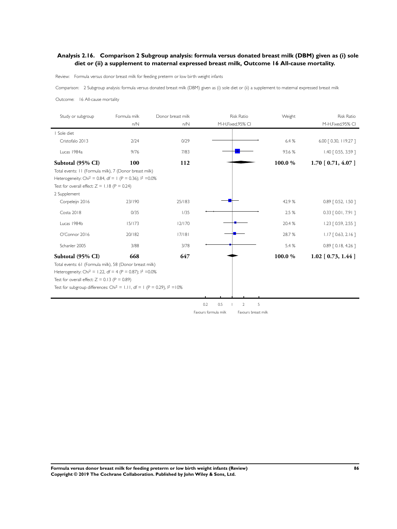### **Analysis 2.16. Comparison 2 Subgroup analysis: formula versus donated breast milk (DBM) given as (i) sole diet or (ii) a supplement to maternal expressed breast milk, Outcome 16 All-cause mortality.**

Review: Formula versus donor breast milk for feeding preterm or low birth weight infants

Comparison: 2 Subgroup analysis: formula versus donated breast milk (DBM) given as (i) sole diet or (ii) a supplement to maternal expressed breast milk

Outcome: 16 All-cause mortality

| Study or subgroup                                                                      | Formula milk | Donor breast milk | <b>Risk Ratio</b>                           | Weight | <b>Risk Ratio</b>     |
|----------------------------------------------------------------------------------------|--------------|-------------------|---------------------------------------------|--------|-----------------------|
|                                                                                        | n/N          | n/N               | M-H, Fixed, 95% CI                          |        | M-H, Fixed, 95% CI    |
| I Sole diet                                                                            |              |                   |                                             |        |                       |
| Cristofalo 2013                                                                        | 2/24         | 0/29              |                                             | 6.4 %  | 6.00 [ 0.30, 119.27 ] |
| Lucas 1984a                                                                            | 9/76         | 7/83              |                                             | 93.6%  | $1.40$ $[0.55, 3.59]$ |
| Subtotal (95% CI)                                                                      | 100          | 112               |                                             | 100.0% | $1.70$ [ 0.71, 4.07 ] |
| Total events: 11 (Formula milk), 7 (Donor breast milk)                                 |              |                   |                                             |        |                       |
| Heterogeneity: Chi <sup>2</sup> = 0.84, df = 1 (P = 0.36); $1^2$ = 0.0%                |              |                   |                                             |        |                       |
| Test for overall effect: $Z = 1.18$ (P = 0.24)                                         |              |                   |                                             |        |                       |
| 2 Supplement                                                                           |              |                   |                                             |        |                       |
| Corpeleijn 2016                                                                        | 23/190       | 25/183            |                                             | 42.9%  | $0.89$ $[0.52, 1.50]$ |
| Costa 2018                                                                             | 0/35         | 1/35              |                                             | 2.5 %  | $0.33$ $[0.01, 7.91]$ |
| Lucas 1984b                                                                            | 15/173       | 12/170            |                                             | 20.4 % | $1.23$ $[0.59, 2.55]$ |
| O'Connor 2016                                                                          | 20/182       | 17/181            |                                             | 28.7%  | $1.17$ $[0.63, 2.16]$ |
| Schanler 2005                                                                          | 3/88         | 3/78              |                                             | 5.4 %  | $0.89$ $[0.18, 4.26]$ |
| Subtotal (95% CI)                                                                      | 668          | 647               |                                             | 100.0% | $1.02$ [ 0.73, 1.44 ] |
| Total events: 61 (Formula milk), 58 (Donor breast milk)                                |              |                   |                                             |        |                       |
| Heterogeneity: Chi <sup>2</sup> = 1.22, df = 4 (P = 0.87); $1^2$ = 0.0%                |              |                   |                                             |        |                       |
| Test for overall effect: $Z = 0.13$ (P = 0.89)                                         |              |                   |                                             |        |                       |
| Test for subgroup differences: Chi <sup>2</sup> = 1.11, df = 1 (P = 0.29), $1^2$ = 10% |              |                   |                                             |        |                       |
|                                                                                        |              |                   |                                             |        |                       |
|                                                                                        |              |                   | 0.2<br>0.5<br>5<br>$\overline{2}$           |        |                       |
|                                                                                        |              |                   | Favours formula milk<br>Favours breast milk |        |                       |

**Formula versus donor breast milk for feeding preterm or low birth weight infants (Review) 86 Copyright © 2019 The Cochrane Collaboration. Published by John Wiley & Sons, Ltd.**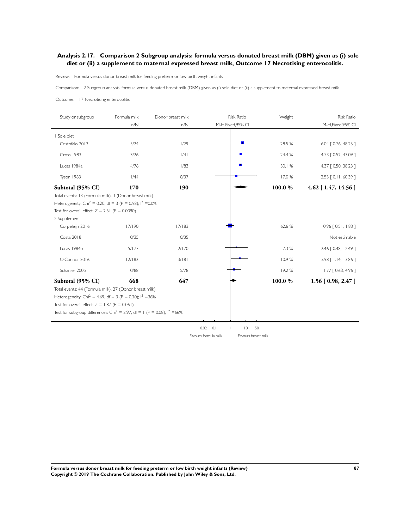### **Analysis 2.17. Comparison 2 Subgroup analysis: formula versus donated breast milk (DBM) given as (i) sole diet or (ii) a supplement to maternal expressed breast milk, Outcome 17 Necrotising enterocolitis.**

Review: Formula versus donor breast milk for feeding preterm or low birth weight infants

Comparison: 2 Subgroup analysis: formula versus donated breast milk (DBM) given as (i) sole diet or (ii) a supplement to maternal expressed breast milk

#### Outcome: 17 Necrotising enterocolitis

| Study or subgroup                                                                     | Formula milk | Donor breast milk | <b>Risk Ratio</b>                           | Weight | <b>Risk Ratio</b>      |
|---------------------------------------------------------------------------------------|--------------|-------------------|---------------------------------------------|--------|------------------------|
|                                                                                       | n/N          | n/N               | M-H, Fixed, 95% CI                          |        | M-H, Fixed, 95% CI     |
| I Sole diet                                                                           |              |                   |                                             |        |                        |
| Cristofalo 2013                                                                       | 5/24         | 1/29              |                                             | 28.5 % | 6.04   0.76, 48.25 ]   |
| Gross 1983                                                                            | 3/26         | /4                |                                             | 24.4 % | 4.73 [ 0.52, 43.09 ]   |
| Lucas 1984a                                                                           | 4/76         | 1/83              |                                             | 30.1 % | 4.37 [ 0.50, 38.23 ]   |
| Tyson 1983                                                                            | 1/44         | 0/37              |                                             | 17.0 % | 2.53 [ 0.11, 60.39 ]   |
| Subtotal (95% CI)                                                                     | 170          | 190               |                                             | 100.0% | $4.62$ [ 1.47, 14.56 ] |
| Total events: 13 (Formula milk), 3 (Donor breast milk)                                |              |                   |                                             |        |                        |
| Heterogeneity: Chi <sup>2</sup> = 0.20, df = 3 (P = 0.98); $1^2$ = 0.0%               |              |                   |                                             |        |                        |
| Test for overall effect: $Z = 2.61$ (P = 0.0090)                                      |              |                   |                                             |        |                        |
| 2 Supplement                                                                          |              |                   |                                             |        |                        |
| Corpeleijn 2016                                                                       | 17/190       | 17/183            |                                             | 62.6 % | $0.96$ $[0.51, 1.83]$  |
| Costa 2018                                                                            | 0/35         | 0/35              |                                             |        | Not estimable          |
| Lucas 1984b                                                                           | 5/173        | 2/170             |                                             | 7.3 %  | 2.46 [ 0.48, 12.49 ]   |
| O'Connor 2016                                                                         | 2/182        | 3/181             |                                             | 10.9%  | 3.98 [ 1.14, 13.86 ]   |
| Schanler 2005                                                                         | 10/88        | 5/78              |                                             | 19.2%  | $1.77$ $[0.63, 4.96]$  |
| Subtotal (95% CI)                                                                     | 668          | 647               |                                             | 100.0% | $1.56$ [ 0.98, 2.47 ]  |
| Total events: 44 (Formula milk), 27 (Donor breast milk)                               |              |                   |                                             |        |                        |
| Heterogeneity: Chi <sup>2</sup> = 4.69, df = 3 (P = 0.20); $1^2$ = 36%                |              |                   |                                             |        |                        |
| Test for overall effect: $Z = 1.87$ (P = 0.061)                                       |              |                   |                                             |        |                        |
| Test for subgroup differences: Chi <sup>2</sup> = 2.97, df = 1 (P = 0.08), $1^2$ =66% |              |                   |                                             |        |                        |
|                                                                                       |              |                   |                                             |        |                        |
|                                                                                       |              |                   | 0.02<br>0.1<br>$\overline{0}$<br>50         |        |                        |
|                                                                                       |              |                   | Favours formula milk<br>Favours breast milk |        |                        |

**Formula versus donor breast milk for feeding preterm or low birth weight infants (Review) 87 Copyright © 2019 The Cochrane Collaboration. Published by John Wiley & Sons, Ltd.**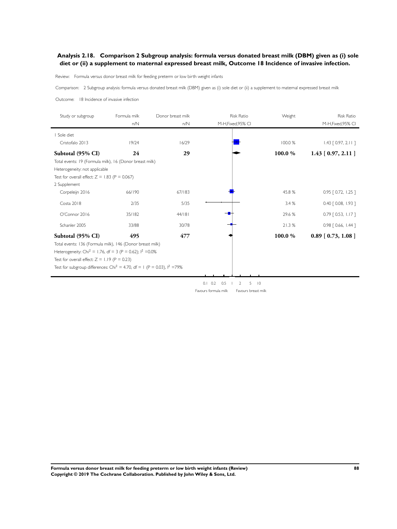### **Analysis 2.18. Comparison 2 Subgroup analysis: formula versus donated breast milk (DBM) given as (i) sole diet or (ii) a supplement to maternal expressed breast milk, Outcome 18 Incidence of invasive infection.**

Review: Formula versus donor breast milk for feeding preterm or low birth weight infants

Comparison: 2 Subgroup analysis: formula versus donated breast milk (DBM) given as (i) sole diet or (ii) a supplement to maternal expressed breast milk

Outcome: 18 Incidence of invasive infection

l.

| Study or subgroup                                                                                                                                                                                           | Formula milk<br>n/N | Donor breast milk<br>n/N | <b>Risk Ratio</b><br>M-H, Fixed, 95% CI                          | Weight  | <b>Risk Ratio</b><br>M-H, Fixed, 95% CI |
|-------------------------------------------------------------------------------------------------------------------------------------------------------------------------------------------------------------|---------------------|--------------------------|------------------------------------------------------------------|---------|-----------------------------------------|
| I Sole diet                                                                                                                                                                                                 |                     |                          |                                                                  |         |                                         |
| Cristofalo 2013                                                                                                                                                                                             | 19/24               | 16/29                    |                                                                  | 100.0 % | $1.43$ [ 0.97, 2.11 ]                   |
| Subtotal (95% CI)                                                                                                                                                                                           | 24                  | 29                       |                                                                  | 100.0%  | $1.43$ [ 0.97, 2.11 ]                   |
| Total events: 19 (Formula milk), 16 (Donor breast milk)                                                                                                                                                     |                     |                          |                                                                  |         |                                         |
| Heterogeneity: not applicable                                                                                                                                                                               |                     |                          |                                                                  |         |                                         |
| Test for overall effect: $Z = 1.83$ (P = 0.067)                                                                                                                                                             |                     |                          |                                                                  |         |                                         |
| 2 Supplement                                                                                                                                                                                                |                     |                          |                                                                  |         |                                         |
| Corpeleijn 2016                                                                                                                                                                                             | 66/190              | 67/183                   |                                                                  | 45.8%   | $0.95$ $[0.72, 1.25]$                   |
| Costa 2018                                                                                                                                                                                                  | 2/35                | 5/35                     |                                                                  | 3.4%    | $0.40$ $[0.08, 1.93]$                   |
| O'Connor 2016                                                                                                                                                                                               | 35/182              | 44/181                   |                                                                  | 29.6 %  | $0.79$ $[0.53, 1.17]$                   |
| Schanler 2005                                                                                                                                                                                               | 33/88               | 30/78                    |                                                                  | 21.3%   | $0.98$ $[0.66, 1.44]$                   |
| Subtotal (95% CI)<br>Total events: 136 (Formula milk), 146 (Donor breast milk)<br>Heterogeneity: Chi <sup>2</sup> = 1.76, df = 3 (P = 0.62); $1^2$ = 0.0%<br>Test for overall effect: $Z = 1.19$ (P = 0.23) | 495                 | 477                      |                                                                  | 100.0%  | $0.89$ [ 0.73, 1.08 ]                   |
| Test for subgroup differences: Chi <sup>2</sup> = 4.70, df = 1 (P = 0.03), $1^2$ =79%                                                                                                                       |                     |                          |                                                                  |         |                                         |
|                                                                                                                                                                                                             |                     |                          | $0.1 \quad 0.2$<br>5<br>$\overline{10}$<br>0.5<br>$\overline{2}$ |         |                                         |

Favours formula milk Favours breast milk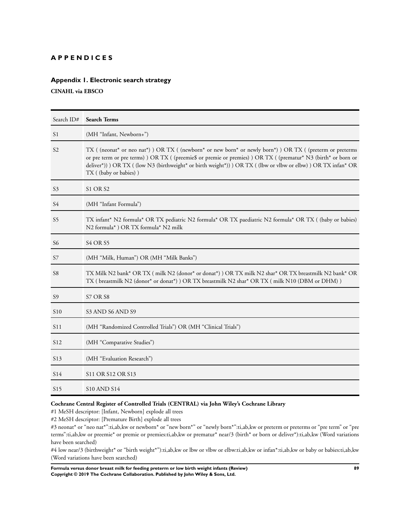### **A P P E N D I C E S**

# **Appendix 1. Electronic search strategy**

**CINAHL via EBSCO**

| Search ID#      | <b>Search Terms</b>                                                                                                                                                                                                                                                                                                                                         |
|-----------------|-------------------------------------------------------------------------------------------------------------------------------------------------------------------------------------------------------------------------------------------------------------------------------------------------------------------------------------------------------------|
| S1              | (MH "Infant, Newborn+")                                                                                                                                                                                                                                                                                                                                     |
| S <sub>2</sub>  | TX ((neonat* or neo nat*)) OR TX ((newborn* or new born* or newly born*)) OR TX ((preterm or preterms<br>or pre term or pre terms) OR TX ((preemie\$ or premie or premies) OR TX ((prematur* N3 (birth* or born or<br>deliver*)) ) OR TX ((low N3 (birthweight* or birth weight*)) ) OR TX ((lbw or vlbw or elbw)) OR TX infan* OR<br>TX ((baby or babies)) |
| S3              | <b>S1 OR S2</b>                                                                                                                                                                                                                                                                                                                                             |
| S4              | (MH "Infant Formula")                                                                                                                                                                                                                                                                                                                                       |
| S <sub>5</sub>  | TX infant* N2 formula* OR TX pediatric N2 formula* OR TX paediatric N2 formula* OR TX ((baby or babies)<br>N2 formula*) OR TX formula* N2 milk                                                                                                                                                                                                              |
| S6              | <b>S4 OR S5</b>                                                                                                                                                                                                                                                                                                                                             |
| S7              | (MH "Milk, Human") OR (MH "Milk Banks")                                                                                                                                                                                                                                                                                                                     |
| S8              | TX Milk N2 bank* OR TX (milk N2 (donor* or donar*) ) OR TX milk N2 shar* OR TX breastmilk N2 bank* OR<br>TX (breastmilk N2 (donor* or donat*) ) OR TX breastmilk N2 shar* OR TX (milk N10 (DBM or DHM) )                                                                                                                                                    |
| S <sub>9</sub>  | <b>S7 OR S8</b>                                                                                                                                                                                                                                                                                                                                             |
| S <sub>10</sub> | S <sub>3</sub> AND S <sub>6</sub> AND S <sub>9</sub>                                                                                                                                                                                                                                                                                                        |
| S <sub>11</sub> | (MH "Randomized Controlled Trials") OR (MH "Clinical Trials")                                                                                                                                                                                                                                                                                               |
| S <sub>12</sub> | (MH "Comparative Studies")                                                                                                                                                                                                                                                                                                                                  |
| S <sub>13</sub> | (MH "Evaluation Research")                                                                                                                                                                                                                                                                                                                                  |
| S <sub>14</sub> | S11 OR S12 OR S13                                                                                                                                                                                                                                                                                                                                           |
| S <sub>15</sub> | <b>S10 AND S14</b>                                                                                                                                                                                                                                                                                                                                          |

# **Cochrane Central Register of Controlled Trials (CENTRAL) via John Wiley's Cochrane Library**

#1 MeSH descriptor: [Infant, Newborn] explode all trees

#2 MeSH descriptor: [Premature Birth] explode all trees

#3 neonat\* or "neo nat\*":ti,ab,kw or newborn\* or "new born\*" or "newly born\*":ti,ab,kw or preterm or preterms or "pre term" or "pre terms":ti,ab,kw or preemie\* or premie or premies:ti,ab,kw or prematur\* near/3 (birth\* or born or deliver\*):ti,ab,kw (Word variations have been searched)

#4 low near/3 (birthweight\* or "birth weight\*"):ti,ab,kw or lbw or vlbw or elbw:ti,ab,kw or infan\*:ti,ab,kw or baby or babies:ti,ab,kw (Word variations have been searched)

**Formula versus donor breast milk for feeding preterm or low birth weight infants (Review) 89 Copyright © 2019 The Cochrane Collaboration. Published by John Wiley & Sons, Ltd.**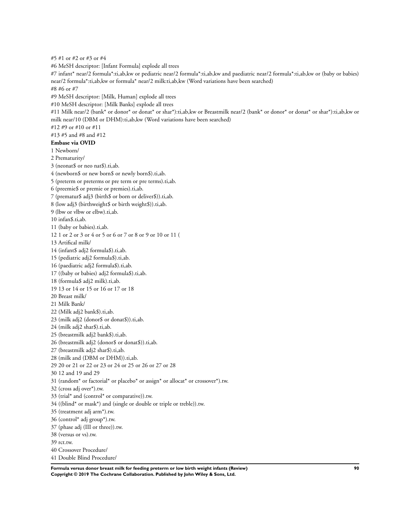#5 #1 or #2 or #3 or #4 #6 MeSH descriptor: [Infant Formula] explode all trees #7 infant\* near/2 formula\*:ti,ab,kw or pediatric near/2 formula\*:ti,ab,kw and paediatric near/2 formula\*:ti,ab,kw or (baby or babies) near/2 formula\*:ti,ab,kw or formula\* near/2 milk:ti,ab,kw (Word variations have been searched) #8 #6 or #7 #9 MeSH descriptor: [Milk, Human] explode all trees #10 MeSH descriptor: [Milk Banks] explode all trees #11 Milk near/2 (bank\* or donor\* or donat\* or shar\*):ti,ab,kw or Breastmilk near/2 (bank\* or donor\* or donat\* or shar\*):ti,ab,kw or milk near/10 (DBM or DHM):ti,ab,kw (Word variations have been searched) #12 #9 or #10 or #11 #13 #5 and #8 and #12 **Embase via OVID** 1 Newborn/ 2 Prematurity/ 3 (neonat\$ or neo nat\$).ti,ab. 4 (newborn\$ or new born\$ or newly born\$).ti,ab. 5 (preterm or preterms or pre term or pre terms).ti,ab. 6 (preemie\$ or premie or premies).ti,ab. 7 (prematur\$ adj3 (birth\$ or born or deliver\$)).ti,ab. 8 (low adj3 (birthweight\$ or birth weight\$)).ti,ab. 9 (lbw or vlbw or elbw).ti,ab. 10 infan\$.ti,ab. 11 (baby or babies).ti,ab. 12 1 or 2 or 3 or 4 or 5 or 6 or 7 or 8 or 9 or 10 or 11 ( 13 Artifical milk/ 14 (infant\$ adj2 formula\$).ti,ab. 15 (pediatric adj2 formula\$).ti,ab. 16 (paediatric adj2 formula\$).ti,ab. 17 ((baby or babies) adj2 formula\$).ti,ab. 18 (formula\$ adj2 milk).ti,ab. 19 13 or 14 or 15 or 16 or 17 or 18 20 Breast milk/ 21 Milk Bank/ 22 (Milk adj2 bank\$).ti,ab. 23 (milk adj2 (donor\$ or donat\$)).ti,ab. 24 (milk adj2 shar\$).ti,ab. 25 (breastmilk adj2 bank\$).ti,ab. 26 (breastmilk adj2 (donor\$ or donat\$)).ti,ab. 27 (breastmilk adj2 shar\$).ti,ab. 28 (milk and (DBM or DHM)).ti,ab. 29 20 or 21 or 22 or 23 or 24 or 25 or 26 or 27 or 28 30 12 and 19 and 29 31 (random\* or factorial\* or placebo\* or assign\* or allocat\* or crossover\*).tw. 32 (cross adj over\*).tw. 33 (trial\* and (control\* or comparative)).tw. 34 ((blind\* or mask\*) and (single or double or triple or treble)).tw. 35 (treatment adj arm\*).tw. 36 (control\* adj group\*).tw. 37 (phase adj (III or three)).tw. 38 (versus or vs).tw. 39 rct.tw. 40 Crossover Procedure/ 41 Double Blind Procedure/

**Formula versus donor breast milk for feeding preterm or low birth weight infants (Review) 90 Copyright © 2019 The Cochrane Collaboration. Published by John Wiley & Sons, Ltd.**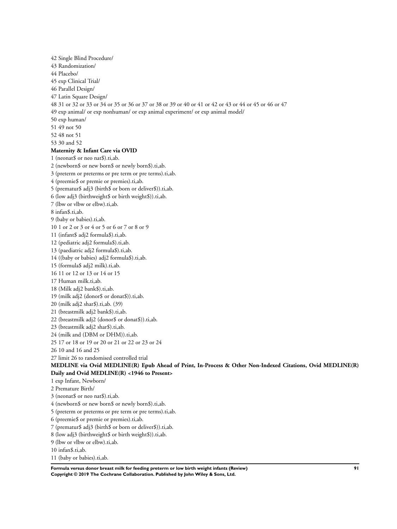42 Single Blind Procedure/ 43 Randomization/ 44 Placebo/ 45 exp Clinical Trial/ 46 Parallel Design/ 47 Latin Square Design/ 48 31 or 32 or 33 or 34 or 35 or 36 or 37 or 38 or 39 or 40 or 41 or 42 or 43 or 44 or 45 or 46 or 47 49 exp animal/ or exp nonhuman/ or exp animal experiment/ or exp animal model/ 50 exp human/ 51 49 not 50 52 48 not 51 53 30 and 52 **Maternity & Infant Care via OVID** 1 (neonat\$ or neo nat\$).ti,ab. 2 (newborn\$ or new born\$ or newly born\$).ti,ab. 3 (preterm or preterms or pre term or pre terms).ti,ab. 4 (preemie\$ or premie or premies).ti,ab. 5 (prematur\$ adj3 (birth\$ or born or deliver\$)).ti,ab. 6 (low adj3 (birthweight\$ or birth weight\$)).ti,ab. 7 (lbw or vlbw or elbw).ti,ab. 8 infan\$.ti,ab. 9 (baby or babies).ti,ab. 10 1 or 2 or 3 or 4 or 5 or 6 or 7 or 8 or 9 11 (infant\$ adj2 formula\$).ti,ab. 12 (pediatric adj2 formula\$).ti,ab. 13 (paediatric adj2 formula\$).ti,ab. 14 ((baby or babies) adj2 formula\$).ti,ab. 15 (formula\$ adj2 milk).ti,ab. 16 11 or 12 or 13 or 14 or 15 17 Human milk.ti,ab. 18 (Milk adj2 bank\$).ti,ab. 19 (milk adj2 (donor\$ or donat\$)).ti,ab. 20 (milk adj2 shar\$).ti,ab. (39) 21 (breastmilk adj2 bank\$).ti,ab. 22 (breastmilk adj2 (donor\$ or donat\$)).ti,ab. 23 (breastmilk adj2 shar\$).ti,ab. 24 (milk and (DBM or DHM)).ti,ab. 25 17 or 18 or 19 or 20 or 21 or 22 or 23 or 24 26 10 and 16 and 25 27 limit 26 to randomised controlled trial **MEDLINE via Ovid MEDLINE(R) Epub Ahead of Print, In-Process & Other Non-Indexed Citations, Ovid MEDLINE(R) Daily and Ovid MEDLINE(R) <1946 to Present>** 1 exp Infant, Newborn/ 2 Premature Birth/ 3 (neonat\$ or neo nat\$).ti,ab. 4 (newborn\$ or new born\$ or newly born\$).ti,ab. 5 (preterm or preterms or pre term or pre terms).ti,ab. 6 (preemie\$ or premie or premies).ti,ab. 7 (prematur\$ adj3 (birth\$ or born or deliver\$)).ti,ab. 8 (low adj3 (birthweight\$ or birth weight\$)).ti,ab. 9 (lbw or vlbw or elbw).ti,ab. 10 infan\$.ti,ab. 11 (baby or babies).ti,ab.

**Formula versus donor breast milk for feeding preterm or low birth weight infants (Review) 91 Copyright © 2019 The Cochrane Collaboration. Published by John Wiley & Sons, Ltd.**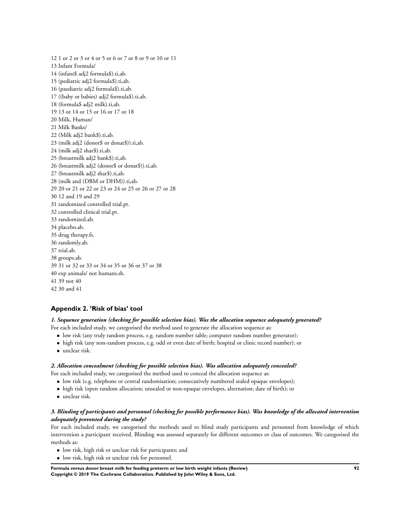12 1 or 2 or 3 or 4 or 5 or 6 or 7 or 8 or 9 or 10 or 11 13 Infant Formula/ 14 (infant\$ adj2 formula\$).ti,ab. 15 (pediatric adj2 formula\$).ti,ab. 16 (paediatric adj2 formula\$).ti,ab. 17 ((baby or babies) adj2 formula\$).ti,ab. 18 (formula\$ adj2 milk).ti,ab. 19 13 or 14 or 15 or 16 or 17 or 18 20 Milk, Human/ 21 Milk Banks/ 22 (Milk adj2 bank\$).ti,ab. 23 (milk adj2 (donor\$ or donat\$)).ti,ab. 24 (milk adj2 shar\$).ti,ab. 25 (breastmilk adj2 bank\$).ti,ab. 26 (breastmilk adj2 (donor\$ or donat\$)).ti,ab. 27 (breastmilk adj2 shar\$).ti,ab. 28 (milk and (DBM or DHM)).ti,ab. 29 20 or 21 or 22 or 23 or 24 or 25 or 26 or 27 or 28 30 12 and 19 and 29 31 randomized controlled trial.pt. 32 controlled clinical trial.pt. 33 randomized.ab. 34 placebo.ab. 35 drug therapy.fs. 36 randomly.ab. 37 trial.ab. 38 groups.ab. 39 31 or 32 or 33 or 34 or 35 or 36 or 37 or 38 40 exp animals/ not humans.sh. 41 39 not 40 42 30 and 41

## **Appendix 2. 'Risk of bias' tool**

#### *1. Sequence generation (checking for possible selection bias). Was the allocation sequence adequately generated?*

- For each included study, we categorised the method used to generate the allocation sequence as:
	- low risk (any truly random process, e.g. random number table; computer random number generator);
	- high risk (any non-random process, e.g. odd or even date of birth; hospital or clinic record number); or
	- unclear risk.

#### *2. Allocation concealment (checking for possible selection bias). Was allocation adequately concealed?*

For each included study, we categorised the method used to conceal the allocation sequence as:

- low risk (e.g. telephone or central randomisation; consecutively numbered sealed opaque envelopes);
- high risk (open random allocation; unsealed or non-opaque envelopes, alternation; date of birth); or
- unclear risk.

### *3. Blinding of participants and personnel (checking for possible performance bias). Was knowledge of the allocated intervention adequately prevented during the study?*

For each included study, we categorised the methods used to blind study participants and personnel from knowledge of which intervention a participant received. Blinding was assessed separately for different outcomes or class of outcomes. We categorised the methods as:

- low risk, high risk or unclear risk for participants; and
- low risk, high risk or unclear risk for personnel.

**Formula versus donor breast milk for feeding preterm or low birth weight infants (Review) 92 Copyright © 2019 The Cochrane Collaboration. Published by John Wiley & Sons, Ltd.**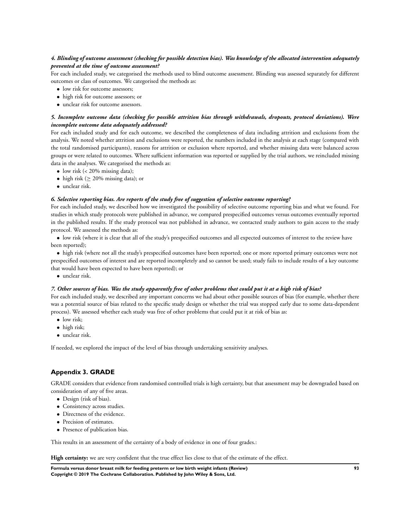### *4. Blinding of outcome assessment (checking for possible detection bias). Was knowledge of the allocated intervention adequately prevented at the time of outcome assessment?*

For each included study, we categorised the methods used to blind outcome assessment. Blinding was assessed separately for different outcomes or class of outcomes. We categorised the methods as:

- low risk for outcome assessors;
- high risk for outcome assessors; or
- unclear risk for outcome assessors.

### *5. Incomplete outcome data (checking for possible attrition bias through withdrawals, dropouts, protocol deviations). Were incomplete outcome data adequately addressed?*

For each included study and for each outcome, we described the completeness of data including attrition and exclusions from the analysis. We noted whether attrition and exclusions were reported, the numbers included in the analysis at each stage (compared with the total randomised participants), reasons for attrition or exclusion where reported, and whether missing data were balanced across groups or were related to outcomes. Where sufficient information was reported or supplied by the trial authors, we reincluded missing data in the analyses. We categorised the methods as:

- low risk  $\left( < 20\% \right)$  missing data);
- high risk ( $\geq$  20% missing data); or
- unclear risk.

#### *6. Selective reporting bias. Are reports of the study free of suggestion of selective outcome reporting?*

For each included study, we described how we investigated the possibility of selective outcome reporting bias and what we found. For studies in which study protocols were published in advance, we compared prespecified outcomes versus outcomes eventually reported in the published results. If the study protocol was not published in advance, we contacted study authors to gain access to the study protocol. We assessed the methods as:

• low risk (where it is clear that all of the study's prespecified outcomes and all expected outcomes of interest to the review have been reported);

• high risk (where not all the study's prespecified outcomes have been reported; one or more reported primary outcomes were not prespecified outcomes of interest and are reported incompletely and so cannot be used; study fails to include results of a key outcome that would have been expected to have been reported); or

• unclear risk.

#### *7. Other sources of bias. Was the study apparently free of other problems that could put it at a high risk of bias?*

For each included study, we described any important concerns we had about other possible sources of bias (for example, whether there was a potential source of bias related to the specific study design or whether the trial was stopped early due to some data-dependent process). We assessed whether each study was free of other problems that could put it at risk of bias as:

- low risk:
- high risk;
- unclear risk.

If needed, we explored the impact of the level of bias through undertaking sensitivity analyses.

#### **Appendix 3. GRADE**

GRADE considers that evidence from randomised controlled trials is high certainty, but that assessment may be downgraded based on consideration of any of five areas.

- Design (risk of bias).
- Consistency across studies.
- Directness of the evidence.
- Precision of estimates.
- Presence of publication bias.

This results in an assessment of the certainty of a body of evidence in one of four grades.:

**High certainty:** we are very confident that the true effect lies close to that of the estimate of the effect.

**Formula versus donor breast milk for feeding preterm or low birth weight infants (Review) 93 Copyright © 2019 The Cochrane Collaboration. Published by John Wiley & Sons, Ltd.**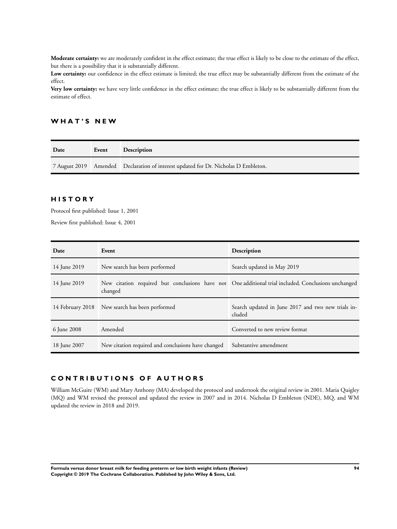**Moderate certainty:** we are moderately confident in the effect estimate; the true effect is likely to be close to the estimate of the effect, but there is a possibility that it is substantially different.

**Low certainty:** our confidence in the effect estimate is limited; the true effect may be substantially different from the estimate of the effect.

**Very low certainty:** we have very little confidence in the effect estimate; the true effect is likely to be substantially different from the estimate of effect.

### **W H A T ' S N E W**

| Date | Event | <b>Description</b>                                                                 |
|------|-------|------------------------------------------------------------------------------------|
|      |       | 7 August 2019 Amended Declaration of interest updated for Dr. Nicholas D Embleton. |

# **H I S T O R Y**

Protocol first published: Issue 1, 2001

Review first published: Issue 4, 2001

| Date             | Event                                                                                                          | Description                                                  |
|------------------|----------------------------------------------------------------------------------------------------------------|--------------------------------------------------------------|
| 14 June 2019     | New search has been performed                                                                                  | Search updated in May 2019                                   |
| 14 June 2019     | New citation required but conclusions have not One additional trial included. Conclusions unchanged<br>changed |                                                              |
| 14 February 2018 | New search has been performed                                                                                  | Search updated in June 2017 and two new trials in-<br>cluded |
| 6 June 2008      | Amended                                                                                                        | Converted to new review format                               |
| 18 June 2007     | New citation required and conclusions have changed                                                             | Substantive amendment                                        |

# **C O N T R I B U T I O N S O F A U T H O R S**

William McGuire (WM) and Mary Anthony (MA) developed the protocol and undertook the original review in 2001. Maria Quigley (MQ) and WM revised the protocol and updated the review in 2007 and in 2014. Nicholas D Embleton (NDE), MQ, and WM updated the review in 2018 and 2019.

**Formula versus donor breast milk for feeding preterm or low birth weight infants (Review) 94 Copyright © 2019 The Cochrane Collaboration. Published by John Wiley & Sons, Ltd.**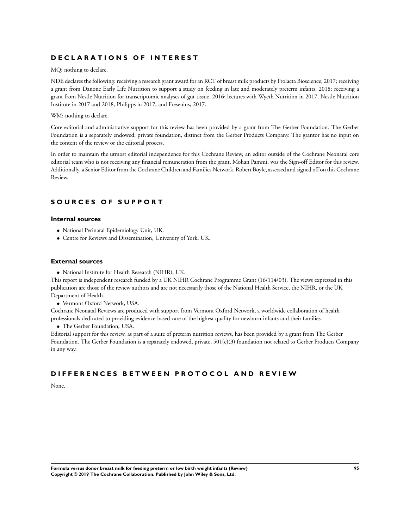## **D E C L A R A T I O N S O F I N T E R E S T**

MQ: nothing to declare.

NDE declares the following: receiving a research grant award for an RCT of breast milk products by Prolacta Bioscience, 2017; receiving a grant from Danone Early Life Nutrition to support a study on feeding in late and moderately preterm infants, 2018; receiving a grant from Nestle Nutrition for transcriptomic analyses of gut tissue, 2016; lectures with Wyeth Nutrition in 2017, Nestle Nutrition Institute in 2017 and 2018, Philipps in 2017, and Fresenius, 2017.

#### WM: nothing to declare.

Core editorial and administrative support for this review has been provided by a grant from The Gerber Foundation. The Gerber Foundation is a separately endowed, private foundation, distinct from the Gerber Products Company. The grantor has no input on the content of the review or the editorial process.

In order to maintain the utmost editorial independence for this Cochrane Review, an editor outside of the Cochrane Neonatal core editorial team who is not receiving any financial remuneration from the grant, Mohan Pammi, was the Sign-off Editor for this review. Additionally, a Senior Editor from the Cochrane Children and Families Network, Robert Boyle, assessed and signed off on this Cochrane Review.

## **S O U R C E S O F S U P P O R T**

#### **Internal sources**

- National Perinatal Epidemiology Unit, UK.
- Centre for Reviews and Dissemination, University of York, UK.

### **External sources**

• National Institute for Health Research (NIHR), UK.

This report is independent research funded by a UK NIHR Cochrane Programme Grant (16/114/03). The views expressed in this publication are those of the review authors and are not necessarily those of the National Health Service, the NIHR, or the UK Department of Health.

• Vermont Oxford Network, USA.

Cochrane Neonatal Reviews are produced with support from Vermont Oxford Network, a worldwide collaboration of health professionals dedicated to providing evidence-based care of the highest quality for newborn infants and their families.

• The Gerber Foundation, USA.

Editorial support for this review, as part of a suite of preterm nutrition reviews, has been provided by a grant from The Gerber Foundation. The Gerber Foundation is a separately endowed, private, 501(c)(3) foundation not related to Gerber Products Company in any way.

### **D I F F E R E N C E S B E T W E E N P R O T O C O L A N D R E V I E W**

None.